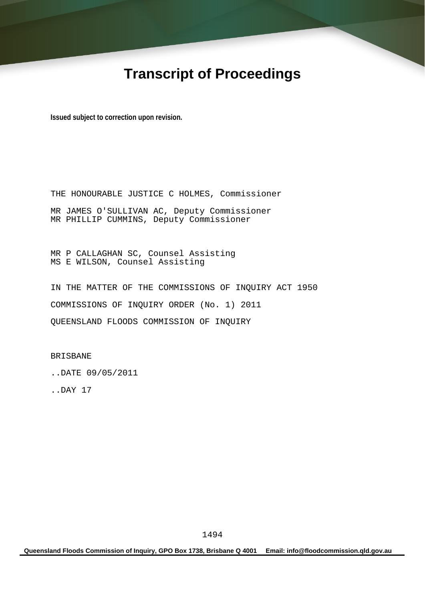# **Transcript of Proceedings**

**Issued subject to correction upon revision.** 

THE HONOURABLE JUSTICE C HOLMES, Commissioner MR JAMES O'SULLIVAN AC, Deputy Commissioner MR PHILLIP CUMMINS, Deputy Commissioner

MR P CALLAGHAN SC, Counsel Assisting MS E WILSON, Counsel Assisting

IN THE MATTER OF THE COMMISSIONS OF INQUIRY ACT 1950 COMMISSIONS OF INQUIRY ORDER (No. 1) 2011 QUEENSLAND FLOODS COMMISSION OF INQUIRY

BRISBANE

..DATE 09/05/2011

..DAY 17

**Queensland Floods Commission of Inquiry, GPO Box 1738, Brisbane Q 4001 Email: info@floodcommission.qld.gov.au**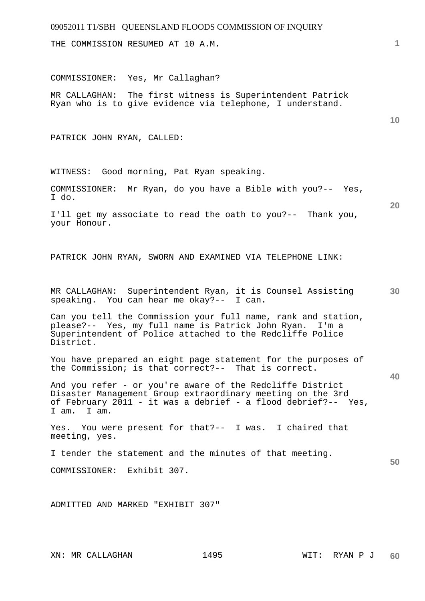THE COMMISSION RESUMED AT 10 A.M.

COMMISSIONER: Yes, Mr Callaghan?

MR CALLAGHAN: The first witness is Superintendent Patrick Ryan who is to give evidence via telephone, I understand.

PATRICK JOHN RYAN, CALLED:

WITNESS: Good morning, Pat Ryan speaking.

COMMISSIONER: Mr Ryan, do you have a Bible with you?-- Yes, I do.

I'll get my associate to read the oath to you?-- Thank you, your Honour.

PATRICK JOHN RYAN, SWORN AND EXAMINED VIA TELEPHONE LINK:

**30**  MR CALLAGHAN: Superintendent Ryan, it is Counsel Assisting speaking. You can hear me okay?-- I can.

Can you tell the Commission your full name, rank and station, please?-- Yes, my full name is Patrick John Ryan. I'm a Superintendent of Police attached to the Redcliffe Police District.

You have prepared an eight page statement for the purposes of the Commission; is that correct?-- That is correct.

And you refer - or you're aware of the Redcliffe District Disaster Management Group extraordinary meeting on the 3rd of February 2011 - it was a debrief - a flood debrief?-- Yes, I am. I am.

Yes. You were present for that?-- I was. I chaired that meeting, yes.

I tender the statement and the minutes of that meeting.

COMMISSIONER: Exhibit 307.

ADMITTED AND MARKED "EXHIBIT 307"

**1**

**10** 

**20** 

**40**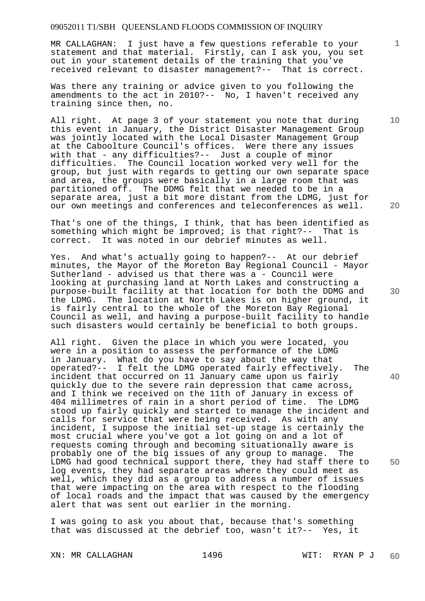MR CALLAGHAN: I just have a few questions referable to your statement and that material. Firstly, can I ask you, you set out in your statement details of the training that you've received relevant to disaster management?-- That is correct.

Was there any training or advice given to you following the amendments to the act in 2010?-- No, I haven't received any training since then, no.

All right. At page 3 of your statement you note that during this event in January, the District Disaster Management Group was jointly located with the Local Disaster Management Group at the Caboolture Council's offices. Were there any issues with that - any difficulties?-- Just a couple of minor difficulties. The Council location worked very well for the group, but just with regards to getting our own separate space and area, the groups were basically in a large room that was partitioned off. The DDMG felt that we needed to be in a separate area, just a bit more distant from the LDMG, just for our own meetings and conferences and teleconferences as well.

That's one of the things, I think, that has been identified as something which might be improved; is that right?-- That is correct. It was noted in our debrief minutes as well.

Yes. And what's actually going to happen?-- At our debrief minutes, the Mayor of the Moreton Bay Regional Council - Mayor Sutherland - advised us that there was a - Council were looking at purchasing land at North Lakes and constructing a purpose-built facility at that location for both the DDMG and the LDMG. The location at North Lakes is on higher ground, it is fairly central to the whole of the Moreton Bay Regional Council as well, and having a purpose-built facility to handle such disasters would certainly be beneficial to both groups.

All right. Given the place in which you were located, you were in a position to assess the performance of the LDMG in January. What do you have to say about the way that operated?-- I felt the LDMG operated fairly effectively. The incident that occurred on 11 January came upon us fairly quickly due to the severe rain depression that came across, and I think we received on the 11th of January in excess of 404 millimetres of rain in a short period of time. The LDMG stood up fairly quickly and started to manage the incident and calls for service that were being received. As with any incident, I suppose the initial set-up stage is certainly the most crucial where you've got a lot going on and a lot of requests coming through and becoming situationally aware is probably one of the big issues of any group to manage. The LDMG had good technical support there, they had staff there to log events, they had separate areas where they could meet as well, which they did as a group to address a number of issues that were impacting on the area with respect to the flooding of local roads and the impact that was caused by the emergency alert that was sent out earlier in the morning.

I was going to ask you about that, because that's something that was discussed at the debrief too, wasn't it?-- Yes, it

XN: MR CALLAGHAN 1496 WIT: RYAN P J

**10** 

**1**

**20** 

**30** 

**40**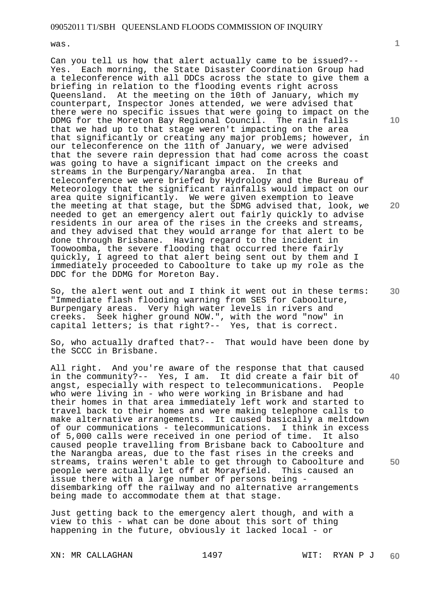was.

Can you tell us how that alert actually came to be issued?-- Yes. Each morning, the State Disaster Coordination Group had a teleconference with all DDCs across the state to give them a briefing in relation to the flooding events right across Queensland. At the meeting on the 10th of January, which my counterpart, Inspector Jones attended, we were advised that there were no specific issues that were going to impact on the DDMG for the Moreton Bay Regional Council. The rain falls that we had up to that stage weren't impacting on the area that significantly or creating any major problems; however, in our teleconference on the 11th of January, we were advised that the severe rain depression that had come across the coast was going to have a significant impact on the creeks and streams in the Burpengary/Narangba area. In that teleconference we were briefed by Hydrology and the Bureau of Meteorology that the significant rainfalls would impact on our area quite significantly. We were given exemption to leave the meeting at that stage, but the SDMG advised that, look, we needed to get an emergency alert out fairly quickly to advise residents in our area of the rises in the creeks and streams, and they advised that they would arrange for that alert to be done through Brisbane. Having regard to the incident in Toowoomba, the severe flooding that occurred there fairly quickly, I agreed to that alert being sent out by them and I immediately proceeded to Caboolture to take up my role as the DDC for the DDMG for Moreton Bay.

So, the alert went out and I think it went out in these terms: "Immediate flash flooding warning from SES for Caboolture, Burpengary areas. Very high water levels in rivers and creeks. Seek higher ground NOW.", with the word "now" in capital letters; is that right?-- Yes, that is correct.

So, who actually drafted that?-- That would have been done by the SCCC in Brisbane.

All right. And you're aware of the response that that caused in the community?-- Yes, I am. It did create a fair bit of angst, especially with respect to telecommunications. who were living in - who were working in Brisbane and had their homes in that area immediately left work and started to travel back to their homes and were making telephone calls to make alternative arrangements. It caused basically a meltdown of our communications - telecommunications. I think in excess of 5,000 calls were received in one period of time. It also caused people travelling from Brisbane back to Caboolture and the Narangba areas, due to the fast rises in the creeks and streams, trains weren't able to get through to Caboolture and people were actually let off at Morayfield. This caused an issue there with a large number of persons being disembarking off the railway and no alternative arrangements being made to accommodate them at that stage.

Just getting back to the emergency alert though, and with a view to this - what can be done about this sort of thing happening in the future, obviously it lacked local - or

XN: MR CALLAGHAN 1497 1497 WIT: RYAN P J

**10** 

**1**

**30** 

**40** 

**50**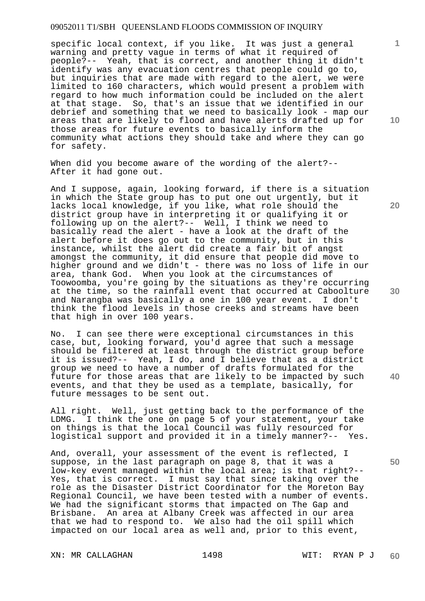specific local context, if you like. It was just a general warning and pretty vague in terms of what it required of people?-- Yeah, that is correct, and another thing it didn't identify was any evacuation centres that people could go to, but inquiries that are made with regard to the alert, we were limited to 160 characters, which would present a problem with regard to how much information could be included on the alert at that stage. So, that's an issue that we identified in our debrief and something that we need to basically look - map our areas that are likely to flood and have alerts drafted up for those areas for future events to basically inform the community what actions they should take and where they can go for safety.

When did you become aware of the wording of the alert?--After it had gone out.

And I suppose, again, looking forward, if there is a situation in which the State group has to put one out urgently, but it lacks local knowledge, if you like, what role should the district group have in interpreting it or qualifying it or following up on the alert?-- Well, I think we need to basically read the alert - have a look at the draft of the alert before it does go out to the community, but in this instance, whilst the alert did create a fair bit of angst amongst the community, it did ensure that people did move to higher ground and we didn't - there was no loss of life in our area, thank God. When you look at the circumstances of Toowoomba, you're going by the situations as they're occurring at the time, so the rainfall event that occurred at Caboolture and Narangba was basically a one in 100 year event. I don't think the flood levels in those creeks and streams have been that high in over 100 years.

No. I can see there were exceptional circumstances in this case, but, looking forward, you'd agree that such a message should be filtered at least through the district group before it is issued?-- Yeah, I do, and I believe that as a district group we need to have a number of drafts formulated for the future for those areas that are likely to be impacted by such events, and that they be used as a template, basically, for future messages to be sent out.

All right. Well, just getting back to the performance of the LDMG. I think the one on page 5 of your statement, your take on things is that the local Council was fully resourced for logistical support and provided it in a timely manner?-- Yes.

And, overall, your assessment of the event is reflected, I suppose, in the last paragraph on page 8, that it was a low-key event managed within the local area; is that right?-- Yes, that is correct. I must say that since taking over the role as the Disaster District Coordinator for the Moreton Bay Regional Council, we have been tested with a number of events. We had the significant storms that impacted on The Gap and Brisbane. An area at Albany Creek was affected in our area that we had to respond to. We also had the oil spill which impacted on our local area as well and, prior to this event,

XN: MR CALLAGHAN 1498 WIT: RYAN P J

**10** 

**1**

**20** 

**30** 

**40**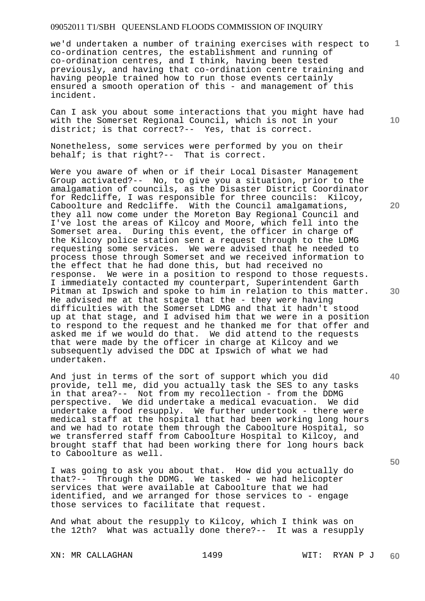we'd undertaken a number of training exercises with respect to co-ordination centres, the establishment and running of co-ordination centres, and I think, having been tested previously, and having that co-ordination centre training and having people trained how to run those events certainly ensured a smooth operation of this - and management of this incident.

Can I ask you about some interactions that you might have had with the Somerset Regional Council, which is not in your district; is that correct?-- Yes, that is correct.

Nonetheless, some services were performed by you on their behalf; is that right?-- That is correct.

Were you aware of when or if their Local Disaster Management Group activated?-- No, to give you a situation, prior to the amalgamation of councils, as the Disaster District Coordinator for Redcliffe, I was responsible for three councils: Kilcoy, Caboolture and Redcliffe. With the Council amalgamations, they all now come under the Moreton Bay Regional Council and I've lost the areas of Kilcoy and Moore, which fell into the Somerset area. During this event, the officer in charge of the Kilcoy police station sent a request through to the LDMG requesting some services. We were advised that he needed to process those through Somerset and we received information to the effect that he had done this, but had received no response. We were in a position to respond to those requests. I immediately contacted my counterpart, Superintendent Garth Pitman at Ipswich and spoke to him in relation to this matter. He advised me at that stage that the - they were having difficulties with the Somerset LDMG and that it hadn't stood up at that stage, and I advised him that we were in a position to respond to the request and he thanked me for that offer and asked me if we would do that. We did attend to the requests that were made by the officer in charge at Kilcoy and we subsequently advised the DDC at Ipswich of what we had undertaken.

And just in terms of the sort of support which you did provide, tell me, did you actually task the SES to any tasks in that area?-- Not from my recollection - from the DDMG perspective. We did undertake a medical evacuation. We did undertake a food resupply. We further undertook - there were medical staff at the hospital that had been working long hours and we had to rotate them through the Caboolture Hospital, so we transferred staff from Caboolture Hospital to Kilcoy, and brought staff that had been working there for long hours back to Caboolture as well.

I was going to ask you about that. How did you actually do that?-- Through the DDMG. We tasked - we had helicopter services that were available at Caboolture that we had identified, and we arranged for those services to - engage those services to facilitate that request.

And what about the resupply to Kilcoy, which I think was on the 12th? What was actually done there?-- It was a resupply

XN: MR CALLAGHAN 1499 WIT: RYAN P J

**10** 

**20** 

**1**

**40** 

**50**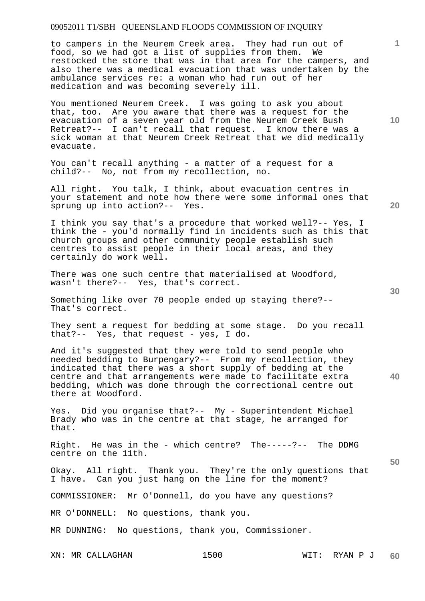to campers in the Neurem Creek area. They had run out of food, so we had got a list of supplies from them. We restocked the store that was in that area for the campers, and also there was a medical evacuation that was undertaken by the ambulance services re: a woman who had run out of her medication and was becoming severely ill.

You mentioned Neurem Creek. I was going to ask you about that, too. Are you aware that there was a request for the evacuation of a seven year old from the Neurem Creek Bush Retreat?-- I can't recall that request. I know there was a sick woman at that Neurem Creek Retreat that we did medically evacuate.

You can't recall anything - a matter of a request for a child?-- No, not from my recollection, no.

All right. You talk, I think, about evacuation centres in your statement and note how there were some informal ones that sprung up into action?-- Yes.

I think you say that's a procedure that worked well?-- Yes, I think the - you'd normally find in incidents such as this that church groups and other community people establish such centres to assist people in their local areas, and they certainly do work well.

There was one such centre that materialised at Woodford, wasn't there?-- Yes, that's correct.

Something like over 70 people ended up staying there?-- That's correct.

They sent a request for bedding at some stage. Do you recall that?-- Yes, that request - yes, I do.

And it's suggested that they were told to send people who needed bedding to Burpengary?-- From my recollection, they indicated that there was a short supply of bedding at the centre and that arrangements were made to facilitate extra bedding, which was done through the correctional centre out there at Woodford.

Yes. Did you organise that?-- My - Superintendent Michael Brady who was in the centre at that stage, he arranged for that.

Right. He was in the - which centre? The-----?-- The DDMG centre on the 11th.

Okay. All right. Thank you. They're the only questions that I have. Can you just hang on the line for the moment?

COMMISSIONER: Mr O'Donnell, do you have any questions?

MR O'DONNELL: No questions, thank you.

MR DUNNING: No questions, thank you, Commissioner.

XN: MR CALLAGHAN 1500

**10** 

**1**

**30** 

**20** 

**40**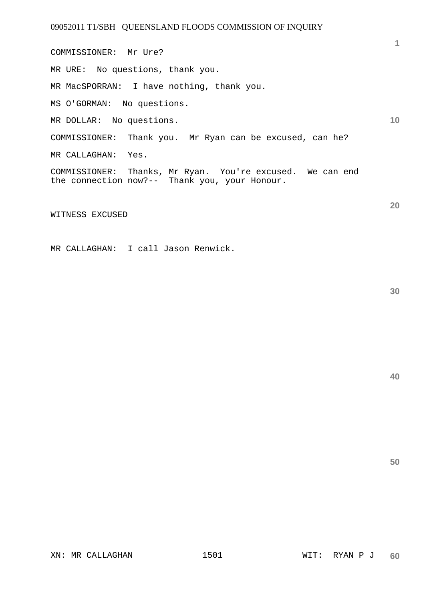**10 20**  COMMISSIONER: Mr Ure? MR URE: No questions, thank you. MR MacSPORRAN: I have nothing, thank you. MS O'GORMAN: No questions. MR DOLLAR: No questions. COMMISSIONER: Thank you. Mr Ryan can be excused, can he? MR CALLAGHAN: Yes. COMMISSIONER: Thanks, Mr Ryan. You're excused. We can end the connection now?-- Thank you, your Honour.

WITNESS EXCUSED

MR CALLAGHAN: I call Jason Renwick.

**30** 

**1**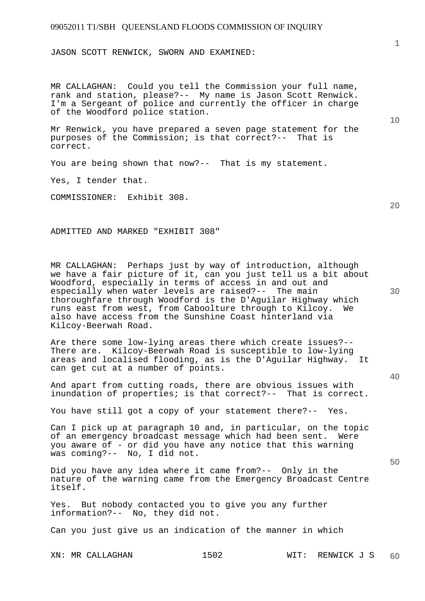JASON SCOTT RENWICK, SWORN AND EXAMINED:

MR CALLAGHAN: Could you tell the Commission your full name, rank and station, please?-- My name is Jason Scott Renwick. I'm a Sergeant of police and currently the officer in charge of the Woodford police station.

Mr Renwick, you have prepared a seven page statement for the purposes of the Commission; is that correct?-- That is correct.

You are being shown that now?-- That is my statement.

Yes, I tender that.

COMMISSIONER: Exhibit 308.

ADMITTED AND MARKED "EXHIBIT 308"

MR CALLAGHAN: Perhaps just by way of introduction, although we have a fair picture of it, can you just tell us a bit about Woodford, especially in terms of access in and out and especially when water levels are raised?-- The main thoroughfare through Woodford is the D'Aguilar Highway which runs east from west, from Caboolture through to Kilcoy. We also have access from the Sunshine Coast hinterland via Kilcoy-Beerwah Road.

Are there some low-lying areas there which create issues?-- There are. Kilcoy-Beerwah Road is susceptible to low-lying areas and localised flooding, as is the D'Aguilar Highway. It can get cut at a number of points.

And apart from cutting roads, there are obvious issues with inundation of properties; is that correct?-- That is correct.

You have still got a copy of your statement there?-- Yes.

Can I pick up at paragraph 10 and, in particular, on the topic of an emergency broadcast message which had been sent. Were you aware of - or did you have any notice that this warning was coming?-- No, I did not.

Did you have any idea where it came from?-- Only in the nature of the warning came from the Emergency Broadcast Centre itself.

Yes. But nobody contacted you to give you any further information?-- No, they did not.

Can you just give us an indication of the manner in which

**10** 

**1**

**20** 

**30** 

**40**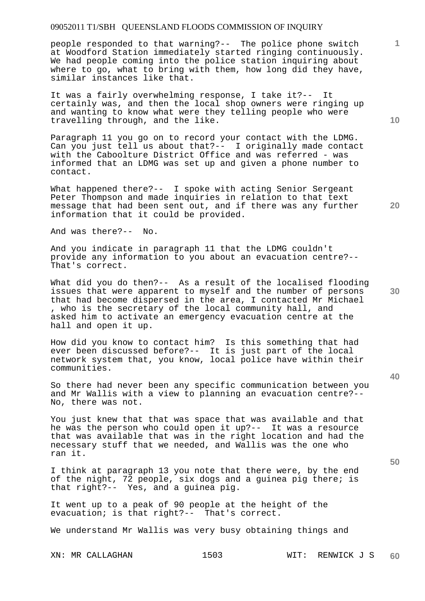people responded to that warning?-- The police phone switch at Woodford Station immediately started ringing continuously. We had people coming into the police station inquiring about where to go, what to bring with them, how long did they have, similar instances like that.

It was a fairly overwhelming response, I take it?-- It certainly was, and then the local shop owners were ringing up and wanting to know what were they telling people who were travelling through, and the like.

Paragraph 11 you go on to record your contact with the LDMG. Can you just tell us about that?-- I originally made contact with the Caboolture District Office and was referred - was informed that an LDMG was set up and given a phone number to contact.

What happened there?-- I spoke with acting Senior Sergeant Peter Thompson and made inquiries in relation to that text message that had been sent out, and if there was any further information that it could be provided.

And was there?-- No.

And you indicate in paragraph 11 that the LDMG couldn't provide any information to you about an evacuation centre?-- That's correct.

What did you do then?-- As a result of the localised flooding issues that were apparent to myself and the number of persons that had become dispersed in the area, I contacted Mr Michael , who is the secretary of the local community hall, and asked him to activate an emergency evacuation centre at the hall and open it up.

How did you know to contact him? Is this something that had ever been discussed before?-- It is just part of the local network system that, you know, local police have within their communities.

So there had never been any specific communication between you and Mr Wallis with a view to planning an evacuation centre?-- No, there was not.

You just knew that that was space that was available and that he was the person who could open it up?-- It was a resource that was available that was in the right location and had the necessary stuff that we needed, and Wallis was the one who ran it.

I think at paragraph 13 you note that there were, by the end of the night, 72 people, six dogs and a guinea pig there; is that right?-- Yes, and a guinea pig.

It went up to a peak of 90 people at the height of the evacuation; is that right?-- That's correct.

We understand Mr Wallis was very busy obtaining things and

**10** 

**1**

**20** 

**40**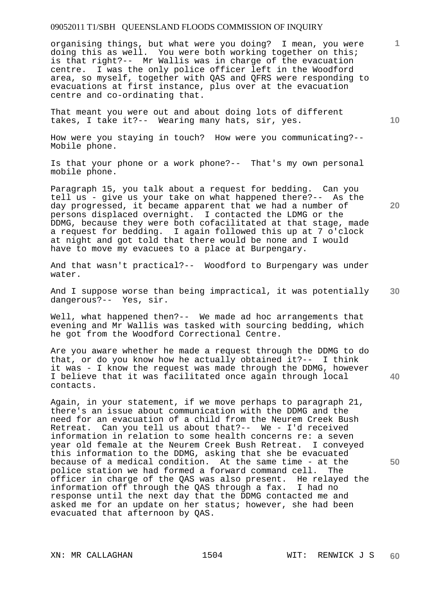organising things, but what were you doing? I mean, you were doing this as well. You were both working together on this; is that right?-- Mr Wallis was in charge of the evacuation centre. I was the only police officer left in the Woodford area, so myself, together with QAS and QFRS were responding to evacuations at first instance, plus over at the evacuation centre and co-ordinating that.

That meant you were out and about doing lots of different takes, I take it?-- Wearing many hats, sir, yes.

How were you staying in touch? How were you communicating?-- Mobile phone.

Is that your phone or a work phone?-- That's my own personal mobile phone.

Paragraph 15, you talk about a request for bedding. Can you tell us - give us your take on what happened there?-- As the day progressed, it became apparent that we had a number of persons displaced overnight. I contacted the LDMG or the DDMG, because they were both cofacilitated at that stage, made a request for bedding. I again followed this up at 7 o'clock at night and got told that there would be none and I would have to move my evacuees to a place at Burpengary.

And that wasn't practical?-- Woodford to Burpengary was under water.

**30**  And I suppose worse than being impractical, it was potentially dangerous?-- Yes, sir.

Well, what happened then?-- We made ad hoc arrangements that evening and Mr Wallis was tasked with sourcing bedding, which he got from the Woodford Correctional Centre.

Are you aware whether he made a request through the DDMG to do that, or do you know how he actually obtained it?-- I think it was - I know the request was made through the DDMG, however I believe that it was facilitated once again through local contacts.

Again, in your statement, if we move perhaps to paragraph 21, there's an issue about communication with the DDMG and the need for an evacuation of a child from the Neurem Creek Bush Retreat. Can you tell us about that?-- We - I'd received information in relation to some health concerns re: a seven year old female at the Neurem Creek Bush Retreat. I conveyed this information to the DDMG, asking that she be evacuated because of a medical condition. At the same time - at the police station we had formed a forward command cell. The officer in charge of the QAS was also present. He relayed the information off through the QAS through a fax. I had no response until the next day that the DDMG contacted me and asked me for an update on her status; however, she had been evacuated that afternoon by QAS.

**10** 

**20** 

**1**

**40**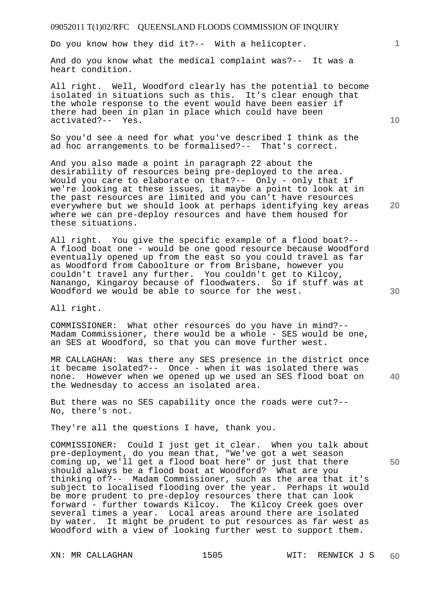Do you know how they did it?-- With a helicopter.

And do you know what the medical complaint was?-- It was a heart condition.

All right. Well, Woodford clearly has the potential to become isolated in situations such as this. It's clear enough that the whole response to the event would have been easier if there had been in plan in place which could have been activated?-- Yes.

So you'd see a need for what you've described I think as the ad hoc arrangements to be formalised?-- That's correct.

And you also made a point in paragraph 22 about the desirability of resources being pre-deployed to the area. Would you care to elaborate on that?-- Only - only that if we're looking at these issues, it maybe a point to look at in the past resources are limited and you can't have resources everywhere but we should look at perhaps identifying key areas where we can pre-deploy resources and have them housed for these situations.

All right. You give the specific example of a flood boat?-- A flood boat one - would be one good resource because Woodford eventually opened up from the east so you could travel as far as Woodford from Caboolture or from Brisbane, however you couldn't travel any further. You couldn't get to Kilcoy, Nanango, Kingaroy because of floodwaters. So if stuff was at Woodford we would be able to source for the west.

All right.

COMMISSIONER: What other resources do you have in mind?-- Madam Commissioner, there would be a whole - SES would be one, an SES at Woodford, so that you can move further west.

**40**  MR CALLAGHAN: Was there any SES presence in the district once it became isolated?-- Once - when it was isolated there was none. However when we opened up we used an SES flood boat on the Wednesday to access an isolated area.

But there was no SES capability once the roads were cut?-- No, there's not.

They're all the questions I have, thank you.

COMMISSIONER: Could I just get it clear. When you talk about pre-deployment, do you mean that, "We've got a wet season coming up, we'll get a flood boat here" or just that there should always be a flood boat at Woodford? What are you thinking of?-- Madam Commissioner, such as the area that it's subject to localised flooding over the year. Perhaps it would be more prudent to pre-deploy resources there that can look forward - further towards Kilcoy. The Kilcoy Creek goes over several times a year. Local areas around there are isolated by water. It might be prudent to put resources as far west as Woodford with a view of looking further west to support them.

**10** 

**20** 

**1**

**30**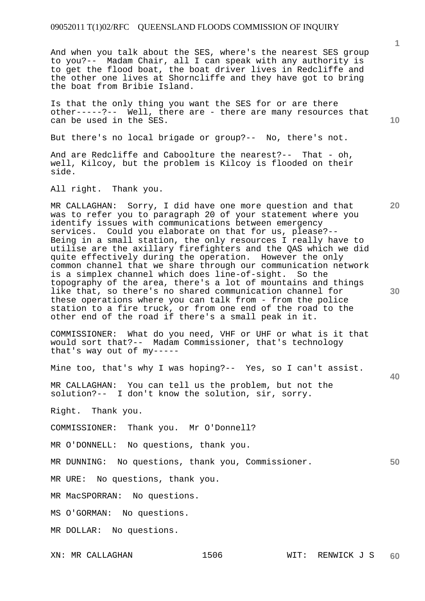And when you talk about the SES, where's the nearest SES group to you?-- Madam Chair, all I can speak with any authority is to get the flood boat, the boat driver lives in Redcliffe and the other one lives at Shorncliffe and they have got to bring the boat from Bribie Island.

Is that the only thing you want the SES for or are there other-----?-- Well, there are - there are many resources that can be used in the SES.

But there's no local brigade or group?-- No, there's not.

And are Redcliffe and Caboolture the nearest?-- That - oh, well, Kilcoy, but the problem is Kilcoy is flooded on their side.

All right. Thank you.

MR CALLAGHAN: Sorry, I did have one more question and that was to refer you to paragraph 20 of your statement where you identify issues with communications between emergency services. Could you elaborate on that for us, please?-- Being in a small station, the only resources I really have to utilise are the axillary firefighters and the QAS which we did quite effectively during the operation. However the only common channel that we share through our communication network is a simplex channel which does line-of-sight. So the topography of the area, there's a lot of mountains and things like that, so there's no shared communication channel for these operations where you can talk from - from the police station to a fire truck, or from one end of the road to the other end of the road if there's a small peak in it.

COMMISSIONER: What do you need, VHF or UHF or what is it that would sort that?-- Madam Commissioner, that's technology that's way out of my-----

Mine too, that's why I was hoping?-- Yes, so I can't assist.

MR CALLAGHAN: You can tell us the problem, but not the solution?-- I don't know the solution, sir, sorry.

Right. Thank you.

COMMISSIONER: Thank you. Mr O'Donnell?

MR O'DONNELL: No questions, thank you.

MR DUNNING: No questions, thank you, Commissioner.

MR URE: No questions, thank you.

MR MacSPORRAN: No questions.

MS O'GORMAN: No questions.

MR DOLLAR: No questions.

**20** 

**10** 

**30** 

**40**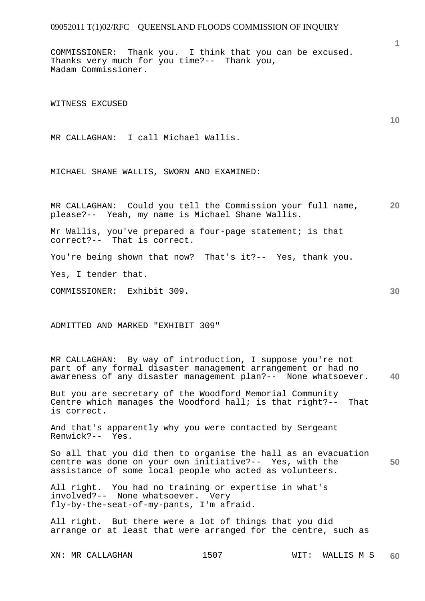COMMISSIONER: Thank you. I think that you can be excused. Thanks very much for you time?-- Thank you, Madam Commissioner.

WITNESS EXCUSED

MR CALLAGHAN: I call Michael Wallis.

MICHAEL SHANE WALLIS, SWORN AND EXAMINED:

**20**  MR CALLAGHAN: Could you tell the Commission your full name, please?-- Yeah, my name is Michael Shane Wallis.

Mr Wallis, you've prepared a four-page statement; is that correct?-- That is correct. That is correct.

You're being shown that now? That's it?-- Yes, thank you.

Yes, I tender that.

COMMISSIONER: Exhibit 309.

ADMITTED AND MARKED "EXHIBIT 309"

**40**  MR CALLAGHAN: By way of introduction, I suppose you're not part of any formal disaster management arrangement or had no awareness of any disaster management plan?-- None whatsoever.

But you are secretary of the Woodford Memorial Community Centre which manages the Woodford hall; is that right?-- That is correct.

And that's apparently why you were contacted by Sergeant Renwick?-- Yes.

**50**  So all that you did then to organise the hall as an evacuation centre was done on your own initiative?-- Yes, with the assistance of some local people who acted as volunteers.

All right. You had no training or expertise in what's involved?-- None whatsoever. Very fly-by-the-seat-of-my-pants, I'm afraid.

All right. But there were a lot of things that you did arrange or at least that were arranged for the centre, such as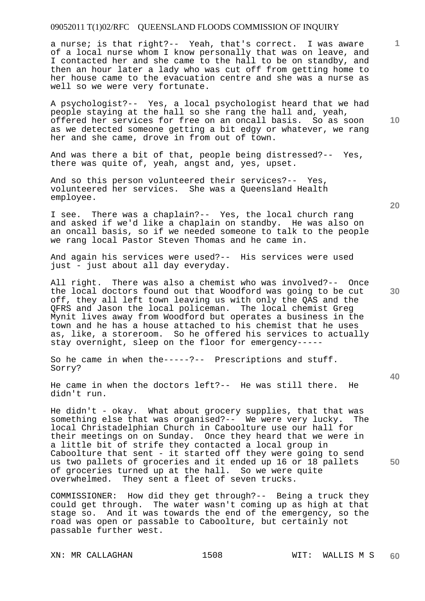a nurse; is that right?-- Yeah, that's correct. I was aware of a local nurse whom I know personally that was on leave, and I contacted her and she came to the hall to be on standby, and then an hour later a lady who was cut off from getting home to her house came to the evacuation centre and she was a nurse as well so we were very fortunate.

A psychologist?-- Yes, a local psychologist heard that we had people staying at the hall so she rang the hall and, yeah, offered her services for free on an oncall basis. So as soon as we detected someone getting a bit edgy or whatever, we rang her and she came, drove in from out of town.

And was there a bit of that, people being distressed?-- Yes, there was quite of, yeah, angst and, yes, upset.

And so this person volunteered their services?-- Yes, volunteered her services. She was a Queensland Health employee.

I see. There was a chaplain?-- Yes, the local church rang and asked if we'd like a chaplain on standby. He was also on an oncall basis, so if we needed someone to talk to the people we rang local Pastor Steven Thomas and he came in.

And again his services were used?-- His services were used just - just about all day everyday.

All right. There was also a chemist who was involved?-- Once the local doctors found out that Woodford was going to be cut off, they all left town leaving us with only the QAS and the QFRS and Jason the local policeman. The local chemist Greg Mynit lives away from Woodford but operates a business in the town and he has a house attached to his chemist that he uses as, like, a storeroom. So he offered his services to actually stay overnight, sleep on the floor for emergency-----

So he came in when the-----?-- Prescriptions and stuff. Sorry?

He came in when the doctors left?-- He was still there. He didn't run.

He didn't - okay. What about grocery supplies, that that was something else that was organised?-- We were very lucky. The something else that was organised?-- We were very lucky. local Christadelphian Church in Caboolture use our hall for their meetings on on Sunday. Once they heard that we were in a little bit of strife they contacted a local group in Caboolture that sent - it started off they were going to send us two pallets of groceries and it ended up 16 or 18 pallets of groceries turned up at the hall. So we were quite overwhelmed. They sent a fleet of seven trucks.

COMMISSIONER: How did they get through?-- Being a truck they could get through. The water wasn't coming up as high at that stage so. And it was towards the end of the emergency, so the road was open or passable to Caboolture, but certainly not passable further west.

XN: MR CALLAGHAN 1508 WIT: WALLIS M S

**20** 

**10** 

**1**

**40**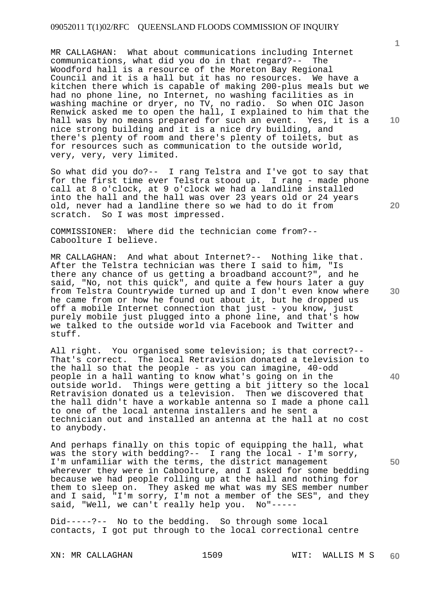MR CALLAGHAN: What about communications including Internet communications, what did you do in that regard?-- The Woodford hall is a resource of the Moreton Bay Regional Council and it is a hall but it has no resources. We have a kitchen there which is capable of making 200-plus meals but we had no phone line, no Internet, no washing facilities as in washing machine or dryer, no TV, no radio. So when OIC Jason Renwick asked me to open the hall, I explained to him that the hall was by no means prepared for such an event. Yes, it is a nice strong building and it is a nice dry building, and there's plenty of room and there's plenty of toilets, but as for resources such as communication to the outside world, very, very, very limited.

So what did you do?-- I rang Telstra and I've got to say that for the first time ever Telstra stood up. I rang - made phone call at 8 o'clock, at 9 o'clock we had a landline installed into the hall and the hall was over 23 years old or 24 years old, never had a landline there so we had to do it from scratch. So I was most impressed.

COMMISSIONER: Where did the technician come from?-- Caboolture I believe.

MR CALLAGHAN: And what about Internet?-- Nothing like that. After the Telstra technician was there I said to him, "Is there any chance of us getting a broadband account?", and he said, "No, not this quick", and quite a few hours later a guy from Telstra Countrywide turned up and I don't even know where he came from or how he found out about it, but he dropped us off a mobile Internet connection that just - you know, just purely mobile just plugged into a phone line, and that's how we talked to the outside world via Facebook and Twitter and stuff.

All right. You organised some television; is that correct?-- That's correct. The local Retravision donated a television to the hall so that the people - as you can imagine, 40-odd people in a hall wanting to know what's going on in the outside world. Things were getting a bit jittery so the local Retravision donated us a television. Then we discovered that the hall didn't have a workable antenna so I made a phone call to one of the local antenna installers and he sent a technician out and installed an antenna at the hall at no cost to anybody.

And perhaps finally on this topic of equipping the hall, what was the story with bedding?-- I rang the local - I'm sorry, I'm unfamiliar with the terms, the district management wherever they were in Caboolture, and I asked for some bedding because we had people rolling up at the hall and nothing for them to sleep on. They asked me what was my SES member number and I said, "I'm sorry, I'm not a member of the SES", and they said, "Well, we can't really help you. No"-----

Did-----?-- No to the bedding. So through some local contacts, I got put through to the local correctional centre

XN: MR CALLAGHAN 1509 WIT: WALLIS M S **60** 

**10** 

**1**

**20** 

**30** 

**40**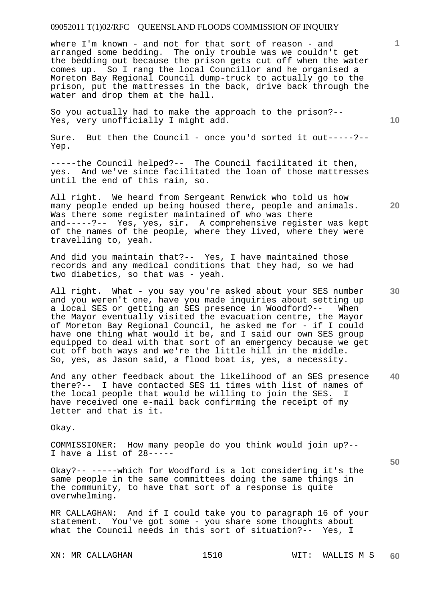where I'm known - and not for that sort of reason - and arranged some bedding. The only trouble was we couldn't get the bedding out because the prison gets cut off when the water comes up. So I rang the local Councillor and he organised a Moreton Bay Regional Council dump-truck to actually go to the prison, put the mattresses in the back, drive back through the water and drop them at the hall.

So you actually had to make the approach to the prison?-- Yes, very unofficially I might add.

Sure. But then the Council - once you'd sorted it out-----?--Yep.

-----the Council helped?-- The Council facilitated it then, yes. And we've since facilitated the loan of those mattresses until the end of this rain, so.

All right. We heard from Sergeant Renwick who told us how many people ended up being housed there, people and animals. Was there some register maintained of who was there and-----?-- Yes, yes, sir. A comprehensive register was kept of the names of the people, where they lived, where they were travelling to, yeah.

And did you maintain that?-- Yes, I have maintained those records and any medical conditions that they had, so we had two diabetics, so that was - yeah.

All right. What - you say you're asked about your SES number and you weren't one, have you made inquiries about setting up<br>a local SES or getting an SES presence in Woodford?-- When a local SES or getting an SES presence in Woodford?-the Mayor eventually visited the evacuation centre, the Mayor of Moreton Bay Regional Council, he asked me for - if I could have one thing what would it be, and I said our own SES group equipped to deal with that sort of an emergency because we get cut off both ways and we're the little hill in the middle. So, yes, as Jason said, a flood boat is, yes, a necessity.

**40**  And any other feedback about the likelihood of an SES presence there?-- I have contacted SES 11 times with list of names of the local people that would be willing to join the SES. I have received one e-mail back confirming the receipt of my letter and that is it.

Okay.

COMMISSIONER: How many people do you think would join up?-- I have a list of 28-----

Okay?-- -----which for Woodford is a lot considering it's the same people in the same committees doing the same things in the community, to have that sort of a response is quite overwhelming.

MR CALLAGHAN: And if I could take you to paragraph 16 of your statement. You've got some - you share some thoughts about what the Council needs in this sort of situation?-- Yes, I

**10** 

**1**

**50**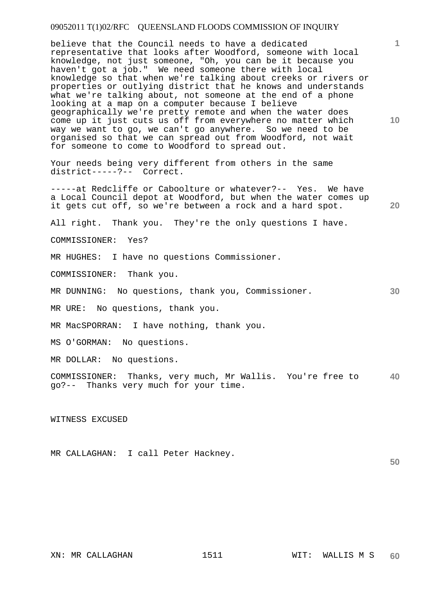believe that the Council needs to have a dedicated representative that looks after Woodford, someone with local knowledge, not just someone, "Oh, you can be it because you haven't got a job." We need someone there with local knowledge so that when we're talking about creeks or rivers or properties or outlying district that he knows and understands what we're talking about, not someone at the end of a phone looking at a map on a computer because I believe geographically we're pretty remote and when the water does come up it just cuts us off from everywhere no matter which way we want to go, we can't go anywhere. So we need to be organised so that we can spread out from Woodford, not wait for someone to come to Woodford to spread out.

Your needs being very different from others in the same district-----?-- Correct.

-----at Redcliffe or Caboolture or whatever?-- Yes. We have a Local Council depot at Woodford, but when the water comes up it gets cut off, so we're between a rock and a hard spot.

All right. Thank you. They're the only questions I have.

COMMISSIONER: Yes?

MR HUGHES: I have no questions Commissioner.

COMMISSIONER: Thank you.

MR DUNNING: No questions, thank you, Commissioner.

MR URE: No questions, thank you.

MR MacSPORRAN: I have nothing, thank you.

MS O'GORMAN: No questions.

MR DOLLAR: No questions.

**40**  COMMISSIONER: Thanks, very much, Mr Wallis. You're free to go?-- Thanks very much for your time.

#### WITNESS EXCUSED

MR CALLAGHAN: I call Peter Hackney.

**1**

**10** 

**20** 

**30**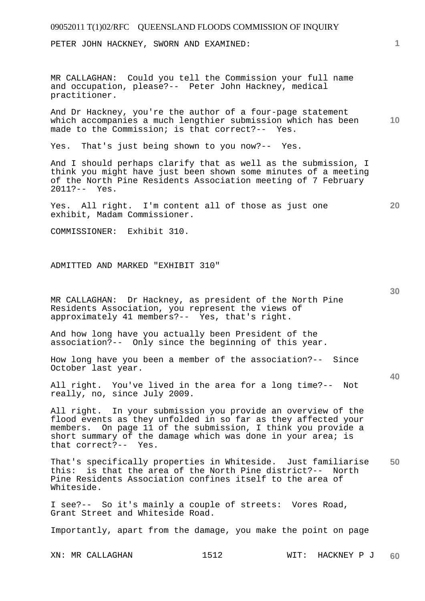| 09052011 T(1)02/RFC QUEENSLAND FLOODS COMMISSION OF INQUIRY                                                                                                                                                                                                                          |                 |
|--------------------------------------------------------------------------------------------------------------------------------------------------------------------------------------------------------------------------------------------------------------------------------------|-----------------|
| PETER JOHN HACKNEY, SWORN AND EXAMINED:                                                                                                                                                                                                                                              | $\mathbf{1}$    |
| MR CALLAGHAN: Could you tell the Commission your full name<br>and occupation, please?-- Peter John Hackney, medical<br>practitioner.                                                                                                                                                 |                 |
| And Dr Hackney, you're the author of a four-page statement<br>which accompanies a much lengthier submission which has been<br>made to the Commission; is that correct?-- Yes.                                                                                                        | 10 <sup>°</sup> |
| Yes. That's just being shown to you now?-- Yes.                                                                                                                                                                                                                                      |                 |
| And I should perhaps clarify that as well as the submission, I<br>think you might have just been shown some minutes of a meeting<br>of the North Pine Residents Association meeting of 7 February<br>$2011? -- Yes.$                                                                 |                 |
| Yes. All right. I'm content all of those as just one<br>exhibit, Madam Commissioner.                                                                                                                                                                                                 | 20              |
| COMMISSIONER: Exhibit 310.                                                                                                                                                                                                                                                           |                 |
| ADMITTED AND MARKED "EXHIBIT 310"                                                                                                                                                                                                                                                    | 30              |
| MR CALLAGHAN: Dr Hackney, as president of the North Pine<br>Residents Association, you represent the views of<br>approximately 41 members?-- Yes, that's right.                                                                                                                      |                 |
| And how long have you actually been President of the<br>association?-- Only since the beginning of this year.                                                                                                                                                                        |                 |
| How long have you been a member of the association?-- Since<br>October last year.                                                                                                                                                                                                    |                 |
| All right. You've lived in the area for a long time?-- Not<br>really, no, since July 2009.                                                                                                                                                                                           | 40              |
| All right. In your submission you provide an overview of the<br>flood events as they unfolded in so far as they affected your<br>members. On page 11 of the submission, I think you provide a<br>short summary of the damage which was done in your area; is<br>that correct?-- Yes. |                 |
| That's specifically properties in Whiteside. Just familiarise<br>this: is that the area of the North Pine district?-- North<br>Pine Residents Association confines itself to the area of<br>Whiteside.                                                                               | 50              |
| I see?-- So it's mainly a couple of streets: Vores Road,<br>Grant Street and Whiteside Road.                                                                                                                                                                                         |                 |
| Importantly, apart from the damage, you make the point on page                                                                                                                                                                                                                       |                 |

XN: MR CALLAGHAN 1512 WIT: HACKNEY P J **60**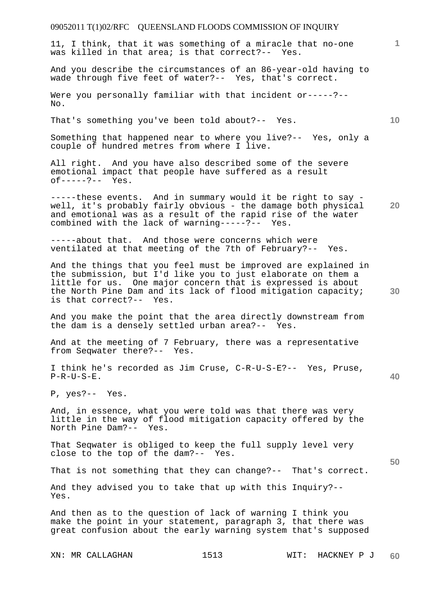11, I think, that it was something of a miracle that no-one was killed in that area; is that correct?-- Yes.

And you describe the circumstances of an 86-year-old having to wade through five feet of water?-- Yes, that's correct.

Were you personally familiar with that incident or-----?--No.

That's something you've been told about?-- Yes.

Something that happened near to where you live?-- Yes, only a couple of hundred metres from where I live.

All right. And you have also described some of the severe emotional impact that people have suffered as a result of-----?-- Yes.

**20**  -----these events. And in summary would it be right to say well, it's probably fairly obvious - the damage both physical and emotional was as a result of the rapid rise of the water combined with the lack of warning-----?-- Yes.

-----about that. And those were concerns which were ventilated at that meeting of the 7th of February?-- Yes.

And the things that you feel must be improved are explained in the submission, but I'd like you to just elaborate on them a little for us. One major concern that is expressed is about the North Pine Dam and its lack of flood mitigation capacity; is that correct?-- Yes.

And you make the point that the area directly downstream from the dam is a densely settled urban area?-- Yes.

And at the meeting of 7 February, there was a representative from Seqwater there?-- Yes.

I think he's recorded as Jim Cruse, C-R-U-S-E?-- Yes, Pruse, P-R-U-S-E.

P, yes?-- Yes.

And, in essence, what you were told was that there was very little in the way of flood mitigation capacity offered by the North Pine Dam?-- Yes.

That Seqwater is obliged to keep the full supply level very close to the top of the dam?-- Yes.

That is not something that they can change?-- That's correct.

And they advised you to take that up with this Inquiry?-- Yes.

And then as to the question of lack of warning I think you make the point in your statement, paragraph 3, that there was great confusion about the early warning system that's supposed

**10** 

**1**

**40** 

**50**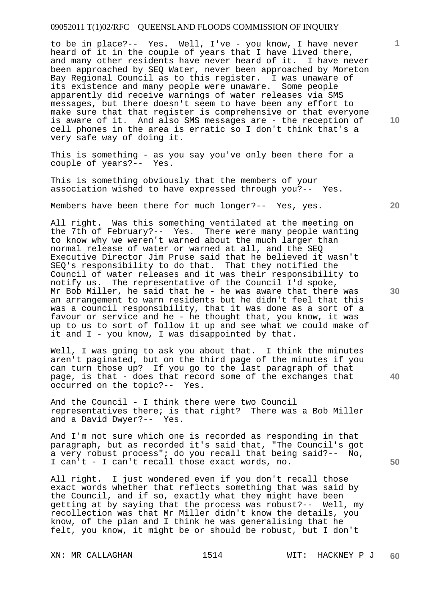to be in place?-- Yes. Well, I've - you know, I have never heard of it in the couple of years that I have lived there, and many other residents have never heard of it. I have never been approached by SEQ Water, never been approached by Moreton Bay Regional Council as to this register. I was unaware of its existence and many people were unaware. Some people apparently did receive warnings of water releases via SMS messages, but there doesn't seem to have been any effort to make sure that that register is comprehensive or that everyone is aware of it. And also SMS messages are - the reception of cell phones in the area is erratic so I don't think that's a very safe way of doing it.

This is something - as you say you've only been there for a couple of years?-- Yes.

This is something obviously that the members of your association wished to have expressed through you?-- Yes.

Members have been there for much longer?-- Yes, yes.

All right. Was this something ventilated at the meeting on the 7th of February?-- Yes. There were many people wanting to know why we weren't warned about the much larger than normal release of water or warned at all, and the SEQ Executive Director Jim Pruse said that he believed it wasn't SEQ's responsibility to do that. That they notified the Council of water releases and it was their responsibility to notify us. The representative of the Council I'd spoke, Mr Bob Miller, he said that he - he was aware that there was an arrangement to warn residents but he didn't feel that this was a council responsibility, that it was done as a sort of a favour or service and he - he thought that, you know, it was up to us to sort of follow it up and see what we could make of it and I - you know, I was disappointed by that.

Well, I was going to ask you about that. I think the minutes aren't paginated, but on the third page of the minutes if you can turn those up? If you go to the last paragraph of that page, is that - does that record some of the exchanges that occurred on the topic?-- Yes.

And the Council - I think there were two Council representatives there; is that right? There was a Bob Miller and a David Dwyer?-- Yes.

And I'm not sure which one is recorded as responding in that paragraph, but as recorded it's said that, "The Council's got a very robust process"; do you recall that being said?-- No, I can't - I can't recall those exact words, no.

All right. I just wondered even if you don't recall those exact words whether that reflects something that was said by the Council, and if so, exactly what they might have been getting at by saying that the process was robust?-- Well, my recollection was that Mr Miller didn't know the details, you know, of the plan and I think he was generalising that he felt, you know, it might be or should be robust, but I don't

**10** 

**1**

**20** 

**40**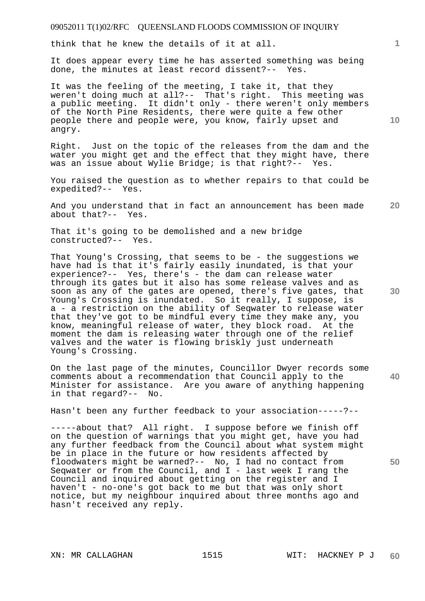think that he knew the details of it at all.

It does appear every time he has asserted something was being done, the minutes at least record dissent?-- Yes.

It was the feeling of the meeting, I take it, that they weren't doing much at all?-- That's right. This meeting was a public meeting. It didn't only - there weren't only members of the North Pine Residents, there were quite a few other people there and people were, you know, fairly upset and angry.

Right. Just on the topic of the releases from the dam and the water you might get and the effect that they might have, there was an issue about Wylie Bridge; is that right?-- Yes.

You raised the question as to whether repairs to that could be expedited?-- Yes.

**20**  And you understand that in fact an announcement has been made about that?-- Yes.

That it's going to be demolished and a new bridge constructed?-- Yes.

That Young's Crossing, that seems to be - the suggestions we have had is that it's fairly easily inundated, is that your experience?-- Yes, there's - the dam can release water through its gates but it also has some release valves and as soon as any of the gates are opened, there's five gates, that Young's Crossing is inundated. So it really, I suppose, is a - a restriction on the ability of Seqwater to release water that they've got to be mindful every time they make any, you know, meaningful release of water, they block road. At the moment the dam is releasing water through one of the relief valves and the water is flowing briskly just underneath Young's Crossing.

On the last page of the minutes, Councillor Dwyer records some comments about a recommendation that Council apply to the Minister for assistance. Are you aware of anything happening in that regard?-- No.

Hasn't been any further feedback to your association-----?--

-----about that? All right. I suppose before we finish off on the question of warnings that you might get, have you had any further feedback from the Council about what system might be in place in the future or how residents affected by floodwaters might be warned?-- No, I had no contact from Seqwater or from the Council, and I - last week I rang the Council and inquired about getting on the register and I haven't - no-one's got back to me but that was only short notice, but my neighbour inquired about three months ago and hasn't received any reply.

**1**

**10** 

**30** 

**40**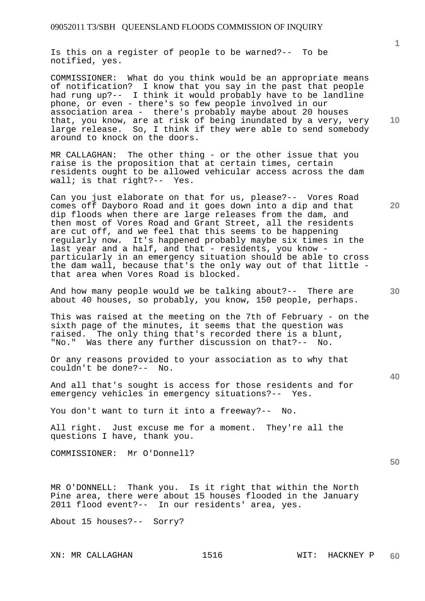Is this on a register of people to be warned?-- To be notified, yes.

COMMISSIONER: What do you think would be an appropriate means of notification? I know that you say in the past that people had rung up?-- I think it would probably have to be landline phone, or even - there's so few people involved in our association area - there's probably maybe about 20 houses that, you know, are at risk of being inundated by a very, very large release. So, I think if they were able to send somebody around to knock on the doors.

MR CALLAGHAN: The other thing - or the other issue that you raise is the proposition that at certain times, certain residents ought to be allowed vehicular access across the dam wall; is that right?-- Yes.

Can you just elaborate on that for us, please?-- Vores Road comes off Dayboro Road and it goes down into a dip and that dip floods when there are large releases from the dam, and then most of Vores Road and Grant Street, all the residents are cut off, and we feel that this seems to be happening regularly now. It's happened probably maybe six times in the last year and a half, and that - residents, you know particularly in an emergency situation should be able to cross the dam wall, because that's the only way out of that little that area when Vores Road is blocked.

And how many people would we be talking about?-- There are about 40 houses, so probably, you know, 150 people, perhaps.

This was raised at the meeting on the 7th of February - on the sixth page of the minutes, it seems that the question was raised. The only thing that's recorded there is a blunt, "No." Was there any further discussion on that?-- No.

Or any reasons provided to your association as to why that couldn't be done?-- No.

And all that's sought is access for those residents and for emergency vehicles in emergency situations?-- Yes.

You don't want to turn it into a freeway?-- No.

All right. Just excuse me for a moment. They're all the questions I have, thank you.

COMMISSIONER: Mr O'Donnell?

MR O'DONNELL: Thank you. Is it right that within the North Pine area, there were about 15 houses flooded in the January 2011 flood event?-- In our residents' area, yes.

About 15 houses?-- Sorry?

**1**

**20** 

**10** 

**30** 

**50**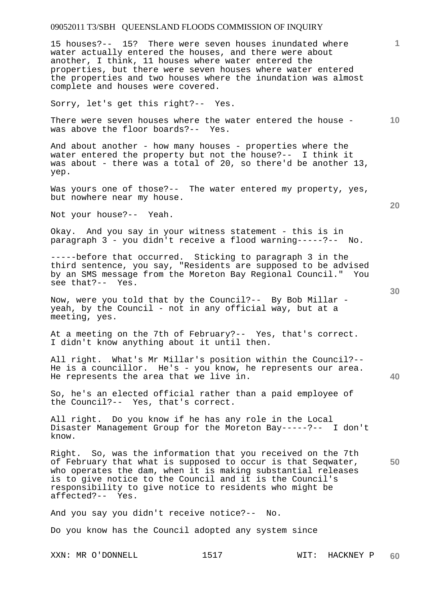15 houses?-- 15? There were seven houses inundated where water actually entered the houses, and there were about another, I think, 11 houses where water entered the properties, but there were seven houses where water entered the properties and two houses where the inundation was almost complete and houses were covered.

Sorry, let's get this right?-- Yes.

**10**  There were seven houses where the water entered the house was above the floor boards?-- Yes.

And about another - how many houses - properties where the water entered the property but not the house?-- I think it was about - there was a total of 20, so there'd be another 13, yep.

Was yours one of those?-- The water entered my property, yes, but nowhere near my house.

Not your house?-- Yeah.

Okay. And you say in your witness statement - this is in paragraph 3 - you didn't receive a flood warning-----?-- No.

-----before that occurred. Sticking to paragraph 3 in the third sentence, you say, "Residents are supposed to be advised by an SMS message from the Moreton Bay Regional Council." You see that?-- Yes.

Now, were you told that by the Council?-- By Bob Millar yeah, by the Council - not in any official way, but at a meeting, yes.

At a meeting on the 7th of February?-- Yes, that's correct. I didn't know anything about it until then.

All right. What's Mr Millar's position within the Council?-- He is a councillor. He's - you know, he represents our area. He represents the area that we live in.

So, he's an elected official rather than a paid employee of the Council?-- Yes, that's correct.

All right. Do you know if he has any role in the Local Disaster Management Group for the Moreton Bay-----?-- I don't know.

Right. So, was the information that you received on the 7th of February that what is supposed to occur is that Seqwater, who operates the dam, when it is making substantial releases is to give notice to the Council and it is the Council's responsibility to give notice to residents who might be affected?-- Yes.

And you say you didn't receive notice?-- No.

Do you know has the Council adopted any system since

XXN: MR O'DONNELL 1517 WIT: HACKNEY P

**20** 

**1**

**50**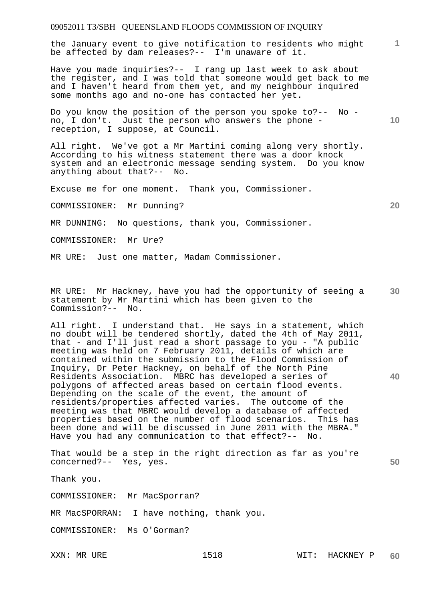the January event to give notification to residents who might be affected by dam releases?-- I'm unaware of it.

Have you made inquiries?-- I rang up last week to ask about the register, and I was told that someone would get back to me and I haven't heard from them yet, and my neighbour inquired some months ago and no-one has contacted her yet.

Do you know the position of the person you spoke to?-- No no, I don't. Just the person who answers the phone reception, I suppose, at Council.

All right. We've got a Mr Martini coming along very shortly. According to his witness statement there was a door knock system and an electronic message sending system. Do you know anything about that?-- No.

Excuse me for one moment. Thank you, Commissioner.

COMMISSIONER: Mr Dunning?

MR DUNNING: No questions, thank you, Commissioner.

COMMISSIONER: Mr Ure?

MR URE: Just one matter, Madam Commissioner.

**30**  MR URE: Mr Hackney, have you had the opportunity of seeing a statement by Mr Martini which has been given to the Commission?-- No.

All right. I understand that. He says in a statement, which no doubt will be tendered shortly, dated the 4th of May 2011, that - and I'll just read a short passage to you - "A public meeting was held on 7 February 2011, details of which are contained within the submission to the Flood Commission of Inquiry, Dr Peter Hackney, on behalf of the North Pine Residents Association. MBRC has developed a series of polygons of affected areas based on certain flood events. Depending on the scale of the event, the amount of residents/properties affected varies. The outcome of the meeting was that MBRC would develop a database of affected properties based on the number of flood scenarios. This has been done and will be discussed in June 2011 with the MBRA." Have you had any communication to that effect?-- No.

That would be a step in the right direction as far as you're concerned?-- Yes, yes.

Thank you.

COMMISSIONER: Mr MacSporran?

MR MacSPORRAN: I have nothing, thank you.

COMMISSIONER: Ms O'Gorman?

**20** 

**10** 

**40**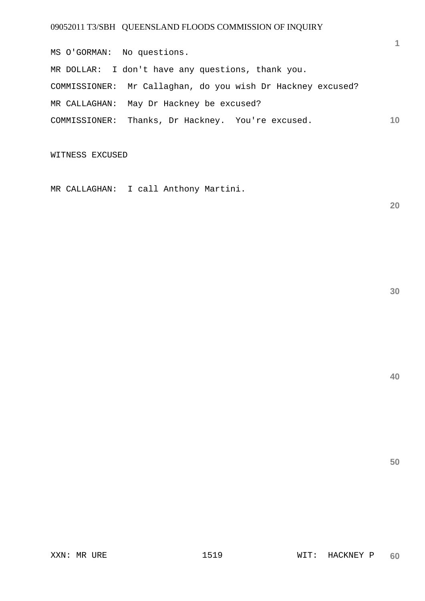**10**  MS O'GORMAN: No questions. MR DOLLAR: I don't have any questions, thank you. COMMISSIONER: Mr Callaghan, do you wish Dr Hackney excused? MR CALLAGHAN: May Dr Hackney be excused? COMMISSIONER: Thanks, Dr Hackney. You're excused.

WITNESS EXCUSED

MR CALLAGHAN: I call Anthony Martini.

**20** 

**1**

**40**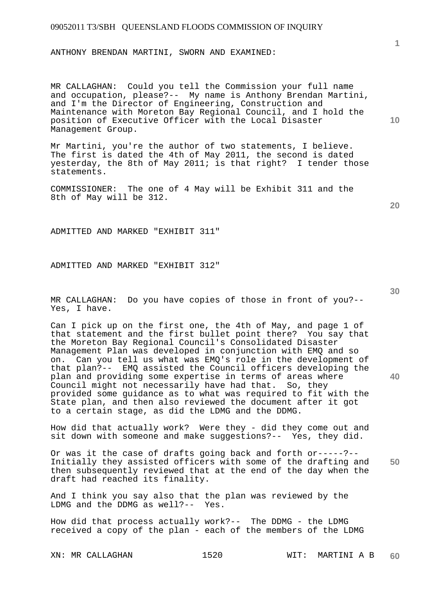ANTHONY BRENDAN MARTINI, SWORN AND EXAMINED:

MR CALLAGHAN: Could you tell the Commission your full name and occupation, please?-- My name is Anthony Brendan Martini, and I'm the Director of Engineering, Construction and Maintenance with Moreton Bay Regional Council, and I hold the position of Executive Officer with the Local Disaster Management Group.

Mr Martini, you're the author of two statements, I believe. The first is dated the 4th of May 2011, the second is dated yesterday, the 8th of May 2011; is that right? I tender those statements.

COMMISSIONER: The one of 4 May will be Exhibit 311 and the 8th of May will be 312.

ADMITTED AND MARKED "EXHIBIT 311"

ADMITTED AND MARKED "EXHIBIT 312"

MR CALLAGHAN: Do you have copies of those in front of you?-- Yes, I have.

Can I pick up on the first one, the 4th of May, and page 1 of that statement and the first bullet point there? You say that the Moreton Bay Regional Council's Consolidated Disaster Management Plan was developed in conjunction with EMQ and so on. Can you tell us what was EMQ's role in the development of that plan?-- EMQ assisted the Council officers developing the plan and providing some expertise in terms of areas where Council might not necessarily have had that. So, they provided some guidance as to what was required to fit with the State plan, and then also reviewed the document after it got to a certain stage, as did the LDMG and the DDMG.

How did that actually work? Were they - did they come out and sit down with someone and make suggestions?-- Yes, they did.

**50**  Or was it the case of drafts going back and forth or-----?-- Initially they assisted officers with some of the drafting and then subsequently reviewed that at the end of the day when the draft had reached its finality.

And I think you say also that the plan was reviewed by the LDMG and the DDMG as well?-- Yes.

How did that process actually work?-- The DDMG - the LDMG received a copy of the plan - each of the members of the LDMG

**30** 

**20** 

**40** 

**10**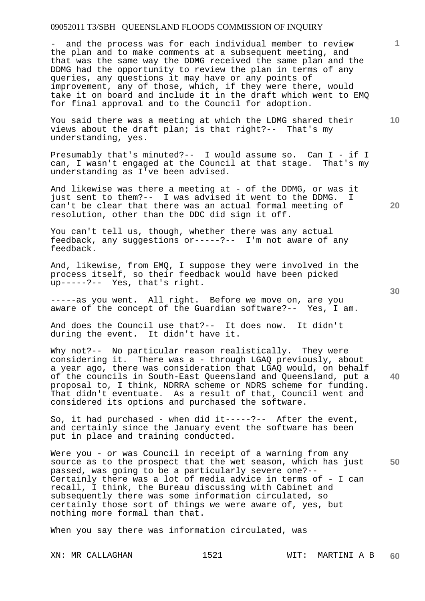- and the process was for each individual member to review the plan and to make comments at a subsequent meeting, and that was the same way the DDMG received the same plan and the DDMG had the opportunity to review the plan in terms of any queries, any questions it may have or any points of improvement, any of those, which, if they were there, would take it on board and include it in the draft which went to EMQ for final approval and to the Council for adoption.

You said there was a meeting at which the LDMG shared their views about the draft plan; is that right?-- That's my understanding, yes.

Presumably that's minuted?-- I would assume so. Can I - if I can, I wasn't engaged at the Council at that stage. That's my understanding as I've been advised.

And likewise was there a meeting at - of the DDMG, or was it just sent to them?-- I was advised it went to the DDMG. I can't be clear that there was an actual formal meeting of resolution, other than the DDC did sign it off.

You can't tell us, though, whether there was any actual feedback, any suggestions or-----?-- I'm not aware of any feedback.

And, likewise, from EMQ, I suppose they were involved in the process itself, so their feedback would have been picked up-----?-- Yes, that's right.

-----as you went. All right. Before we move on, are you aware of the concept of the Guardian software?-- Yes, I am.

And does the Council use that?-- It does now. It didn't during the event. It didn't have it.

Why not?-- No particular reason realistically. They were considering it. There was a - through LGAQ previously, about a year ago, there was consideration that LGAQ would, on behalf of the councils in South-East Queensland and Queensland, put a proposal to, I think, NDRRA scheme or NDRS scheme for funding. That didn't eventuate. As a result of that, Council went and considered its options and purchased the software.

So, it had purchased - when did  $it---?---$  After the event, and certainly since the January event the software has been put in place and training conducted.

**50**  Were you - or was Council in receipt of a warning from any source as to the prospect that the wet season, which has just passed, was going to be a particularly severe one?-- Certainly there was a lot of media advice in terms of - I can recall, I think, the Bureau discussing with Cabinet and subsequently there was some information circulated, so certainly those sort of things we were aware of, yes, but nothing more formal than that.

When you say there was information circulated, was

**30** 

**40** 

**20** 

**10**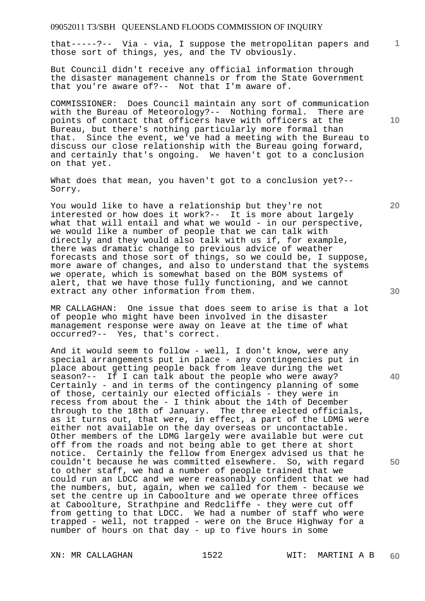that-----?-- Via - via, I suppose the metropolitan papers and those sort of things, yes, and the TV obviously.

But Council didn't receive any official information through the disaster management channels or from the State Government that you're aware of?-- Not that I'm aware of.

COMMISSIONER: Does Council maintain any sort of communication with the Bureau of Meteorology?-- Nothing formal. There are points of contact that officers have with officers at the Bureau, but there's nothing particularly more formal than that. Since the event, we've had a meeting with the Bureau to discuss our close relationship with the Bureau going forward, and certainly that's ongoing. We haven't got to a conclusion on that yet.

What does that mean, you haven't got to a conclusion yet?-- Sorry.

You would like to have a relationship but they're not interested or how does it work?-- It is more about largely what that will entail and what we would - in our perspective, we would like a number of people that we can talk with directly and they would also talk with us if, for example, there was dramatic change to previous advice of weather forecasts and those sort of things, so we could be, I suppose, more aware of changes, and also to understand that the systems we operate, which is somewhat based on the BOM systems of alert, that we have those fully functioning, and we cannot extract any other information from them.

MR CALLAGHAN: One issue that does seem to arise is that a lot of people who might have been involved in the disaster management response were away on leave at the time of what occurred?-- Yes, that's correct.

And it would seem to follow - well, I don't know, were any special arrangements put in place - any contingencies put in place about getting people back from leave during the wet season?-- If I can talk about the people who were away? Certainly - and in terms of the contingency planning of some of those, certainly our elected officials - they were in recess from about the - I think about the 14th of December through to the 18th of January. The three elected officials, as it turns out, that were, in effect, a part of the LDMG were either not available on the day overseas or uncontactable. Other members of the LDMG largely were available but were cut off from the roads and not being able to get there at short notice. Certainly the fellow from Energex advised us that he couldn't because he was committed elsewhere. So, with regard to other staff, we had a number of people trained that we could run an LDCC and we were reasonably confident that we had the numbers, but, again, when we called for them - because we set the centre up in Caboolture and we operate three offices at Caboolture, Strathpine and Redcliffe - they were cut off from getting to that LDCC. We had a number of staff who were trapped - well, not trapped - were on the Bruce Highway for a number of hours on that day - up to five hours in some

**10** 

**1**

**20** 

**40**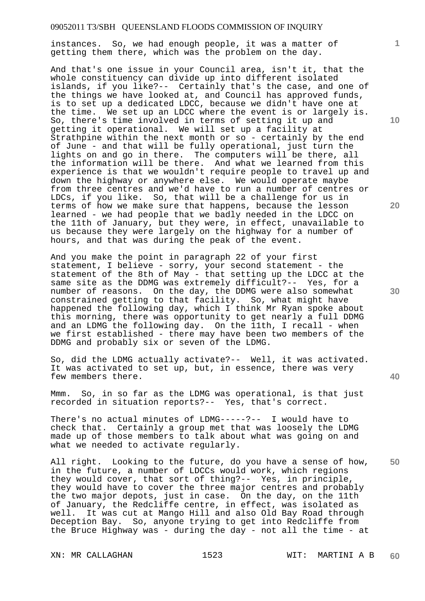instances. So, we had enough people, it was a matter of getting them there, which was the problem on the day.

And that's one issue in your Council area, isn't it, that the whole constituency can divide up into different isolated islands, if you like?-- Certainly that's the case, and one of the things we have looked at, and Council has approved funds, is to set up a dedicated LDCC, because we didn't have one at the time. We set up an LDCC where the event is or largely is. So, there's time involved in terms of setting it up and getting it operational. We will set up a facility at Strathpine within the next month or so - certainly by the end of June - and that will be fully operational, just turn the lights on and go in there. The computers will be there, all the information will be there. And what we learned from this experience is that we wouldn't require people to travel up and down the highway or anywhere else. We would operate maybe from three centres and we'd have to run a number of centres or LDCs, if you like. So, that will be a challenge for us in terms of how we make sure that happens, because the lesson learned - we had people that we badly needed in the LDCC on the 11th of January, but they were, in effect, unavailable to us because they were largely on the highway for a number of hours, and that was during the peak of the event.

And you make the point in paragraph 22 of your first statement, I believe - sorry, your second statement - the statement of the 8th of May - that setting up the LDCC at the same site as the DDMG was extremely difficult?-- Yes, for a number of reasons. On the day, the DDMG were also somewhat constrained getting to that facility. So, what might have happened the following day, which I think Mr Ryan spoke about this morning, there was opportunity to get nearly a full DDMG and an LDMG the following day. On the 11th, I recall - when we first established - there may have been two members of the DDMG and probably six or seven of the LDMG.

So, did the LDMG actually activate?-- Well, it was activated. It was activated to set up, but, in essence, there was very few members there.

Mmm. So, in so far as the LDMG was operational, is that just recorded in situation reports?-- Yes, that's correct.

There's no actual minutes of LDMG-----?-- I would have to check that. Certainly a group met that was loosely the LDMG made up of those members to talk about what was going on and what we needed to activate regularly.

**50**  All right. Looking to the future, do you have a sense of how, in the future, a number of LDCCs would work, which regions they would cover, that sort of thing?-- Yes, in principle, they would have to cover the three major centres and probably the two major depots, just in case. On the day, on the 11th of January, the Redcliffe centre, in effect, was isolated as well. It was cut at Mango Hill and also Old Bay Road through Deception Bay. So, anyone trying to get into Redcliffe from the Bruce Highway was - during the day - not all the time - at

**10** 

**1**

**20** 

**30**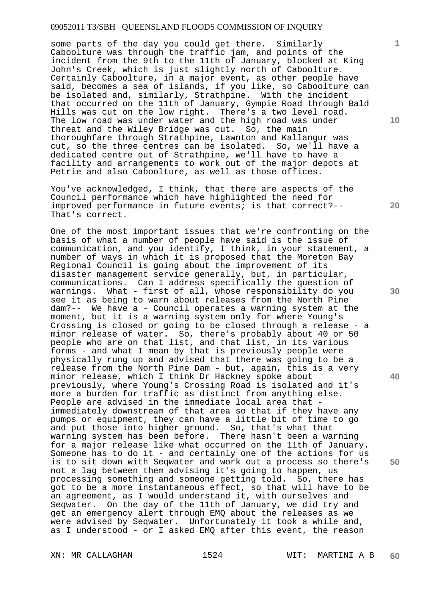some parts of the day you could get there. Similarly Caboolture was through the traffic jam, and points of the incident from the 9th to the 11th of January, blocked at King John's Creek, which is just slightly north of Caboolture. Certainly Caboolture, in a major event, as other people have said, becomes a sea of islands, if you like, so Caboolture can be isolated and, similarly, Strathpine. With the incident that occurred on the 11th of January, Gympie Road through Bald Hills was cut on the low right. There's a two level road. The low road was under water and the high road was under threat and the Wiley Bridge was cut. So, the main thoroughfare through Strathpine, Lawnton and Kallangur was cut, so the three centres can be isolated. So, we'll have a dedicated centre out of Strathpine, we'll have to have a facility and arrangements to work out of the major depots at Petrie and also Caboolture, as well as those offices.

You've acknowledged, I think, that there are aspects of the Council performance which have highlighted the need for improved performance in future events; is that correct?-- That's correct.

One of the most important issues that we're confronting on the basis of what a number of people have said is the issue of communication, and you identify, I think, in your statement, a number of ways in which it is proposed that the Moreton Bay Regional Council is going about the improvement of its disaster management service generally, but, in particular, communications. Can I address specifically the question of warnings. What - first of all, whose responsibility do you see it as being to warn about releases from the North Pine dam?-- We have a - Council operates a warning system at the moment, but it is a warning system only for where Young's Crossing is closed or going to be closed through a release - a minor release of water. So, there's probably about 40 or 50 people who are on that list, and that list, in its various forms - and what I mean by that is previously people were physically rung up and advised that there was going to be a release from the North Pine Dam - but, again, this is a very minor release, which I think Dr Hackney spoke about previously, where Young's Crossing Road is isolated and it's more a burden for traffic as distinct from anything else. People are advised in the immediate local area that immediately downstream of that area so that if they have any pumps or equipment, they can have a little bit of time to go and put those into higher ground. So, that's what that warning system has been before. There hasn't been a warning for a major release like what occurred on the 11th of January. Someone has to do it - and certainly one of the actions for us is to sit down with Seqwater and work out a process so there's not a lag between them advising it's going to happen, us processing something and someone getting told. So, there has got to be a more instantaneous effect, so that will have to be an agreement, as I would understand it, with ourselves and Seqwater. On the day of the 11th of January, we did try and get an emergency alert through EMQ about the releases as we were advised by Seqwater. Unfortunately it took a while and, as I understood - or I asked EMQ after this event, the reason

**1**

**10** 

**20** 

**30** 

**40**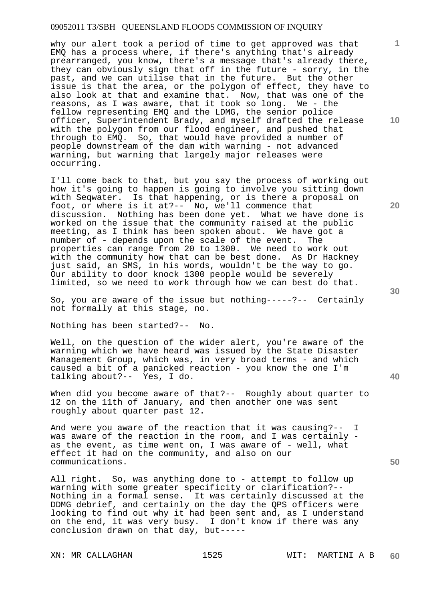why our alert took a period of time to get approved was that EMQ has a process where, if there's anything that's already prearranged, you know, there's a message that's already there, they can obviously sign that off in the future - sorry, in the past, and we can utilise that in the future. But the other issue is that the area, or the polygon of effect, they have to also look at that and examine that. Now, that was one of the reasons, as I was aware, that it took so long. We - the fellow representing EMQ and the LDMG, the senior police officer, Superintendent Brady, and myself drafted the release with the polygon from our flood engineer, and pushed that through to EMQ. So, that would have provided a number of people downstream of the dam with warning - not advanced warning, but warning that largely major releases were occurring.

I'll come back to that, but you say the process of working out how it's going to happen is going to involve you sitting down with Seqwater. Is that happening, or is there a proposal on foot, or where is it at?-- No, we'll commence that discussion. Nothing has been done yet. What we have done is worked on the issue that the community raised at the public meeting, as I think has been spoken about. We have got a number of - depends upon the scale of the event. The properties can range from 20 to 1300. We need to work out with the community how that can be best done. As Dr Hackney just said, an SMS, in his words, wouldn't be the way to go. Our ability to door knock 1300 people would be severely limited, so we need to work through how we can best do that.

So, you are aware of the issue but nothing-----?-- Certainly not formally at this stage, no.

Nothing has been started?-- No.

Well, on the question of the wider alert, you're aware of the warning which we have heard was issued by the State Disaster Management Group, which was, in very broad terms - and which caused a bit of a panicked reaction - you know the one I'm talking about?-- Yes, I do.

When did you become aware of that?-- Roughly about quarter to 12 on the 11th of January, and then another one was sent roughly about quarter past 12.

And were you aware of the reaction that it was causing?-- I was aware of the reaction in the room, and I was certainly as the event, as time went on, I was aware of - well, what effect it had on the community, and also on our communications.

All right. So, was anything done to - attempt to follow up warning with some greater specificity or clarification?-- Nothing in a formal sense. It was certainly discussed at the DDMG debrief, and certainly on the day the QPS officers were looking to find out why it had been sent and, as I understand on the end, it was very busy. I don't know if there was any conclusion drawn on that day, but-----

**10** 

**1**

**20** 

**50**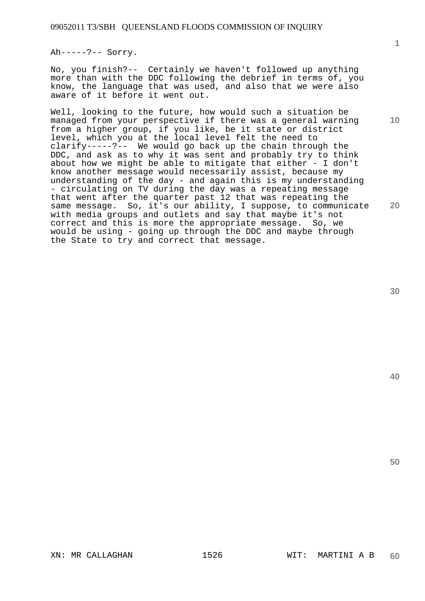Ah-----?-- Sorry.

No, you finish?-- Certainly we haven't followed up anything more than with the DDC following the debrief in terms of, you know, the language that was used, and also that we were also aware of it before it went out.

Well, looking to the future, how would such a situation be managed from your perspective if there was a general warning from a higher group, if you like, be it state or district level, which you at the local level felt the need to clarify-----?-- We would go back up the chain through the DDC, and ask as to why it was sent and probably try to think about how we might be able to mitigate that either - I don't know another message would necessarily assist, because my understanding of the day - and again this is my understanding - circulating on TV during the day was a repeating message that went after the quarter past 12 that was repeating the same message. So, it's our ability, I suppose, to communicate with media groups and outlets and say that maybe it's not correct and this is more the appropriate message. So, we would be using - going up through the DDC and maybe through the State to try and correct that message.

**30** 

**40** 

**50** 

**1**

**10**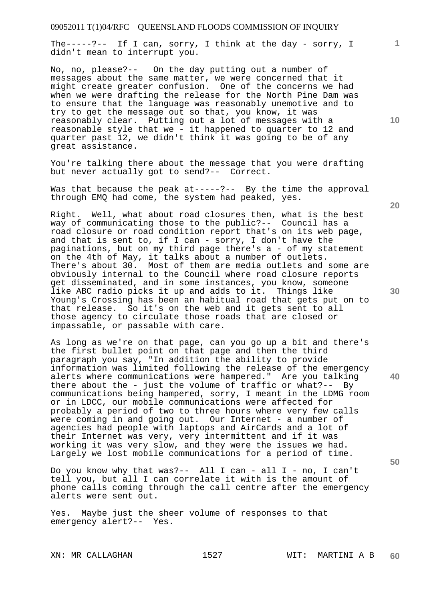The-----?-- If I can, sorry, I think at the day - sorry, I didn't mean to interrupt you.

No, no, please?-- On the day putting out a number of messages about the same matter, we were concerned that it might create greater confusion. One of the concerns we had when we were drafting the release for the North Pine Dam was to ensure that the language was reasonably unemotive and to try to get the message out so that, you know, it was reasonably clear. Putting out a lot of messages with a reasonable style that we - it happened to quarter to 12 and quarter past 12, we didn't think it was going to be of any great assistance.

You're talking there about the message that you were drafting but never actually got to send?-- Correct.

Was that because the peak at-----?-- By the time the approval through EMQ had come, the system had peaked, yes.

Right. Well, what about road closures then, what is the best way of communicating those to the public?-- Council has a road closure or road condition report that's on its web page, and that is sent to, if I can - sorry, I don't have the paginations, but on my third page there's a - of my statement on the 4th of May, it talks about a number of outlets. There's about 30. Most of them are media outlets and some are obviously internal to the Council where road closure reports get disseminated, and in some instances, you know, someone like ABC radio picks it up and adds to it. Things like Young's Crossing has been an habitual road that gets put on to that release. So it's on the web and it gets sent to all those agency to circulate those roads that are closed or impassable, or passable with care.

As long as we're on that page, can you go up a bit and there's the first bullet point on that page and then the third paragraph you say, "In addition the ability to provide information was limited following the release of the emergency alerts where communications were hampered." Are you talking there about the - just the volume of traffic or what?-- By communications being hampered, sorry, I meant in the LDMG room or in LDCC, our mobile communications were affected for probably a period of two to three hours where very few calls were coming in and going out. Our Internet - a number of agencies had people with laptops and AirCards and a lot of their Internet was very, very intermittent and if it was working it was very slow, and they were the issues we had. Largely we lost mobile communications for a period of time.

Do you know why that was?-- All I can - all I - no, I can't tell you, but all I can correlate it with is the amount of phone calls coming through the call centre after the emergency alerts were sent out.

Yes. Maybe just the sheer volume of responses to that emergency alert?-- Yes.

**20** 

**10** 

**1**

**30** 

**40**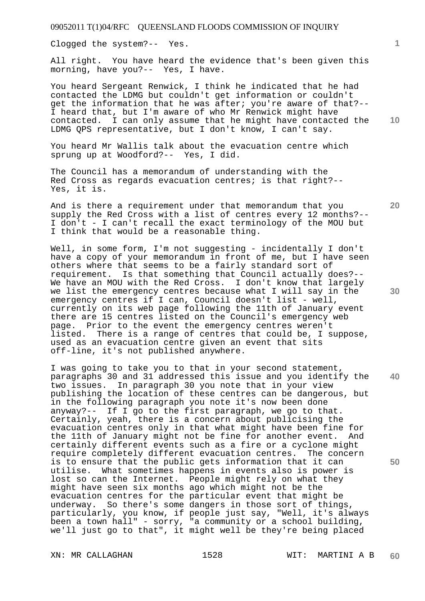Clogged the system?-- Yes.

All right. You have heard the evidence that's been given this morning, have you?-- Yes, I have.

You heard Sergeant Renwick, I think he indicated that he had contacted the LDMG but couldn't get information or couldn't get the information that he was after; you're aware of that?-- I heard that, but I'm aware of who Mr Renwick might have contacted. I can only assume that he might have contacted the LDMG QPS representative, but I don't know, I can't say.

You heard Mr Wallis talk about the evacuation centre which sprung up at Woodford?-- Yes, I did.

The Council has a memorandum of understanding with the Red Cross as regards evacuation centres; is that right?-- Yes, it is.

And is there a requirement under that memorandum that you supply the Red Cross with a list of centres every 12 months?-- I don't - I can't recall the exact terminology of the MOU but I think that would be a reasonable thing.

Well, in some form, I'm not suggesting - incidentally I don't have a copy of your memorandum in front of me, but I have seen others where that seems to be a fairly standard sort of requirement. Is that something that Council actually does?-- We have an MOU with the Red Cross. I don't know that largely we list the emergency centres because what I will say in the emergency centres if I can, Council doesn't list - well, currently on its web page following the 11th of January event there are 15 centres listed on the Council's emergency web page. Prior to the event the emergency centres weren't listed. There is a range of centres that could be, I suppose, used as an evacuation centre given an event that sits off-line, it's not published anywhere.

I was going to take you to that in your second statement, paragraphs 30 and 31 addressed this issue and you identify the two issues. In paragraph 30 you note that in your view publishing the location of these centres can be dangerous, but in the following paragraph you note it's now been done anyway?-- If I go to the first paragraph, we go to that. Certainly, yeah, there is a concern about publicising the evacuation centres only in that what might have been fine for the 11th of January might not be fine for another event. And certainly different events such as a fire or a cyclone might require completely different evacuation centres. The concern is to ensure that the public gets information that it can utilise. What sometimes happens in events also is power is lost so can the Internet. People might rely on what they might have seen six months ago which might not be the evacuation centres for the particular event that might be underway. So there's some dangers in those sort of things, particularly, you know, if people just say, "Well, it's always been a town hall" - sorry, "a community or a school building, we'll just go to that", it might well be they're being placed

**10** 

**1**

**40**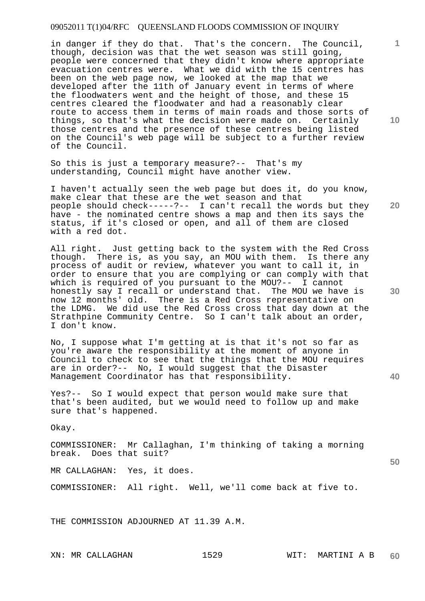in danger if they do that. That's the concern. The Council, though, decision was that the wet season was still going, people were concerned that they didn't know where appropriate evacuation centres were. What we did with the 15 centres has been on the web page now, we looked at the map that we developed after the 11th of January event in terms of where the floodwaters went and the height of those, and these 15 centres cleared the floodwater and had a reasonably clear route to access them in terms of main roads and those sorts of things, so that's what the decision were made on. Certainly those centres and the presence of these centres being listed on the Council's web page will be subject to a further review of the Council.

So this is just a temporary measure?-- That's my understanding, Council might have another view.

I haven't actually seen the web page but does it, do you know, make clear that these are the wet season and that people should check-----?-- I can't recall the words but they have - the nominated centre shows a map and then its says the status, if it's closed or open, and all of them are closed with a red dot.

All right. Just getting back to the system with the Red Cross though. There is, as you say, an MOU with them. Is there any process of audit or review, whatever you want to call it, in order to ensure that you are complying or can comply with that which is required of you pursuant to the MOU?-- I cannot honestly say I recall or understand that. The MOU we have is now 12 months' old. There is a Red Cross representative on the LDMG. We did use the Red Cross cross that day down at the Strathpine Community Centre. So I can't talk about an order, I don't know.

No, I suppose what I'm getting at is that it's not so far as you're aware the responsibility at the moment of anyone in Council to check to see that the things that the MOU requires are in order?-- No, I would suggest that the Disaster Management Coordinator has that responsibility.

Yes?-- So I would expect that person would make sure that that's been audited, but we would need to follow up and make sure that's happened.

Okay.

COMMISSIONER: Mr Callaghan, I'm thinking of taking a morning break. Does that suit?

MR CALLAGHAN: Yes, it does.

COMMISSIONER: All right. Well, we'll come back at five to.

THE COMMISSION ADJOURNED AT 11.39 A.M.

**10** 

**1**

**30** 

**20** 

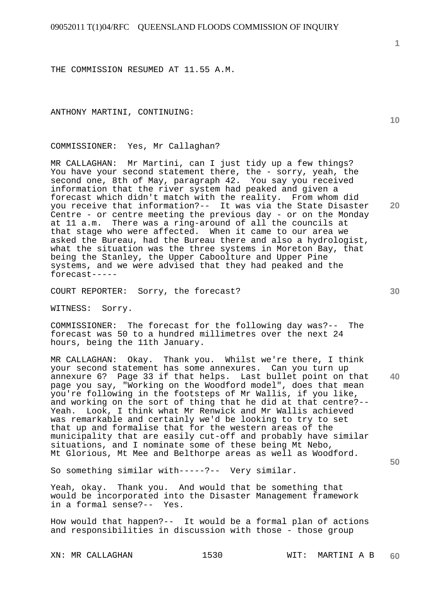THE COMMISSION RESUMED AT 11.55 A.M.

ANTHONY MARTINI, CONTINUING:

COMMISSIONER: Yes, Mr Callaghan?

MR CALLAGHAN: Mr Martini, can I just tidy up a few things? You have your second statement there, the - sorry, yeah, the second one, 8th of May, paragraph 42. You say you received information that the river system had peaked and given a forecast which didn't match with the reality. From whom did you receive that information?-- It was via the State Disaster Centre - or centre meeting the previous day - or on the Monday at 11 a.m. There was a ring-around of all the councils at that stage who were affected. When it came to our area we asked the Bureau, had the Bureau there and also a hydrologist, what the situation was the three systems in Moreton Bay, that being the Stanley, the Upper Caboolture and Upper Pine systems, and we were advised that they had peaked and the forecast-----

COURT REPORTER: Sorry, the forecast?

WITNESS: Sorry.

COMMISSIONER: The forecast for the following day was?-- The forecast was 50 to a hundred millimetres over the next 24 hours, being the 11th January.

MR CALLAGHAN: Okay. Thank you. Whilst we're there, I think your second statement has some annexures. Can you turn up annexure 6? Page 33 if that helps. Last bullet point on that page you say, "Working on the Woodford model", does that mean you're following in the footsteps of Mr Wallis, if you like, and working on the sort of thing that he did at that centre?-- Yeah. Look, I think what Mr Renwick and Mr Wallis achieved was remarkable and certainly we'd be looking to try to set that up and formalise that for the western areas of the municipality that are easily cut-off and probably have similar situations, and I nominate some of these being Mt Nebo, Mt Glorious, Mt Mee and Belthorpe areas as well as Woodford.

So something similar with-----?-- Very similar.

Yeah, okay. Thank you. And would that be something that would be incorporated into the Disaster Management framework in a formal sense?-- Yes.

How would that happen?-- It would be a formal plan of actions and responsibilities in discussion with those - those group

**10** 

**1**

**20** 

**40**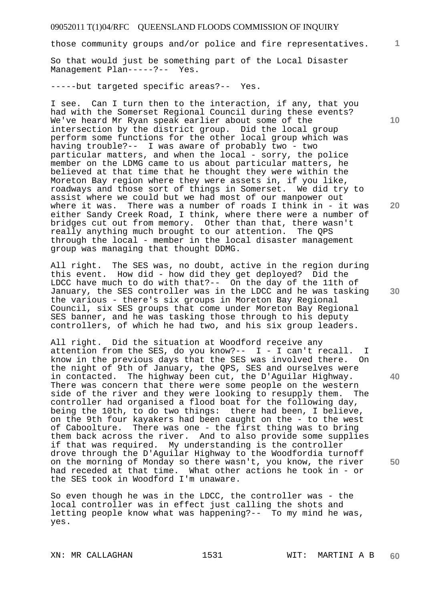those community groups and/or police and fire representatives.

So that would just be something part of the Local Disaster Management Plan-----?-- Yes.

-----but targeted specific areas?-- Yes.

I see. Can I turn then to the interaction, if any, that you had with the Somerset Regional Council during these events? We've heard Mr Ryan speak earlier about some of the intersection by the district group. Did the local group perform some functions for the other local group which was having trouble?-- I was aware of probably two - two particular matters, and when the local - sorry, the police member on the LDMG came to us about particular matters, he believed at that time that he thought they were within the Moreton Bay region where they were assets in, if you like, roadways and those sort of things in Somerset. We did try to assist where we could but we had most of our manpower out where it was. There was a number of roads I think in - it was either Sandy Creek Road, I think, where there were a number of bridges cut out from memory. Other than that, there wasn't really anything much brought to our attention. The QPS through the local - member in the local disaster management group was managing that thought DDMG.

All right. The SES was, no doubt, active in the region during this event. How did - how did they get deployed? Did the LDCC have much to do with that?-- On the day of the 11th of January, the SES controller was in the LDCC and he was tasking the various - there's six groups in Moreton Bay Regional Council, six SES groups that come under Moreton Bay Regional SES banner, and he was tasking those through to his deputy controllers, of which he had two, and his six group leaders.

All right. Did the situation at Woodford receive any attention from the SES, do you know?--  $I - I$  can't recall. I know in the previous days that the SES was involved there. On the night of 9th of January, the QPS, SES and ourselves were in contacted. The highway been cut, the D'Aguilar Highway. There was concern that there were some people on the western side of the river and they were looking to resupply them. The controller had organised a flood boat for the following day, being the 10th, to do two things: there had been, I believe, on the 9th four kayakers had been caught on the - to the west of Caboolture. There was one - the first thing was to bring them back across the river. And to also provide some supplies if that was required. My understanding is the controller drove through the D'Aguilar Highway to the Woodfordia turnoff on the morning of Monday so there wasn't, you know, the river had receded at that time. What other actions he took in - or the SES took in Woodford I'm unaware.

So even though he was in the LDCC, the controller was - the local controller was in effect just calling the shots and letting people know what was happening?-- To my mind he was, yes.

**10** 

**1**

**20** 

**40**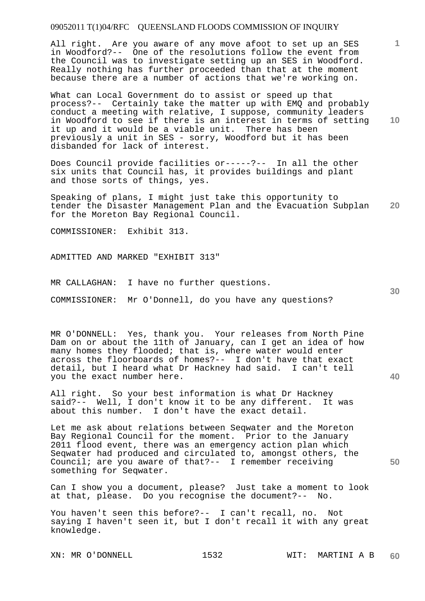All right. Are you aware of any move afoot to set up an SES in Woodford?-- One of the resolutions follow the event from the Council was to investigate setting up an SES in Woodford. Really nothing has further proceeded than that at the moment because there are a number of actions that we're working on.

**10**  What can Local Government do to assist or speed up that process?-- Certainly take the matter up with EMQ and probably conduct a meeting with relative, I suppose, community leaders in Woodford to see if there is an interest in terms of setting it up and it would be a viable unit. There has been previously a unit in SES - sorry, Woodford but it has been disbanded for lack of interest.

Does Council provide facilities or-----?-- In all the other six units that Council has, it provides buildings and plant and those sorts of things, yes.

**20**  Speaking of plans, I might just take this opportunity to tender the Disaster Management Plan and the Evacuation Subplan for the Moreton Bay Regional Council.

COMMISSIONER: Exhibit 313.

ADMITTED AND MARKED "EXHIBIT 313"

MR CALLAGHAN: I have no further questions.

COMMISSIONER: Mr O'Donnell, do you have any questions?

MR O'DONNELL: Yes, thank you. Your releases from North Pine Dam on or about the 11th of January, can I get an idea of how many homes they flooded; that is, where water would enter across the floorboards of homes?-- I don't have that exact detail, but I heard what Dr Hackney had said. I can't tell you the exact number here.

All right. So your best information is what Dr Hackney said?-- Well, I don't know it to be any different. It was about this number. I don't have the exact detail.

Let me ask about relations between Seqwater and the Moreton Bay Regional Council for the moment. Prior to the January 2011 flood event, there was an emergency action plan which Seqwater had produced and circulated to, amongst others, the Council; are you aware of that?-- I remember receiving something for Seqwater.

Can I show you a document, please? Just take a moment to look at that, please. Do you recognise the document?-- No.

You haven't seen this before?-- I can't recall, no. Not saying I haven't seen it, but I don't recall it with any great knowledge.

**1**

**30**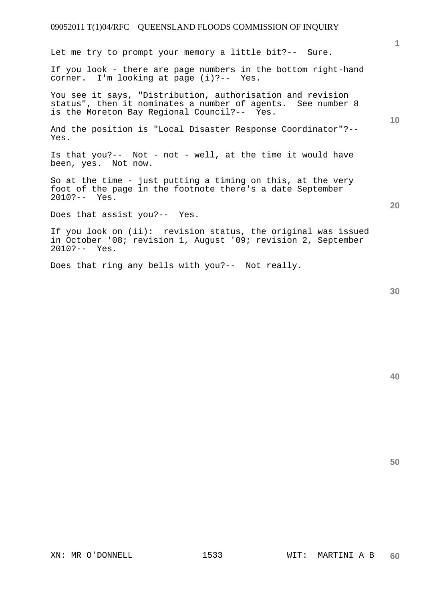Let me try to prompt your memory a little bit?-- Sure.

If you look - there are page numbers in the bottom right-hand corner. I'm looking at page (i)?-- Yes.

You see it says, "Distribution, authorisation and revision status", then it nominates a number of agents. See number 8 is the Moreton Bay Regional Council?-- Yes.

And the position is "Local Disaster Response Coordinator"?-- Yes.

Is that you?-- Not - not - well, at the time it would have been, yes. Not now.

So at the time - just putting a timing on this, at the very foot of the page in the footnote there's a date September 2010?-- Yes.

Does that assist you?-- Yes.

If you look on (ii): revision status, the original was issued in October '08; revision 1, August '09; revision 2, September 2010?-- Yes.

Does that ring any bells with you?-- Not really.

**40** 

**50** 

**1**

**20**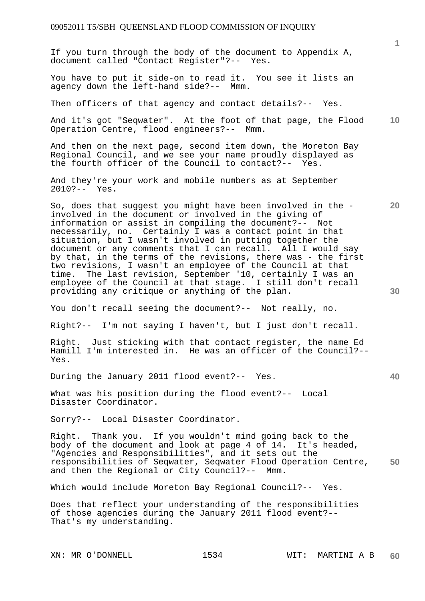If you turn through the body of the document to Appendix A, document called "Contact Register"?-- Yes.

You have to put it side-on to read it. You see it lists an agency down the left-hand side?-- Mmm.

Then officers of that agency and contact details?-- Yes.

**10**  And it's got "Seqwater". At the foot of that page, the Flood Operation Centre, flood engineers?-- Mmm.

And then on the next page, second item down, the Moreton Bay Regional Council, and we see your name proudly displayed as the fourth officer of the Council to contact?-- Yes.

And they're your work and mobile numbers as at September 2010?-- Yes.

So, does that suggest you might have been involved in the involved in the document or involved in the giving of information or assist in compiling the document?-- Not necessarily, no. Certainly I was a contact point in that situation, but I wasn't involved in putting together the document or any comments that I can recall. All I would say by that, in the terms of the revisions, there was - the first two revisions, I wasn't an employee of the Council at that time. The last revision, September '10, certainly I was an employee of the Council at that stage. I still don't recall providing any critique or anything of the plan.

You don't recall seeing the document?-- Not really, no.

Right?-- I'm not saying I haven't, but I just don't recall.

Right. Just sticking with that contact register, the name Ed Hamill I'm interested in. He was an officer of the Council?-- Yes.

During the January 2011 flood event?-- Yes.

What was his position during the flood event?-- Local Disaster Coordinator.

Sorry?-- Local Disaster Coordinator.

**50**  Right. Thank you. If you wouldn't mind going back to the body of the document and look at page 4 of 14. It's headed, "Agencies and Responsibilities", and it sets out the responsibilities of Seqwater, Seqwater Flood Operation Centre, and then the Regional or City Council?-- Mmm.

Which would include Moreton Bay Regional Council?-- Yes.

Does that reflect your understanding of the responsibilities of those agencies during the January 2011 flood event?-- That's my understanding.

**1**

**30** 

**40**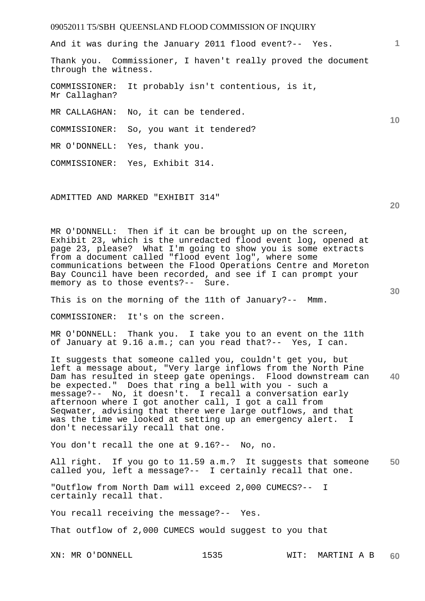And it was during the January 2011 flood event?-- Yes.

Thank you. Commissioner, I haven't really proved the document through the witness.

COMMISSIONER: It probably isn't contentious, is it, Mr Callaghan?

MR CALLAGHAN: No, it can be tendered.

COMMISSIONER: So, you want it tendered?

MR O'DONNELL: Yes, thank you.

COMMISSIONER: Yes, Exhibit 314.

ADMITTED AND MARKED "EXHIBIT 314"

MR O'DONNELL: Then if it can be brought up on the screen, Exhibit 23, which is the unredacted flood event log, opened at page 23, please? What I'm going to show you is some extracts from a document called "flood event log", where some communications between the Flood Operations Centre and Moreton Bay Council have been recorded, and see if I can prompt your memory as to those events?-- Sure.

This is on the morning of the 11th of January?-- Mmm.

COMMISSIONER: It's on the screen.

MR O'DONNELL: Thank you. I take you to an event on the 11th of January at 9.16 a.m.; can you read that?-- Yes, I can.

**40**  It suggests that someone called you, couldn't get you, but left a message about, "Very large inflows from the North Pine Dam has resulted in steep gate openings. Flood downstream can be expected." Does that ring a bell with you - such a message?-- No, it doesn't. I recall a conversation early afternoon where I got another call, I got a call from Seqwater, advising that there were large outflows, and that was the time we looked at setting up an emergency alert. I don't necessarily recall that one.

You don't recall the one at 9.16?-- No, no.

**50**  All right. If you go to 11.59 a.m.? It suggests that someone called you, left a message?-- I certainly recall that one.

"Outflow from North Dam will exceed 2,000 CUMECS?-- I certainly recall that.

You recall receiving the message?-- Yes.

That outflow of 2,000 CUMECS would suggest to you that

**20** 

**10**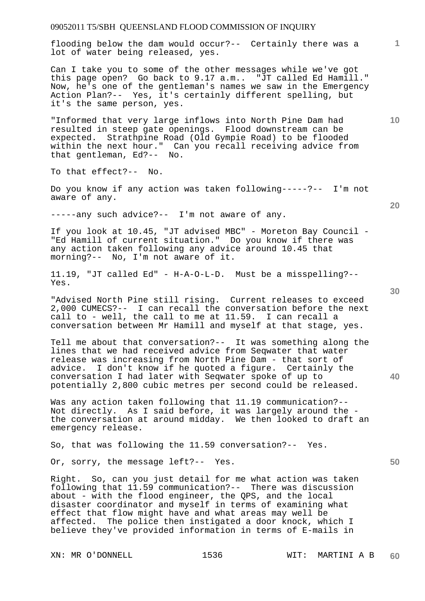flooding below the dam would occur?-- Certainly there was a lot of water being released, yes.

Can I take you to some of the other messages while we've got this page open? Go back to 9.17 a.m.. "JT called Ed Hamill." Now, he's one of the gentleman's names we saw in the Emergency Action Plan?-- Yes, it's certainly different spelling, but it's the same person, yes.

"Informed that very large inflows into North Pine Dam had resulted in steep gate openings. Flood downstream can be expected. Strathpine Road (Old Gympie Road) to be flooded within the next hour." Can you recall receiving advice from that gentleman, Ed?-- No.

To that effect?-- No.

Do you know if any action was taken following-----?-- I'm not aware of any.

-----any such advice?-- I'm not aware of any.

If you look at 10.45, "JT advised MBC" - Moreton Bay Council - "Ed Hamill of current situation." Do you know if there was any action taken following any advice around 10.45 that morning?-- No, I'm not aware of it.

11.19, "JT called Ed" - H-A-O-L-D. Must be a misspelling?-- Yes.

"Advised North Pine still rising. Current releases to exceed 2,000 CUMECS?-- I can recall the conversation before the next call to - well, the call to me at 11.59. I can recall a conversation between Mr Hamill and myself at that stage, yes.

Tell me about that conversation?-- It was something along the lines that we had received advice from Seqwater that water release was increasing from North Pine Dam - that sort of advice. I don't know if he quoted a figure. Certainly the conversation I had later with Seqwater spoke of up to potentially 2,800 cubic metres per second could be released.

Was any action taken following that 11.19 communication?-- Not directly. As I said before, it was largely around the the conversation at around midday. We then looked to draft an emergency release.

So, that was following the 11.59 conversation?-- Yes.

Or, sorry, the message left?-- Yes.

Right. So, can you just detail for me what action was taken following that 11.59 communication?-- There was discussion about - with the flood engineer, the QPS, and the local disaster coordinator and myself in terms of examining what effect that flow might have and what areas may well be affected. The police then instigated a door knock, which I believe they've provided information in terms of E-mails in

**30** 

**20** 

**40** 

**10** 

**1**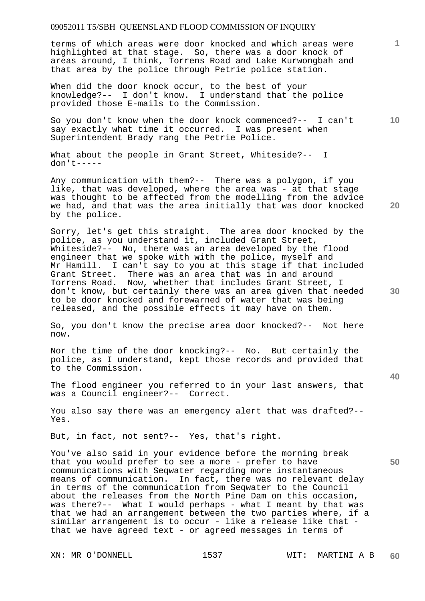terms of which areas were door knocked and which areas were highlighted at that stage. So, there was a door knock of areas around, I think, Torrens Road and Lake Kurwongbah and that area by the police through Petrie police station.

When did the door knock occur, to the best of your knowledge?-- I don't know. I understand that the police provided those E-mails to the Commission.

So you don't know when the door knock commenced?-- I can't say exactly what time it occurred. I was present when Superintendent Brady rang the Petrie Police.

What about the people in Grant Street, Whiteside?-- I don't-----

Any communication with them?-- There was a polygon, if you like, that was developed, where the area was - at that stage was thought to be affected from the modelling from the advice we had, and that was the area initially that was door knocked by the police.

Sorry, let's get this straight. The area door knocked by the police, as you understand it, included Grant Street, Whiteside?-- No, there was an area developed by the flood engineer that we spoke with with the police, myself and Mr Hamill. I can't say to you at this stage if that included Grant Street. There was an area that was in and around Torrens Road. Now, whether that includes Grant Street, I don't know, but certainly there was an area given that needed to be door knocked and forewarned of water that was being released, and the possible effects it may have on them.

So, you don't know the precise area door knocked?-- Not here now.

Nor the time of the door knocking?-- No. But certainly the police, as I understand, kept those records and provided that to the Commission.

The flood engineer you referred to in your last answers, that was a Council engineer?-- Correct.

You also say there was an emergency alert that was drafted?-- Yes.

But, in fact, not sent?-- Yes, that's right.

You've also said in your evidence before the morning break that you would prefer to see a more - prefer to have communications with Seqwater regarding more instantaneous means of communication. In fact, there was no relevant delay in terms of the communication from Seqwater to the Council about the releases from the North Pine Dam on this occasion, was there?-- What I would perhaps - what I meant by that was that we had an arrangement between the two parties where, if a similar arrangement is to occur - like a release like that that we have agreed text - or agreed messages in terms of

**10** 

**1**

**20** 

**30**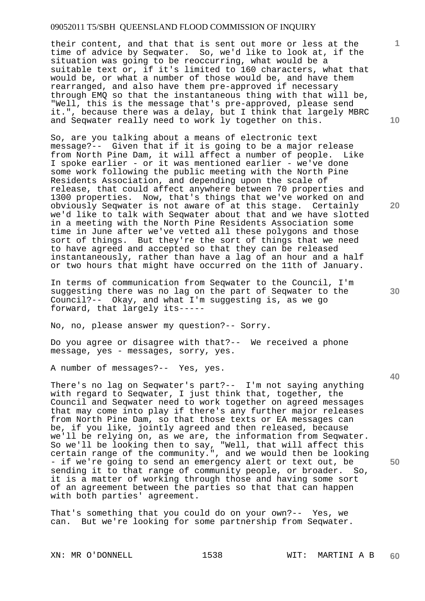their content, and that that is sent out more or less at the time of advice by Seqwater. So, we'd like to look at, if the situation was going to be reoccurring, what would be a suitable text or, if it's limited to 160 characters, what that would be, or what a number of those would be, and have them rearranged, and also have them pre-approved if necessary through EMQ so that the instantaneous thing with that will be, "Well, this is the message that's pre-approved, please send it.", because there was a delay, but I think that largely MBRC and Seqwater really need to work ly together on this.

So, are you talking about a means of electronic text message?-- Given that if it is going to be a major release from North Pine Dam, it will affect a number of people. Like I spoke earlier - or it was mentioned earlier - we've done some work following the public meeting with the North Pine Residents Association, and depending upon the scale of release, that could affect anywhere between 70 properties and 1300 properties. Now, that's things that we've worked on and obviously Seqwater is not aware of at this stage. Certainly we'd like to talk with Seqwater about that and we have slotted in a meeting with the North Pine Residents Association some time in June after we've vetted all these polygons and those sort of things. But they're the sort of things that we need to have agreed and accepted so that they can be released instantaneously, rather than have a lag of an hour and a half or two hours that might have occurred on the 11th of January.

In terms of communication from Seqwater to the Council, I'm suggesting there was no lag on the part of Seqwater to the Council?-- Okay, and what I'm suggesting is, as we go forward, that largely its-----

No, no, please answer my question?-- Sorry.

Do you agree or disagree with that?-- We received a phone message, yes - messages, sorry, yes.

A number of messages?-- Yes, yes.

There's no lag on Seqwater's part?-- I'm not saying anything with regard to Seqwater, I just think that, together, the Council and Seqwater need to work together on agreed messages that may come into play if there's any further major releases from North Pine Dam, so that those texts or EA messages can be, if you like, jointly agreed and then released, because we'll be relying on, as we are, the information from Seqwater. So we'll be looking then to say, "Well, that will affect this certain range of the community.", and we would then be looking - if we're going to send an emergency alert or text out, be sending it to that range of community people, or broader. So, it is a matter of working through those and having some sort of an agreement between the parties so that that can happen with both parties' agreement.

That's something that you could do on your own?-- Yes, we can. But we're looking for some partnership from Seqwater.

**10** 

**1**

**20** 

**30**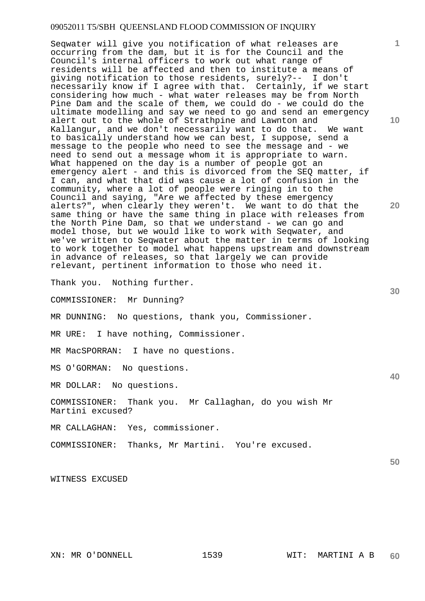Seqwater will give you notification of what releases are occurring from the dam, but it is for the Council and the Council's internal officers to work out what range of residents will be affected and then to institute a means of giving notification to those residents, surely?-- I don't necessarily know if I agree with that. Certainly, if we start considering how much - what water releases may be from North Pine Dam and the scale of them, we could do - we could do the ultimate modelling and say we need to go and send an emergency alert out to the whole of Strathpine and Lawnton and Kallangur, and we don't necessarily want to do that. We want to basically understand how we can best, I suppose, send a message to the people who need to see the message and - we need to send out a message whom it is appropriate to warn. What happened on the day is a number of people got an emergency alert - and this is divorced from the SEO matter, if I can, and what that did was cause a lot of confusion in the community, where a lot of people were ringing in to the Council and saying, "Are we affected by these emergency alerts?", when clearly they weren't. We want to do that the same thing or have the same thing in place with releases from the North Pine Dam, so that we understand - we can go and model those, but we would like to work with Seqwater, and we've written to Seqwater about the matter in terms of looking to work together to model what happens upstream and downstream in advance of releases, so that largely we can provide relevant, pertinent information to those who need it.

Thank you. Nothing further.

COMMISSIONER: Mr Dunning?

MR DUNNING: No questions, thank you, Commissioner.

MR URE: I have nothing, Commissioner.

MR MacSPORRAN: I have no questions.

MS O'GORMAN: No questions.

MR DOLLAR: No questions.

COMMISSIONER: Thank you. Mr Callaghan, do you wish Mr Martini excused?

MR CALLAGHAN: Yes, commissioner.

COMMISSIONER: Thanks, Mr Martini. You're excused.

WITNESS EXCUSED

**1**

**20** 

**40**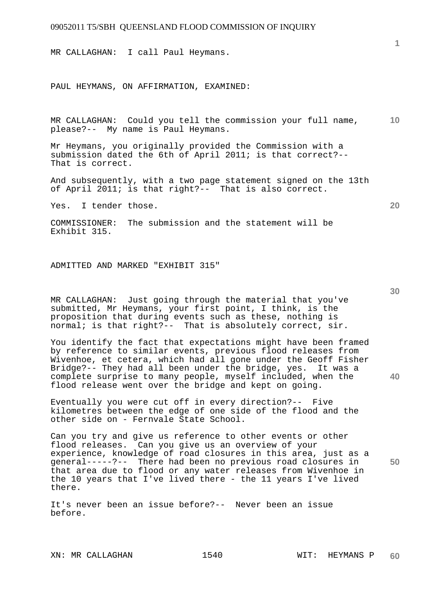MR CALLAGHAN: I call Paul Heymans.

PAUL HEYMANS, ON AFFIRMATION, EXAMINED:

**10**  MR CALLAGHAN: Could you tell the commission your full name, please?-- My name is Paul Heymans.

Mr Heymans, you originally provided the Commission with a submission dated the 6th of April 2011; is that correct?-- That is correct.

And subsequently, with a two page statement signed on the 13th of April 2011; is that right?-- That is also correct.

Yes. I tender those.

COMMISSIONER: The submission and the statement will be Exhibit 315.

ADMITTED AND MARKED "EXHIBIT 315"

MR CALLAGHAN: Just going through the material that you've submitted, Mr Heymans, your first point, I think, is the proposition that during events such as these, nothing is normal; is that right?-- That is absolutely correct, sir.

You identify the fact that expectations might have been framed by reference to similar events, previous flood releases from Wivenhoe, et cetera, which had all gone under the Geoff Fisher Bridge?-- They had all been under the bridge, yes. It was a complete surprise to many people, myself included, when the flood release went over the bridge and kept on going.

Eventually you were cut off in every direction?-- Five kilometres between the edge of one side of the flood and the other side on - Fernvale State School.

**50**  Can you try and give us reference to other events or other flood releases. Can you give us an overview of your experience, knowledge of road closures in this area, just as a general-----?-- There had been no previous road closures in that area due to flood or any water releases from Wivenhoe in the 10 years that I've lived there - the 11 years I've lived there.

It's never been an issue before?-- Never been an issue before.

XN: MR CALLAGHAN 1540 WIT: HEYMANS P

**30** 

**40** 

**20**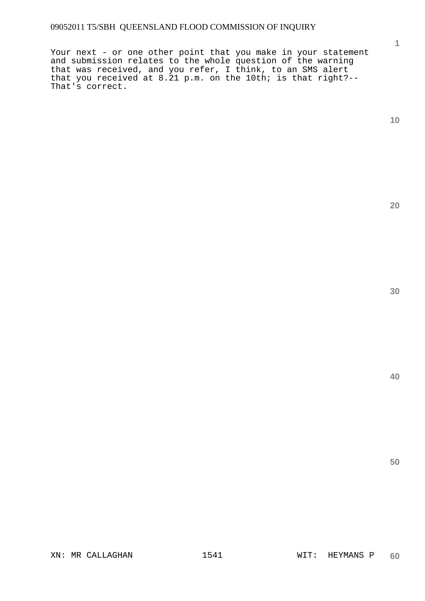Your next - or one other point that you make in your statement and submission relates to the whole question of the warning that was received, and you refer, I think, to an SMS alert that you received at 8.21 p.m. on the 10th; is that right?-- That's correct.

**1**

**20**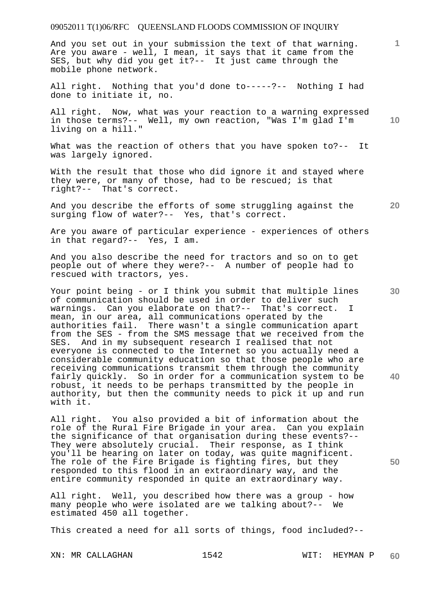And you set out in your submission the text of that warning. Are you aware - well, I mean, it says that it came from the SES, but why did you get it?-- It just came through the mobile phone network.

All right. Nothing that you'd done to-----?-- Nothing I had done to initiate it, no.

All right. Now, what was your reaction to a warning expressed in those terms?-- Well, my own reaction, "Was I'm glad I'm living on a hill."

What was the reaction of others that you have spoken to?-- It was largely ignored.

With the result that those who did ignore it and stayed where they were, or many of those, had to be rescued; is that right?-- That's correct.

And you describe the efforts of some struggling against the surging flow of water?-- Yes, that's correct.

Are you aware of particular experience - experiences of others in that regard?-- Yes, I am.

And you also describe the need for tractors and so on to get people out of where they were?-- A number of people had to rescued with tractors, yes.

Your point being - or I think you submit that multiple lines of communication should be used in order to deliver such warnings. Can you elaborate on that?-- That's correct. I mean, in our area, all communications operated by the authorities fail. There wasn't a single communication apart from the SES - from the SMS message that we received from the SES. And in my subsequent research I realised that not everyone is connected to the Internet so you actually need a considerable community education so that those people who are receiving communications transmit them through the community fairly quickly. So in order for a communication system to be robust, it needs to be perhaps transmitted by the people in authority, but then the community needs to pick it up and run with it.

All right. You also provided a bit of information about the role of the Rural Fire Brigade in your area. Can you explain the significance of that organisation during these events?-- They were absolutely crucial. Their response, as I think you'll be hearing on later on today, was quite magnificent. The role of the Fire Brigade is fighting fires, but they responded to this flood in an extraordinary way, and the entire community responded in quite an extraordinary way.

All right. Well, you described how there was a group - how many people who were isolated are we talking about?-- We estimated 450 all together.

This created a need for all sorts of things, food included?--

XN: MR CALLAGHAN 1542 WIT: HEYMAN P

**10** 

**1**

**30** 

**20**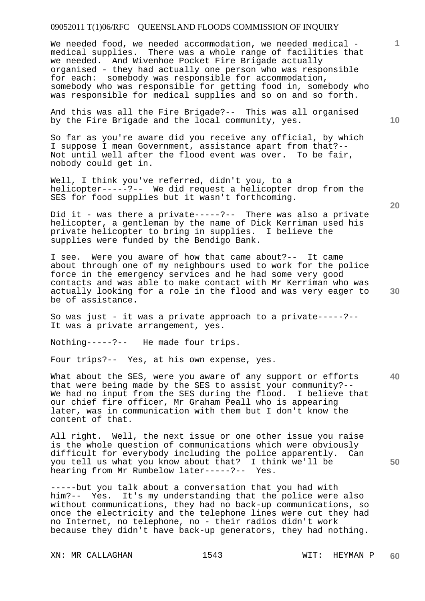We needed food, we needed accommodation, we needed medical medical supplies. There was a whole range of facilities that we needed. And Wivenhoe Pocket Fire Brigade actually organised - they had actually one person who was responsible for each: somebody was responsible for accommodation, somebody who was responsible for getting food in, somebody who was responsible for medical supplies and so on and so forth.

And this was all the Fire Brigade?-- This was all organised by the Fire Brigade and the local community, yes.

So far as you're aware did you receive any official, by which I suppose I mean Government, assistance apart from that?-- Not until well after the flood event was over. To be fair, nobody could get in.

Well, I think you've referred, didn't you, to a helicopter-----?-- We did request a helicopter drop from the SES for food supplies but it wasn't forthcoming.

Did it - was there a private-----?-- There was also a private helicopter, a gentleman by the name of Dick Kerriman used his private helicopter to bring in supplies. I believe the supplies were funded by the Bendigo Bank.

I see. Were you aware of how that came about?-- It came about through one of my neighbours used to work for the police force in the emergency services and he had some very good contacts and was able to make contact with Mr Kerriman who was actually looking for a role in the flood and was very eager to be of assistance.

So was just - it was a private approach to a private-----?-- It was a private arrangement, yes.

Nothing-----?-- He made four trips.

Four trips?-- Yes, at his own expense, yes.

**40**  What about the SES, were you aware of any support or efforts that were being made by the SES to assist your community?-- We had no input from the SES during the flood. I believe that our chief fire officer, Mr Graham Peall who is appearing later, was in communication with them but I don't know the content of that.

All right. Well, the next issue or one other issue you raise is the whole question of communications which were obviously difficult for everybody including the police apparently. Can you tell us what you know about that? I think we'll be hearing from Mr Rumbelow later-----?-- Yes.

-----but you talk about a conversation that you had with him?-- Yes. It's my understanding that the police were also without communications, they had no back-up communications, so once the electricity and the telephone lines were cut they had no Internet, no telephone, no - their radios didn't work because they didn't have back-up generators, they had nothing.

XN: MR CALLAGHAN 1543 WIT: HEYMAN P

**10** 

**1**

**20** 

**50**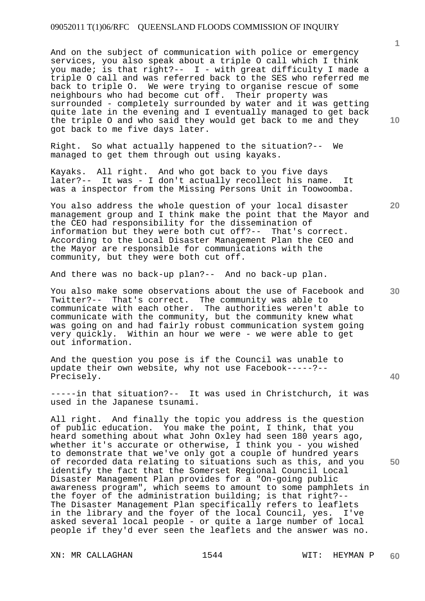And on the subject of communication with police or emergency services, you also speak about a triple O call which I think you made; is that right?--  $I -$  with great difficulty I made a triple O call and was referred back to the SES who referred me back to triple O. We were trying to organise rescue of some neighbours who had become cut off. Their property was surrounded - completely surrounded by water and it was getting quite late in the evening and I eventually managed to get back the triple O and who said they would get back to me and they got back to me five days later.

Right. So what actually happened to the situation?-- We managed to get them through out using kayaks.

Kayaks. All right. And who got back to you five days later?-- It was - I don't actually recollect his name. It was a inspector from the Missing Persons Unit in Toowoomba.

You also address the whole question of your local disaster management group and I think make the point that the Mayor and the CEO had responsibility for the dissemination of information but they were both cut off?-- That's correct. According to the Local Disaster Management Plan the CEO and the Mayor are responsible for communications with the community, but they were both cut off.

And there was no back-up plan?-- And no back-up plan.

You also make some observations about the use of Facebook and Twitter?-- That's correct. The community was able to communicate with each other. The authorities weren't able to communicate with the community, but the community knew what was going on and had fairly robust communication system going very quickly. Within an hour we were - we were able to get out information.

And the question you pose is if the Council was unable to update their own website, why not use Facebook-----?-- Precisely.

-----in that situation?-- It was used in Christchurch, it was used in the Japanese tsunami.

All right. And finally the topic you address is the question of public education. You make the point, I think, that you heard something about what John Oxley had seen 180 years ago, whether it's accurate or otherwise, I think you - you wished to demonstrate that we've only got a couple of hundred years of recorded data relating to situations such as this, and you identify the fact that the Somerset Regional Council Local Disaster Management Plan provides for a "On-going public awareness program", which seems to amount to some pamphlets in the foyer of the administration building; is that right?-- The Disaster Management Plan specifically refers to leaflets in the library and the foyer of the local Council, yes. I've asked several local people - or quite a large number of local people if they'd ever seen the leaflets and the answer was no.

XN: MR CALLAGHAN 1544 1544 WIT: HEYMAN P

**1**

**20** 

**40** 

**30**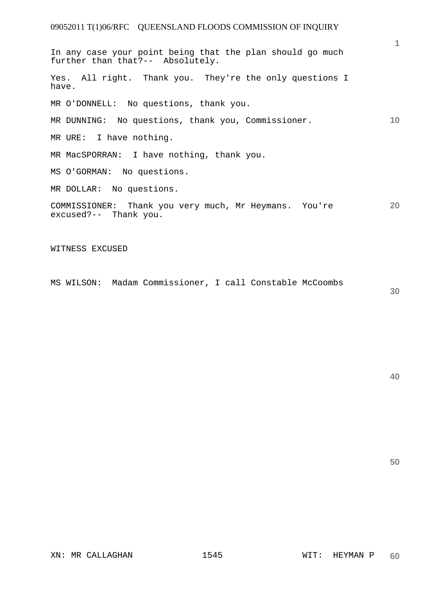**10 20**  In any case your point being that the plan should go much further than that?-- Absolutely. Yes. All right. Thank you. They're the only questions I have. MR O'DONNELL: No questions, thank you. MR DUNNING: No questions, thank you, Commissioner. MR URE: I have nothing. MR MacSPORRAN: I have nothing, thank you. MS O'GORMAN: No questions. MR DOLLAR: No questions. COMMISSIONER: Thank you very much, Mr Heymans. You're excused?-- Thank you.

WITNESS EXCUSED

MS WILSON: Madam Commissioner, I call Constable McCoombs

**30** 

**1**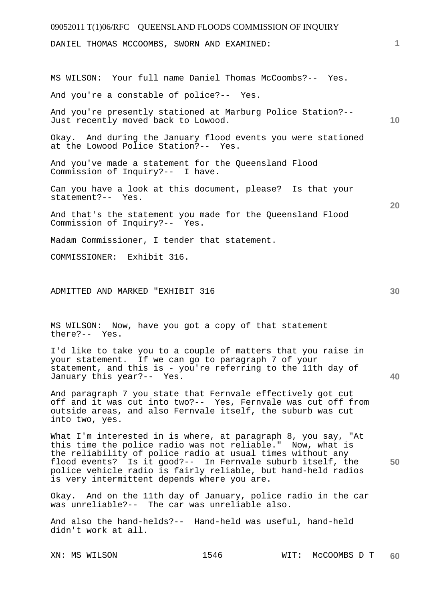# 09052011 T(1)06/RFC QUEENSLAND FLOODS COMMISSION OF INQUIRY **1 10 20**  DANIEL THOMAS MCCOOMBS, SWORN AND EXAMINED: MS WILSON: Your full name Daniel Thomas McCoombs?-- Yes. And you're a constable of police?-- Yes. And you're presently stationed at Marburg Police Station?-- Just recently moved back to Lowood. Okay. And during the January flood events you were stationed at the Lowood Police Station?-- Yes. And you've made a statement for the Queensland Flood Commission of Inquiry?-- I have. Can you have a look at this document, please? Is that your statement?-- Yes. And that's the statement you made for the Queensland Flood<br>Commission of Inquiry?-- Yes. Commission of Inquiry?--Madam Commissioner, I tender that statement. COMMISSIONER: Exhibit 316.

ADMITTED AND MARKED "EXHIBIT 316

MS WILSON: Now, have you got a copy of that statement there?-- Yes.

I'd like to take you to a couple of matters that you raise in your statement. If we can go to paragraph 7 of your statement, and this is - you're referring to the 11th day of January this year?-- Yes.

And paragraph 7 you state that Fernvale effectively got cut off and it was cut into two?-- Yes, Fernvale was cut off from outside areas, and also Fernvale itself, the suburb was cut into two, yes.

**50**  What I'm interested in is where, at paragraph 8, you say, "At this time the police radio was not reliable." Now, what is the reliability of police radio at usual times without any flood events? Is it good?-- In Fernvale suburb itself, the police vehicle radio is fairly reliable, but hand-held radios is very intermittent depends where you are.

Okay. And on the 11th day of January, police radio in the car was unreliable?-- The car was unreliable also.

And also the hand-helds?-- Hand-held was useful, hand-held didn't work at all.

**30**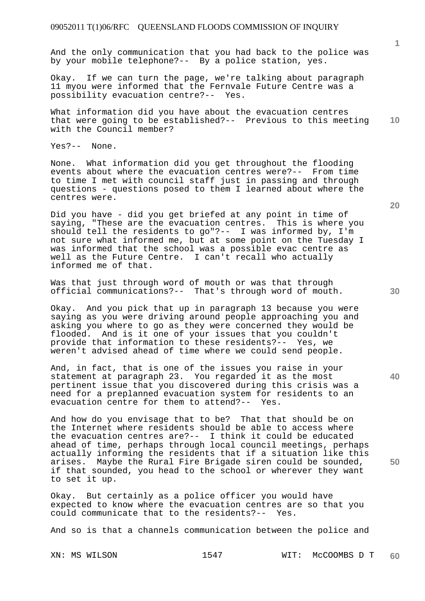And the only communication that you had back to the police was by your mobile telephone?-- By a police station, yes.

Okay. If we can turn the page, we're talking about paragraph 11 myou were informed that the Fernvale Future Centre was a possibility evacuation centre?-- Yes.

**10**  What information did you have about the evacuation centres that were going to be established?-- Previous to this meeting with the Council member?

Yes?-- None.

None. What information did you get throughout the flooding events about where the evacuation centres were?-- From time to time I met with council staff just in passing and through questions - questions posed to them I learned about where the centres were.

Did you have - did you get briefed at any point in time of saying, "These are the evacuation centres. This is where you should tell the residents to go"?-- I was informed by, I'm not sure what informed me, but at some point on the Tuesday I was informed that the school was a possible evac centre as well as the Future Centre. I can't recall who actually informed me of that.

Was that just through word of mouth or was that through official communications?-- That's through word of mouth.

Okay. And you pick that up in paragraph 13 because you were saying as you were driving around people approaching you and asking you where to go as they were concerned they would be flooded. And is it one of your issues that you couldn't provide that information to these residents?-- Yes, we weren't advised ahead of time where we could send people.

And, in fact, that is one of the issues you raise in your statement at paragraph 23. You regarded it as the most pertinent issue that you discovered during this crisis was a need for a preplanned evacuation system for residents to an evacuation centre for them to attend?-- Yes.

And how do you envisage that to be? That that should be on the Internet where residents should be able to access where the evacuation centres are?-- I think it could be educated ahead of time, perhaps through local council meetings, perhaps actually informing the residents that if a situation like this arises. Maybe the Rural Fire Brigade siren could be sounded, if that sounded, you head to the school or wherever they want to set it up.

Okay. But certainly as a police officer you would have expected to know where the evacuation centres are so that you<br>could communicate that to the residents?-- Yes. could communicate that to the residents?--

And so is that a channels communication between the police and

**20** 

**40** 

**50** 

**30**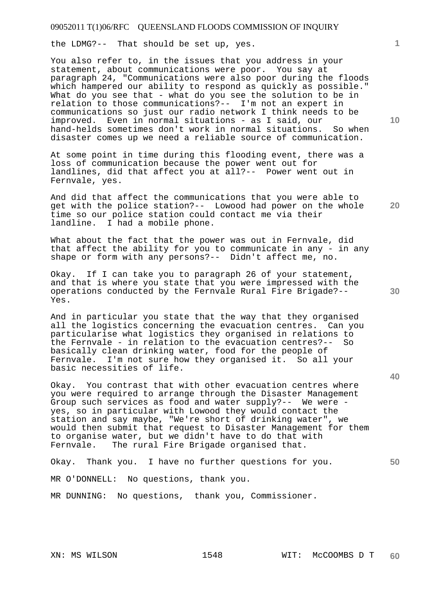the LDMG?-- That should be set up, yes.

You also refer to, in the issues that you address in your statement, about communications were poor. You say at paragraph 24, "Communications were also poor during the floods which hampered our ability to respond as quickly as possible." What do you see that - what do you see the solution to be in relation to those communications?-- I'm not an expert in communications so just our radio network I think needs to be improved. Even in normal situations - as I said, our hand-helds sometimes don't work in normal situations. So when disaster comes up we need a reliable source of communication.

At some point in time during this flooding event, there was a loss of communication because the power went out for landlines, did that affect you at all?-- Power went out in Fernvale, yes.

And did that affect the communications that you were able to get with the police station?-- Lowood had power on the whole time so our police station could contact me via their landline. I had a mobile phone.

What about the fact that the power was out in Fernvale, did that affect the ability for you to communicate in any - in any shape or form with any persons?-- Didn't affect me, no.

Okay. If I can take you to paragraph 26 of your statement, and that is where you state that you were impressed with the operations conducted by the Fernvale Rural Fire Brigade?-- Yes.

And in particular you state that the way that they organised all the logistics concerning the evacuation centres. Can you particularise what logistics they organised in relations to the Fernvale - in relation to the evacuation centres?-- So basically clean drinking water, food for the people of Fernvale. I'm not sure how they organised it. So all your basic necessities of life.

Okay. You contrast that with other evacuation centres where you were required to arrange through the Disaster Management Group such services as food and water supply?-- We were yes, so in particular with Lowood they would contact the station and say maybe, "We're short of drinking water", we would then submit that request to Disaster Management for them to organise water, but we didn't have to do that with Fernvale. The rural Fire Brigade organised that.

Okay. Thank you. I have no further questions for you.

MR O'DONNELL: No questions, thank you.

MR DUNNING: No questions, thank you, Commissioner.

**1**

**10** 

**20** 

**40**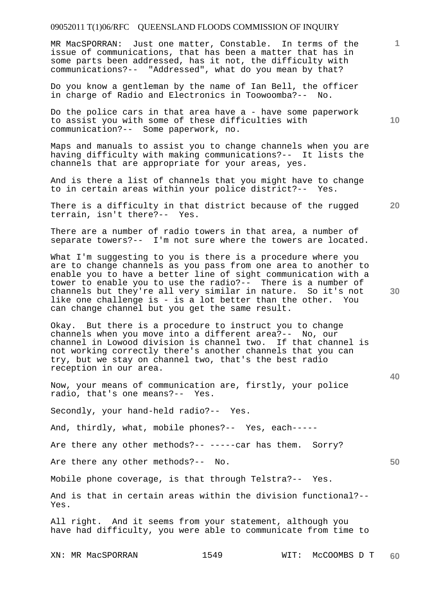MR MacSPORRAN: Just one matter, Constable. In terms of the issue of communications, that has been a matter that has in some parts been addressed, has it not, the difficulty with communications?-- "Addressed", what do you mean by that?

Do you know a gentleman by the name of Ian Bell, the officer in charge of Radio and Electronics in Toowoomba?-- No.

Do the police cars in that area have a - have some paperwork to assist you with some of these difficulties with communication?-- Some paperwork, no.

Maps and manuals to assist you to change channels when you are having difficulty with making communications?-- It lists the channels that are appropriate for your areas, yes.

And is there a list of channels that you might have to change to in certain areas within your police district?-- Yes.

**20**  There is a difficulty in that district because of the rugged terrain, isn't there?-- Yes.

There are a number of radio towers in that area, a number of separate towers?-- I'm not sure where the towers are located.

What I'm suggesting to you is there is a procedure where you are to change channels as you pass from one area to another to enable you to have a better line of sight communication with a tower to enable you to use the radio?-- There is a number of channels but they're all very similar in nature. So it's not like one challenge is - is a lot better than the other. You can change channel but you get the same result.

Okay. But there is a procedure to instruct you to change channels when you move into a different area?-- No, our channel in Lowood division is channel two. If that channel is not working correctly there's another channels that you can try, but we stay on channel two, that's the best radio reception in our area.

Now, your means of communication are, firstly, your police radio, that's one means?-- Yes.

Secondly, your hand-held radio?-- Yes.

And, thirdly, what, mobile phones?-- Yes, each-----

Are there any other methods?-- -----car has them. Sorry?

Are there any other methods?-- No.

Mobile phone coverage, is that through Telstra?-- Yes.

And is that in certain areas within the division functional?-- Yes.

All right. And it seems from your statement, although you have had difficulty, you were able to communicate from time to

XN: MR MacSPORRAN 1549 WIT: McCOOMBS D T **60** 

**30** 

**40** 

**50** 

**10**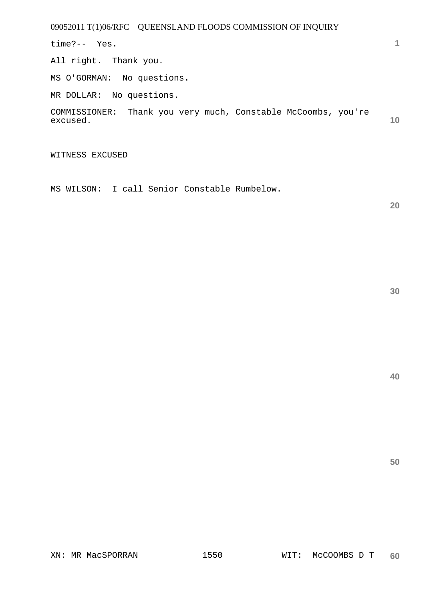time?-- Yes.

All right. Thank you.

MS O'GORMAN: No questions.

MR DOLLAR: No questions.

**10**  COMMISSIONER: Thank you very much, Constable McCoombs, you're excused.

WITNESS EXCUSED

MS WILSON: I call Senior Constable Rumbelow.

**20** 

**1**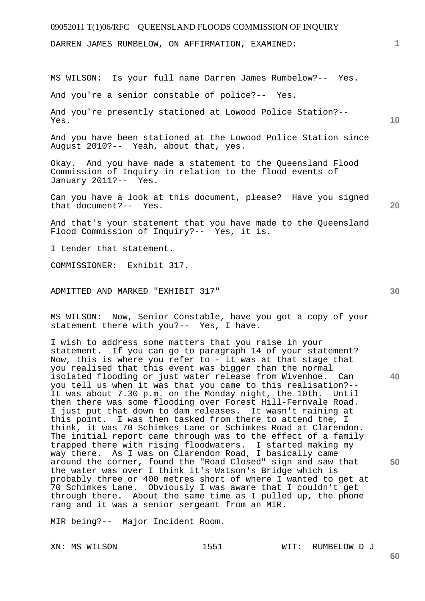DARREN JAMES RUMBELOW, ON AFFIRMATION, EXAMINED:

MS WILSON: Is your full name Darren James Rumbelow?-- Yes.

And you're a senior constable of police?-- Yes.

And you're presently stationed at Lowood Police Station?-- Yes.

And you have been stationed at the Lowood Police Station since August 2010?-- Yeah, about that, yes.

Okay. And you have made a statement to the Queensland Flood Commission of Inquiry in relation to the flood events of January 2011?-- Yes.

Can you have a look at this document, please? Have you signed that document?-- Yes.

And that's your statement that you have made to the Queensland Flood Commission of Inquiry?-- Yes, it is.

I tender that statement.

COMMISSIONER: Exhibit 317.

ADMITTED AND MARKED "EXHIBIT 317"

MS WILSON: Now, Senior Constable, have you got a copy of your statement there with you?-- Yes, I have.

I wish to address some matters that you raise in your statement. If you can go to paragraph 14 of your statement? Now, this is where you refer to - it was at that stage that you realised that this event was bigger than the normal isolated flooding or just water release from Wivenhoe. Can you tell us when it was that you came to this realisation?-- It was about 7.30 p.m. on the Monday night, the 10th. Until then there was some flooding over Forest Hill-Fernvale Road. I just put that down to dam releases. It wasn't raining at this point. I was then tasked from there to attend the, I think, it was 70 Schimkes Lane or Schimkes Road at Clarendon. The initial report came through was to the effect of a family trapped there with rising floodwaters. I started making my way there. As I was on Clarendon Road, I basically came around the corner, found the "Road Closed" sign and saw that the water was over I think it's Watson's Bridge which is probably three or 400 metres short of where I wanted to get at 70 Schimkes Lane. Obviously I was aware that I couldn't get through there. About the same time as I pulled up, the phone rang and it was a senior sergeant from an MIR.

MIR being?-- Major Incident Room.

XN: MS WILSON 1551 WIT: RUMBELOW D J

**30** 

**50** 

**10** 

**20**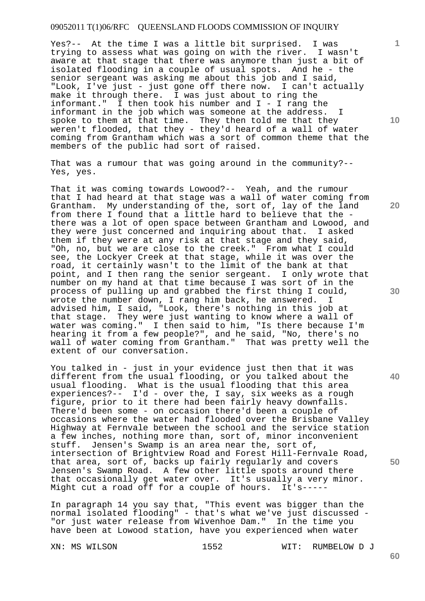Yes?-- At the time I was a little bit surprised. I was trying to assess what was going on with the river. I wasn't aware at that stage that there was anymore than just a bit of isolated flooding in a couple of usual spots. And he - the senior sergeant was asking me about this job and I said, "Look, I've just - just gone off there now. I can't actually make it through there. I was just about to ring the informant." I then took his number and I - I rang the informant in the job which was someone at the address. I spoke to them at that time. They then told me that they weren't flooded, that they - they'd heard of a wall of water coming from Grantham which was a sort of common theme that the members of the public had sort of raised.

That was a rumour that was going around in the community?-- Yes, yes.

That it was coming towards Lowood?-- Yeah, and the rumour that I had heard at that stage was a wall of water coming from Grantham. My understanding of the, sort of, lay of the land from there I found that a little hard to believe that the there was a lot of open space between Grantham and Lowood, and they were just concerned and inquiring about that. I asked them if they were at any risk at that stage and they said, "Oh, no, but we are close to the creek." From what I could see, the Lockyer Creek at that stage, while it was over the road, it certainly wasn't to the limit of the bank at that point, and I then rang the senior sergeant. I only wrote that number on my hand at that time because I was sort of in the process of pulling up and grabbed the first thing I could, wrote the number down, I rang him back, he answered. I advised him, I said, "Look, there's nothing in this job at that stage. They were just wanting to know where a wall of water was coming." I then said to him, "Is there because I'm hearing it from a few people?", and he said, "No, there's no wall of water coming from Grantham." That was pretty well the extent of our conversation.

You talked in - just in your evidence just then that it was different from the usual flooding, or you talked about the usual flooding. What is the usual flooding that this area experiences?-- I'd - over the, I say, six weeks as a rough figure, prior to it there had been fairly heavy downfalls. There'd been some - on occasion there'd been a couple of occasions where the water had flooded over the Brisbane Valley Highway at Fernvale between the school and the service station a few inches, nothing more than, sort of, minor inconvenient stuff. Jensen's Swamp is an area near the, sort of, intersection of Brightview Road and Forest Hill-Fernvale Road, that area, sort of, backs up fairly regularly and covers Jensen's Swamp Road. A few other little spots around there that occasionally get water over. It's usually a very minor. Might cut a road off for a couple of hours. It's-----

In paragraph 14 you say that, "This event was bigger than the normal isolated flooding" - that's what we've just discussed - "or just water release from Wivenhoe Dam." In the time you have been at Lowood station, have you experienced when water

XN: MS WILSON 1552 WIT: RUMBELOW D J

**20** 

**40** 

**50** 

**10**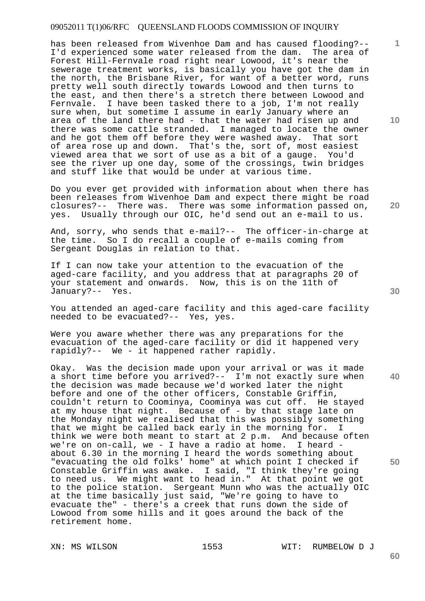has been released from Wivenhoe Dam and has caused flooding?-- I'd experienced some water released from the dam. The area of Forest Hill-Fernvale road right near Lowood, it's near the sewerage treatment works, is basically you have got the dam in the north, the Brisbane River, for want of a better word, runs pretty well south directly towards Lowood and then turns to the east, and then there's a stretch there between Lowood and Fernvale. I have been tasked there to a job, I'm not really sure when, but sometime I assume in early January where an area of the land there had - that the water had risen up and there was some cattle stranded. I managed to locate the owner and he got them off before they were washed away. That sort of area rose up and down. That's the, sort of, most easiest viewed area that we sort of use as a bit of a gauge. You'd see the river up one day, some of the crossings, twin bridges and stuff like that would be under at various time.

Do you ever get provided with information about when there has been releases from Wivenhoe Dam and expect there might be road closures?-- There was. There was some information passed on, yes. Usually through our OIC, he'd send out an e-mail to us.

And, sorry, who sends that e-mail?-- The officer-in-charge at the time. So I do recall a couple of e-mails coming from Sergeant Douglas in relation to that.

If I can now take your attention to the evacuation of the aged-care facility, and you address that at paragraphs 20 of your statement and onwards. Now, this is on the 11th of January?-- Yes.

You attended an aged-care facility and this aged-care facility needed to be evacuated?-- Yes, yes.

Were you aware whether there was any preparations for the evacuation of the aged-care facility or did it happened very rapidly?-- We - it happened rather rapidly.

**40**  Okay. Was the decision made upon your arrival or was it made a short time before you arrived?-- I'm not exactly sure when the decision was made because we'd worked later the night before and one of the other officers, Constable Griffin, couldn't return to Coominya, Coominya was cut off. He stayed at my house that night. Because of - by that stage late on the Monday night we realised that this was possibly something that we might be called back early in the morning for. I think we were both meant to start at 2 p.m. And because often we're on on-call, we - I have a radio at home. I heard about 6.30 in the morning I heard the words something about "evacuating the old folks' home" at which point I checked if Constable Griffin was awake. I said, "I think they're going to need us. We might want to head in." At that point we got to the police station. Sergeant Munn who was the actually OIC at the time basically just said, "We're going to have to evacuate the" - there's a creek that runs down the side of Lowood from some hills and it goes around the back of the retirement home.

XN: MS WILSON 1553 WIT: RUMBELOW D J

**20** 

**1**

**10**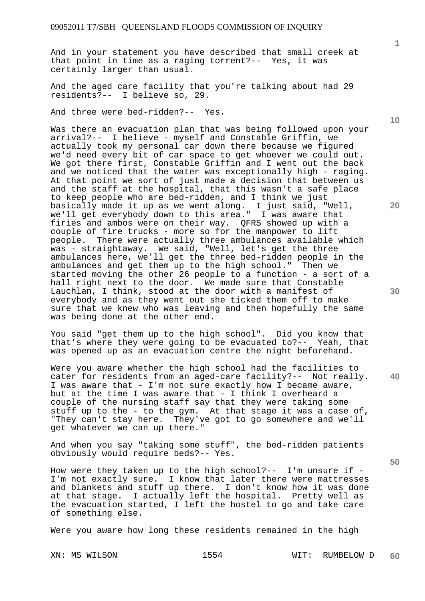And in your statement you have described that small creek at that point in time as a raging torrent?-- Yes, it was certainly larger than usual.

And the aged care facility that you're talking about had 29 residents?-- I believe so, 29.

And three were bed-ridden?-- Yes.

Was there an evacuation plan that was being followed upon your arrival?-- I believe - myself and Constable Griffin, we actually took my personal car down there because we figured we'd need every bit of car space to get whoever we could out. We got there first, Constable Griffin and I went out the back and we noticed that the water was exceptionally high - raging. At that point we sort of just made a decision that between us and the staff at the hospital, that this wasn't a safe place to keep people who are bed-ridden, and I think we just basically made it up as we went along. I just said, "Well, we'll get everybody down to this area." I was aware that firies and ambos were on their way. QFRS showed up with a couple of fire trucks - more so for the manpower to lift people. There were actually three ambulances available which was - straightaway. We said, "Well, let's get the three ambulances here, we'll get the three bed-ridden people in the ambulances and get them up to the high school." Then we started moving the other 26 people to a function - a sort of a hall right next to the door. We made sure that Constable Lauchlan, I think, stood at the door with a manifest of everybody and as they went out she ticked them off to make sure that we knew who was leaving and then hopefully the same was being done at the other end.

You said "get them up to the high school". Did you know that that's where they were going to be evacuated to?-- Yeah, that was opened up as an evacuation centre the night beforehand.

Were you aware whether the high school had the facilities to cater for residents from an aged-care facility?-- Not really. I was aware that - I'm not sure exactly how I became aware, but at the time I was aware that - I think I overheard a couple of the nursing staff say that they were taking some stuff up to the - to the gym. At that stage it was a case of, "They can't stay here. They've got to go somewhere and we'll get whatever we can up there."

And when you say "taking some stuff", the bed-ridden patients obviously would require beds?-- Yes.

How were they taken up to the high  $school$  ?-- I'm unsure if -I'm not exactly sure. I know that later there were mattresses and blankets and stuff up there. I don't know how it was done at that stage. I actually left the hospital. Pretty well as the evacuation started, I left the hostel to go and take care of something else.

Were you aware how long these residents remained in the high

XN: MS WILSON 1554 WIT: RUMBELOW D **60** 

**20** 

**40** 

**50** 

**1**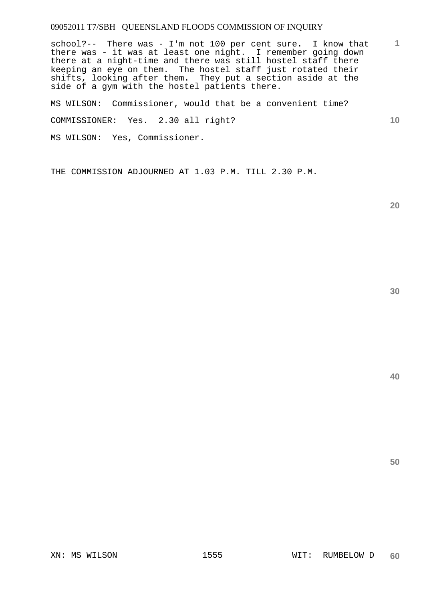school?-- There was - I'm not 100 per cent sure. I know that there was - it was at least one night. I remember going down there at a night-time and there was still hostel staff there keeping an eye on them. The hostel staff just rotated their shifts, looking after them. They put a section aside at the side of a gym with the hostel patients there.

MS WILSON: Commissioner, would that be a convenient time? COMMISSIONER: Yes. 2.30 all right? MS WILSON: Yes, Commissioner.

THE COMMISSION ADJOURNED AT 1.03 P.M. TILL 2.30 P.M.

**20** 

**40** 

**50** 

**1**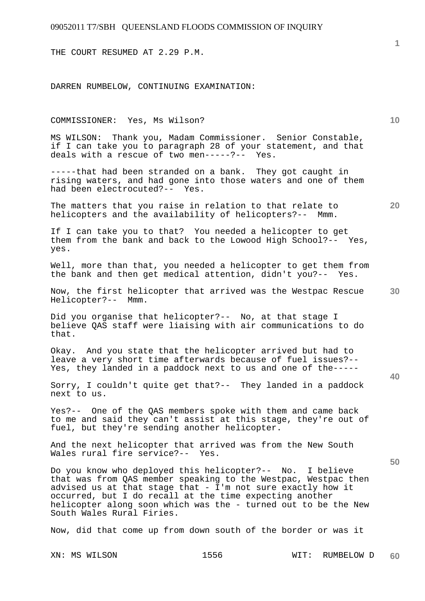THE COURT RESUMED AT 2.29 P.M.

DARREN RUMBELOW, CONTINUING EXAMINATION:

# XN: MS WILSON 1556 WIT: RUMBELOW D **10 30 40 50**  COMMISSIONER: Yes, Ms Wilson? MS WILSON: Thank you, Madam Commissioner. Senior Constable, if I can take you to paragraph 28 of your statement, and that deals with a rescue of two men-----?-- Yes. -----that had been stranded on a bank. They got caught in rising waters, and had gone into those waters and one of them had been electrocuted?-- Yes. The matters that you raise in relation to that relate to helicopters and the availability of helicopters?-- Mmm. If I can take you to that? You needed a helicopter to get them from the bank and back to the Lowood High School?-- Yes, yes. Well, more than that, you needed a helicopter to get them from the bank and then get medical attention, didn't you?-- Yes. Now, the first helicopter that arrived was the Westpac Rescue Helicopter?-- Mmm. Did you organise that helicopter?-- No, at that stage I believe QAS staff were liaising with air communications to do that. Okay. And you state that the helicopter arrived but had to leave a very short time afterwards because of fuel issues?-- Yes, they landed in a paddock next to us and one of the----- Sorry, I couldn't quite get that?-- They landed in a paddock next to us. Yes?-- One of the QAS members spoke with them and came back to me and said they can't assist at this stage, they're out of fuel, but they're sending another helicopter. And the next helicopter that arrived was from the New South Wales rural fire service?-- Yes. Do you know who deployed this helicopter?-- No. I believe that was from QAS member speaking to the Westpac, Westpac then advised us at that stage that - I'm not sure exactly how it occurred, but I do recall at the time expecting another helicopter along soon which was the - turned out to be the New South Wales Rural Firies. Now, did that come up from down south of the border or was it

**1**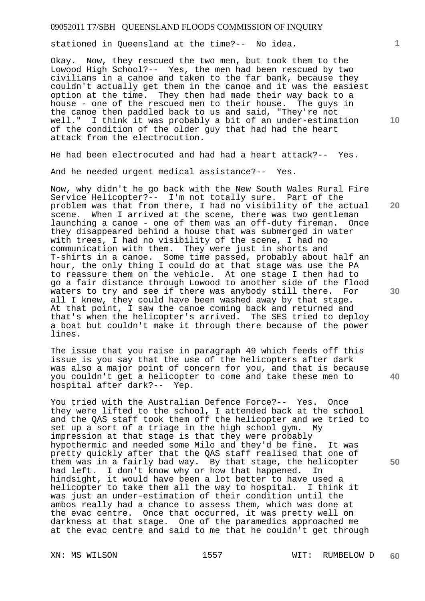stationed in Queensland at the time?-- No idea.

Okay. Now, they rescued the two men, but took them to the Lowood High School?-- Yes, the men had been rescued by two civilians in a canoe and taken to the far bank, because they couldn't actually get them in the canoe and it was the easiest option at the time. They then had made their way back to a house - one of the rescued men to their house. The guys in the canoe then paddled back to us and said, "They're not well." I think it was probably a bit of an under-estimation of the condition of the older guy that had had the heart attack from the electrocution.

He had been electrocuted and had had a heart attack?-- Yes.

And he needed urgent medical assistance?-- Yes.

Now, why didn't he go back with the New South Wales Rural Fire Service Helicopter?-- I'm not totally sure. Part of the problem was that from there, I had no visibility of the actual scene. When I arrived at the scene, there was two gentleman<br>launching a canoe - one of them was an off-duty fireman. Once launching a canoe - one of them was an off-duty fireman. they disappeared behind a house that was submerged in water with trees, I had no visibility of the scene, I had no communication with them. They were just in shorts and T-shirts in a canoe. Some time passed, probably about half an hour, the only thing I could do at that stage was use the PA to reassure them on the vehicle. At one stage I then had to go a fair distance through Lowood to another side of the flood waters to try and see if there was anybody still there. For all I knew, they could have been washed away by that stage. At that point, I saw the canoe coming back and returned and that's when the helicopter's arrived. The SES tried to deploy a boat but couldn't make it through there because of the power lines.

The issue that you raise in paragraph 49 which feeds off this issue is you say that the use of the helicopters after dark was also a major point of concern for you, and that is because you couldn't get a helicopter to come and take these men to hospital after dark?-- Yep.

You tried with the Australian Defence Force?-- Yes. Once they were lifted to the school, I attended back at the school and the QAS staff took them off the helicopter and we tried to set up a sort of a triage in the high school gym. My impression at that stage is that they were probably hypothermic and needed some Milo and they'd be fine. It was pretty quickly after that the QAS staff realised that one of them was in a fairly bad way. By that stage, the helicopter had left. I don't know why or how that happened. In hindsight, it would have been a lot better to have used a helicopter to take them all the way to hospital. I think it was just an under-estimation of their condition until the ambos really had a chance to assess them, which was done at the evac centre. Once that occurred, it was pretty well on darkness at that stage. One of the paramedics approached me at the evac centre and said to me that he couldn't get through

**1**

**20** 

**30** 

**40** 

**50**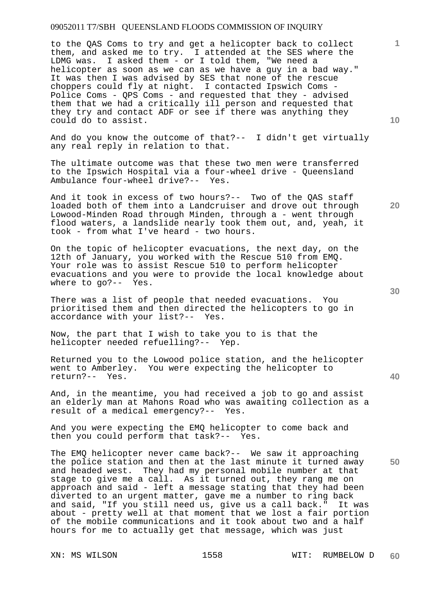to the QAS Coms to try and get a helicopter back to collect them, and asked me to try. I attended at the SES where the LDMG was. I asked them - or I told them, "We need a helicopter as soon as we can as we have a guy in a bad way." It was then I was advised by SES that none of the rescue choppers could fly at night. I contacted Ipswich Coms - Police Coms - QPS Coms - and requested that they - advised them that we had a critically ill person and requested that they try and contact ADF or see if there was anything they could do to assist.

And do you know the outcome of that?-- I didn't get virtually any real reply in relation to that.

The ultimate outcome was that these two men were transferred to the Ipswich Hospital via a four-wheel drive - Queensland Ambulance four-wheel drive?-- Yes.

And it took in excess of two hours?-- Two of the QAS staff loaded both of them into a Landcruiser and drove out through Lowood-Minden Road through Minden, through a - went through flood waters, a landslide nearly took them out, and, yeah, it took - from what I've heard - two hours.

On the topic of helicopter evacuations, the next day, on the 12th of January, you worked with the Rescue 510 from EMQ. Your role was to assist Rescue 510 to perform helicopter evacuations and you were to provide the local knowledge about where to go?-- Yes.

There was a list of people that needed evacuations. You prioritised them and then directed the helicopters to go in accordance with your list?-- Yes.

Now, the part that I wish to take you to is that the helicopter needed refuelling?-- Yep.

Returned you to the Lowood police station, and the helicopter went to Amberley. You were expecting the helicopter to return?-- Yes.

And, in the meantime, you had received a job to go and assist an elderly man at Mahons Road who was awaiting collection as a result of a medical emergency?-- Yes.

And you were expecting the EMQ helicopter to come back and then you could perform that task?-- Yes.

The EMQ helicopter never came back?-- We saw it approaching the police station and then at the last minute it turned away and headed west. They had my personal mobile number at that stage to give me a call. As it turned out, they rang me on approach and said - left a message stating that they had been diverted to an urgent matter, gave me a number to ring back and said, "If you still need us, give us a call back." It was about - pretty well at that moment that we lost a fair portion of the mobile communications and it took about two and a half hours for me to actually get that message, which was just

**10** 

**20** 

**1**

**30** 

**40**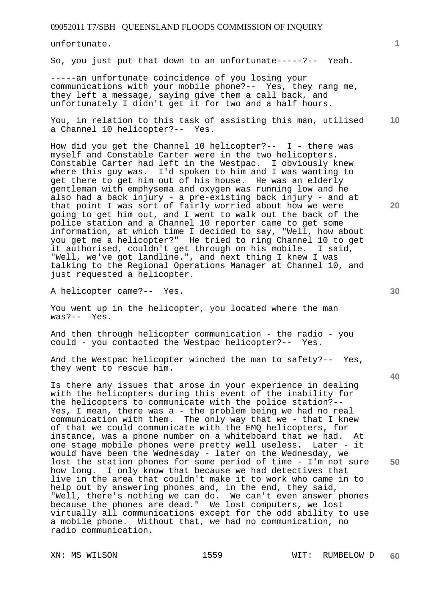unfortunate.

So, you just put that down to an unfortunate-----?-- Yeah.

-----an unfortunate coincidence of you losing your communications with your mobile phone?-- Yes, they rang me, they left a message, saying give them a call back, and unfortunately I didn't get it for two and a half hours.

**10**  You, in relation to this task of assisting this man, utilised a Channel 10 helicopter?-- Yes.

How did you get the Channel 10 helicopter?-- I - there was myself and Constable Carter were in the two helicopters. Constable Carter had left in the Westpac. I obviously knew where this guy was. I'd spoken to him and I was wanting to get there to get him out of his house. He was an elderly gentleman with emphysema and oxygen was running low and he also had a back injury - a pre-existing back injury - and at that point I was sort of fairly worried about how we were going to get him out, and I went to walk out the back of the police station and a Channel 10 reporter came to get some information, at which time I decided to say, "Well, how about you get me a helicopter?" He tried to ring Channel 10 to get it authorised, couldn't get through on his mobile. I said, "Well, we've got landline.", and next thing I knew I was talking to the Regional Operations Manager at Channel 10, and just requested a helicopter.

A helicopter came?-- Yes.

You went up in the helicopter, you located where the man was?-- Yes.

And then through helicopter communication - the radio - you could - you contacted the Westpac helicopter?-- Yes.

And the Westpac helicopter winched the man to safety?-- Yes, they went to rescue him.

Is there any issues that arose in your experience in dealing with the helicopters during this event of the inability for the helicopters to communicate with the police station?-- Yes, I mean, there was a - the problem being we had no real communication with them. The only way that we - that I knew of that we could communicate with the EMQ helicopters, for instance, was a phone number on a whiteboard that we had. At one stage mobile phones were pretty well useless. Later - it would have been the Wednesday - later on the Wednesday, we lost the station phones for some period of time - I'm not sure how long. I only know that because we had detectives that live in the area that couldn't make it to work who came in to help out by answering phones and, in the end, they said, "Well, there's nothing we can do. We can't even answer phones because the phones are dead." We lost computers, we lost virtually all communications except for the odd ability to use a mobile phone. Without that, we had no communication, no radio communication.

**30** 

**20** 

**50**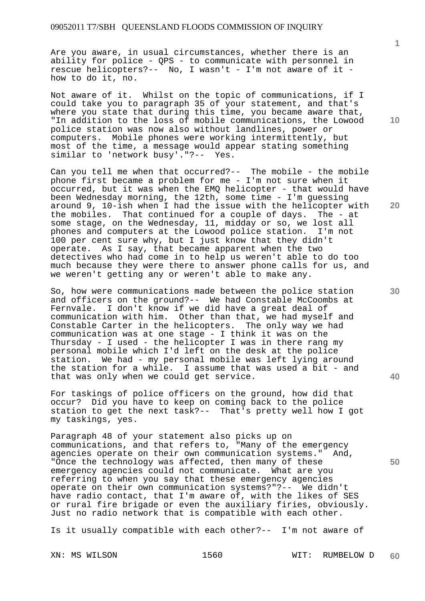Are you aware, in usual circumstances, whether there is an ability for police - QPS - to communicate with personnel in rescue helicopters?-- No, I wasn't - I'm not aware of it how to do it, no.

Not aware of it. Whilst on the topic of communications, if I could take you to paragraph 35 of your statement, and that's where you state that during this time, you became aware that, "In addition to the loss of mobile communications, the Lowood police station was now also without landlines, power or computers. Mobile phones were working intermittently, but most of the time, a message would appear stating something similar to 'network busy'."?-- Yes.

Can you tell me when that occurred?-- The mobile - the mobile phone first became a problem for me - I'm not sure when it occurred, but it was when the EMQ helicopter - that would have been Wednesday morning, the 12th, some time - I'm guessing around 9, 10-ish when I had the issue with the helicopter with the mobiles. That continued for a couple of days. The - at some stage, on the Wednesday, 11, midday or so, we lost all phones and computers at the Lowood police station. I'm not 100 per cent sure why, but I just know that they didn't operate. As I say, that became apparent when the two detectives who had come in to help us weren't able to do too much because they were there to answer phone calls for us, and we weren't getting any or weren't able to make any.

So, how were communications made between the police station and officers on the ground?-- We had Constable McCoombs at Fernvale. I don't know if we did have a great deal of communication with him. Other than that, we had myself and Constable Carter in the helicopters. The only way we had communication was at one stage - I think it was on the Thursday - I used - the helicopter I was in there rang my personal mobile which I'd left on the desk at the police station. We had - my personal mobile was left lying around the station for a while. I assume that was used a bit - and that was only when we could get service.

For taskings of police officers on the ground, how did that occur? Did you have to keep on coming back to the police station to get the next task?-- That's pretty well how I got my taskings, yes.

Paragraph 48 of your statement also picks up on communications, and that refers to, "Many of the emergency agencies operate on their own communication systems." And, "Once the technology was affected, then many of these emergency agencies could not communicate. What are you referring to when you say that these emergency agencies operate on their own communication systems?"?-- We didn't have radio contact, that I'm aware of, with the likes of SES or rural fire brigade or even the auxiliary firies, obviously. Just no radio network that is compatible with each other.

Is it usually compatible with each other?-- I'm not aware of

**10** 

**1**

**30** 

**20** 

**40**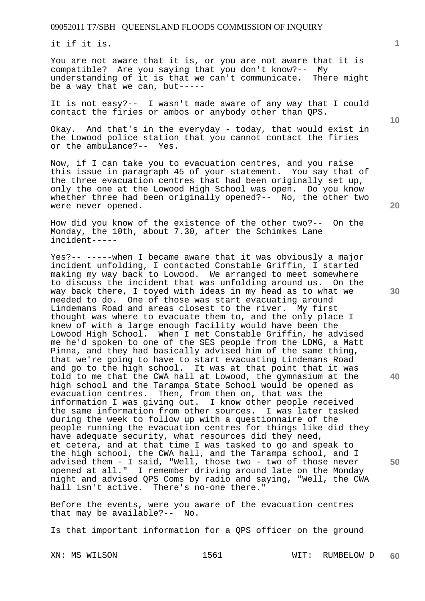it if it is.

You are not aware that it is, or you are not aware that it is compatible? Are you saying that you don't know?-- My understanding of it is that we can't communicate. There might be a way that we can, but-----

It is not easy?-- I wasn't made aware of any way that I could contact the firies or ambos or anybody other than QPS.

Okay. And that's in the everyday - today, that would exist in the Lowood police station that you cannot contact the firies or the ambulance?-- Yes.

Now, if I can take you to evacuation centres, and you raise this issue in paragraph 45 of your statement. You say that of the three evacuation centres that had been originally set up, only the one at the Lowood High School was open. Do you know whether three had been originally opened?-- No, the other two were never opened.

How did you know of the existence of the other two?-- On the Monday, the 10th, about 7.30, after the Schimkes Lane incident-----

Yes?-- -----when I became aware that it was obviously a major incident unfolding, I contacted Constable Griffin, I started making my way back to Lowood. We arranged to meet somewhere to discuss the incident that was unfolding around us. On the way back there, I toyed with ideas in my head as to what we needed to do. One of those was start evacuating around Lindemans Road and areas closest to the river. My first thought was where to evacuate them to, and the only place I knew of with a large enough facility would have been the Lowood High School. When I met Constable Griffin, he advised me he'd spoken to one of the SES people from the LDMG, a Matt Pinna, and they had basically advised him of the same thing, that we're going to have to start evacuating Lindemans Road and go to the high school. It was at that point that it was told to me that the CWA hall at Lowood, the gymnasium at the high school and the Tarampa State School would be opened as evacuation centres. Then, from then on, that was the information I was giving out. I know other people received the same information from other sources. I was later tasked during the week to follow up with a questionnaire of the people running the evacuation centres for things like did they have adequate security, what resources did they need, et cetera, and at that time I was tasked to go and speak to the high school, the CWA hall, and the Tarampa school, and I advised them - I said, "Well, those two - two of those never opened at all." I remember driving around late on the Monday night and advised QPS Coms by radio and saying, "Well, the CWA hall isn't active. There's no-one there."

Before the events, were you aware of the evacuation centres that may be available?-- No.

Is that important information for a QPS officer on the ground

**1**

**20** 

**30** 

**40**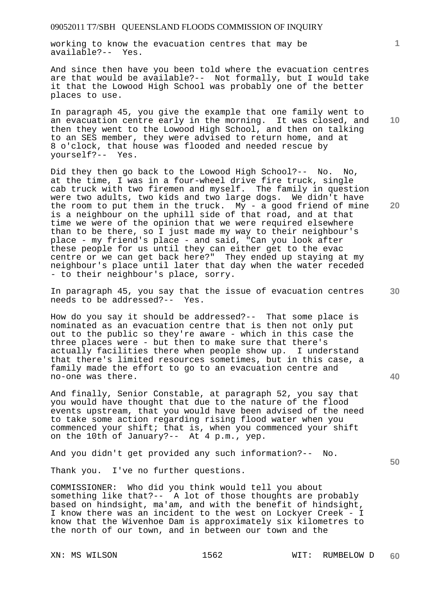working to know the evacuation centres that may be available?-- Yes.

And since then have you been told where the evacuation centres are that would be available?-- Not formally, but I would take it that the Lowood High School was probably one of the better places to use.

In paragraph 45, you give the example that one family went to an evacuation centre early in the morning. It was closed, and then they went to the Lowood High School, and then on talking to an SES member, they were advised to return home, and at 8 o'clock, that house was flooded and needed rescue by yourself?-- Yes.

Did they then go back to the Lowood High School?-- No. No, at the time, I was in a four-wheel drive fire truck, single cab truck with two firemen and myself. The family in question were two adults, two kids and two large dogs. We didn't have the room to put them in the truck. My - a good friend of mine is a neighbour on the uphill side of that road, and at that time we were of the opinion that we were required elsewhere than to be there, so I just made my way to their neighbour's place - my friend's place - and said, "Can you look after these people for us until they can either get to the evac centre or we can get back here?" They ended up staying at my neighbour's place until later that day when the water receded - to their neighbour's place, sorry.

In paragraph 45, you say that the issue of evacuation centres needs to be addressed?-- Yes.

How do you say it should be addressed?-- That some place is nominated as an evacuation centre that is then not only put out to the public so they're aware - which in this case the three places were - but then to make sure that there's actually facilities there when people show up. I understand that there's limited resources sometimes, but in this case, a family made the effort to go to an evacuation centre and no-one was there.

And finally, Senior Constable, at paragraph 52, you say that you would have thought that due to the nature of the flood events upstream, that you would have been advised of the need to take some action regarding rising flood water when you commenced your shift; that is, when you commenced your shift on the 10th of January?-- At 4 p.m., yep.

And you didn't get provided any such information?-- No.

Thank you. I've no further questions.

COMMISSIONER: Who did you think would tell you about something like that?-- A lot of those thoughts are probably based on hindsight, ma'am, and with the benefit of hindsight, I know there was an incident to the west on Lockyer Creek - I know that the Wivenhoe Dam is approximately six kilometres to the north of our town, and in between our town and the

**10** 

**1**

**20** 

**40**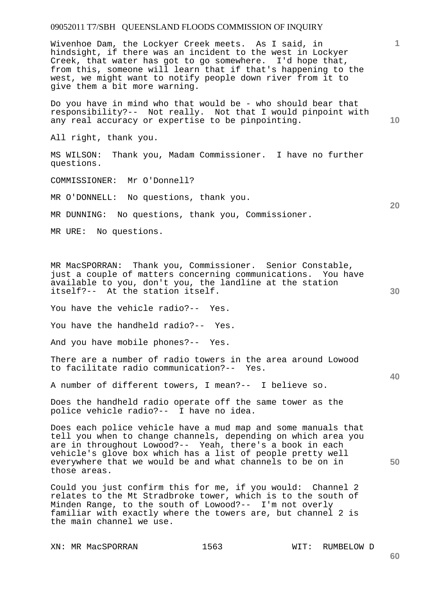Wivenhoe Dam, the Lockyer Creek meets. As I said, in hindsight, if there was an incident to the west in Lockyer Creek, that water has got to go somewhere. I'd hope that, from this, someone will learn that if that's happening to the west, we might want to notify people down river from it to give them a bit more warning.

Do you have in mind who that would be - who should bear that responsibility?-- Not really. Not that I would pinpoint with any real accuracy or expertise to be pinpointing.

All right, thank you.

MS WILSON: Thank you, Madam Commissioner. I have no further questions.

COMMISSIONER: Mr O'Donnell?

MR O'DONNELL: No questions, thank you.

MR DUNNING: No questions, thank you, Commissioner.

MR URE: No questions.

MR MacSPORRAN: Thank you, Commissioner. Senior Constable, just a couple of matters concerning communications. You have available to you, don't you, the landline at the station itself?-- At the station itself.

You have the vehicle radio?-- Yes.

You have the handheld radio?-- Yes.

And you have mobile phones?-- Yes.

There are a number of radio towers in the area around Lowood to facilitate radio communication?-- Yes.

A number of different towers, I mean?-- I believe so.

Does the handheld radio operate off the same tower as the police vehicle radio?-- I have no idea.

Does each police vehicle have a mud map and some manuals that tell you when to change channels, depending on which area you are in throughout Lowood?-- Yeah, there's a book in each vehicle's glove box which has a list of people pretty well everywhere that we would be and what channels to be on in those areas.

Could you just confirm this for me, if you would: Channel 2 relates to the Mt Stradbroke tower, which is to the south of Minden Range, to the south of Lowood?-- I'm not overly familiar with exactly where the towers are, but channel 2 is the main channel we use.

XN: MR MacSPORRAN 1563 WIT: RUMBELOW D

**1**

**10** 

**20** 

**50**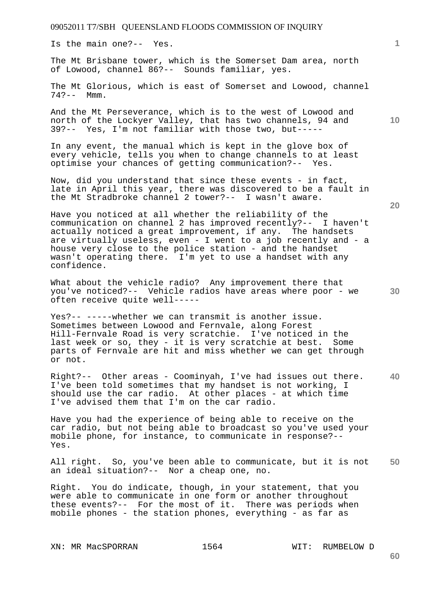Is the main one?-- Yes.

The Mt Brisbane tower, which is the Somerset Dam area, north of Lowood, channel 86?-- Sounds familiar, yes.

The Mt Glorious, which is east of Somerset and Lowood, channel  $74? - -$  Mmm.

And the Mt Perseverance, which is to the west of Lowood and north of the Lockyer Valley, that has two channels, 94 and 39?-- Yes, I'm not familiar with those two, but-----

In any event, the manual which is kept in the glove box of every vehicle, tells you when to change channels to at least optimise your chances of getting communication?-- Yes.

Now, did you understand that since these events - in fact, late in April this year, there was discovered to be a fault in the Mt Stradbroke channel 2 tower?-- I wasn't aware.

Have you noticed at all whether the reliability of the communication on channel 2 has improved recently?-- I haven't actually noticed a great improvement, if any. The handsets are virtually useless, even - I went to a job recently and - a house very close to the police station - and the handset wasn't operating there. I'm yet to use a handset with any confidence.

What about the vehicle radio? Any improvement there that you've noticed?-- Vehicle radios have areas where poor - we often receive quite well-----

Yes?-- -----whether we can transmit is another issue. Sometimes between Lowood and Fernvale, along Forest Hill-Fernvale Road is very scratchie. I've noticed in the last week or so, they - it is very scratchie at best. Some parts of Fernvale are hit and miss whether we can get through or not.

**40**  Right?-- Other areas - Coominyah, I've had issues out there. I've been told sometimes that my handset is not working, I should use the car radio. At other places - at which time I've advised them that I'm on the car radio.

Have you had the experience of being able to receive on the car radio, but not being able to broadcast so you've used your mobile phone, for instance, to communicate in response?-- Yes.

**50**  All right. So, you've been able to communicate, but it is not an ideal situation?-- Nor a cheap one, no.

Right. You do indicate, though, in your statement, that you were able to communicate in one form or another throughout these events?-- For the most of it. There was periods when mobile phones - the station phones, everything - as far as

**60** 

**1**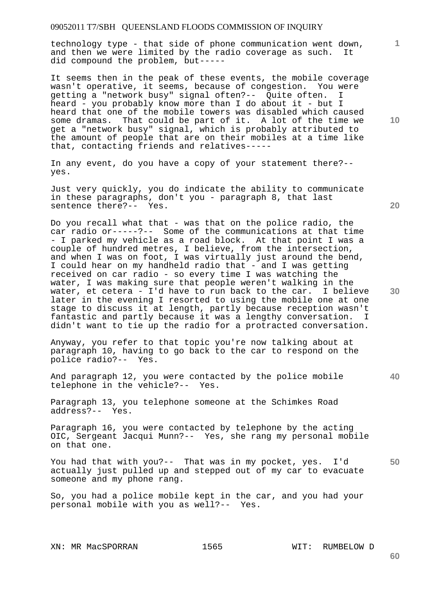technology type - that side of phone communication went down, and then we were limited by the radio coverage as such. It did compound the problem, but-----

It seems then in the peak of these events, the mobile coverage wasn't operative, it seems, because of congestion. You were getting a "network busy" signal often?-- Quite often. I heard - you probably know more than I do about it - but I heard that one of the mobile towers was disabled which caused some dramas. That could be part of it. A lot of the time we get a "network busy" signal, which is probably attributed to the amount of people that are on their mobiles at a time like that, contacting friends and relatives-----

In any event, do you have a copy of your statement there?- yes.

Just very quickly, you do indicate the ability to communicate in these paragraphs, don't you - paragraph 8, that last sentence there?-- Yes.

Do you recall what that - was that on the police radio, the car radio or-----?-- Some of the communications at that time - I parked my vehicle as a road block. At that point I was a couple of hundred metres, I believe, from the intersection, and when I was on foot, I was virtually just around the bend, I could hear on my handheld radio that - and I was getting received on car radio - so every time I was watching the water, I was making sure that people weren't walking in the water, et cetera - I'd have to run back to the car. I believe later in the evening I resorted to using the mobile one at one stage to discuss it at length, partly because reception wasn't fantastic and partly because it was a lengthy conversation. I didn't want to tie up the radio for a protracted conversation.

Anyway, you refer to that topic you're now talking about at paragraph 10, having to go back to the car to respond on the police radio?-- Yes.

And paragraph 12, you were contacted by the police mobile telephone in the vehicle?-- Yes.

Paragraph 13, you telephone someone at the Schimkes Road address?-- Yes.

Paragraph 16, you were contacted by telephone by the acting OIC, Sergeant Jacqui Munn?-- Yes, she rang my personal mobile on that one.

**50**  You had that with you?-- That was in my pocket, yes. I'd actually just pulled up and stepped out of my car to evacuate someone and my phone rang.

So, you had a police mobile kept in the car, and you had your personal mobile with you as well?-- Yes.

**20** 

**10** 

**1**

**40**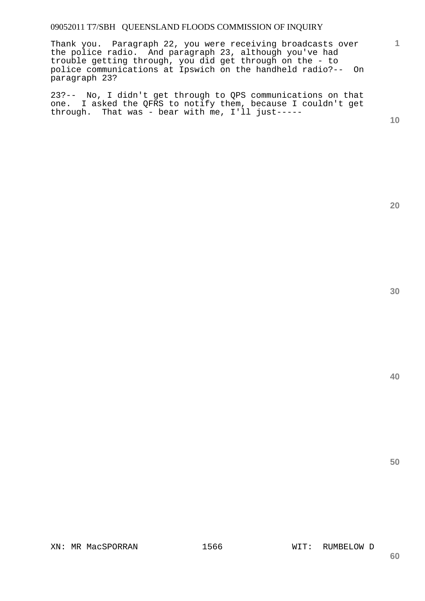Thank you. Paragraph 22, you were receiving broadcasts over the police radio. And paragraph 23, although you've had trouble getting through, you did get through on the - to police communications at Ipswich on the handheld radio?-- On paragraph 23?

23?-- No, I didn't get through to QPS communications on that one. I asked the QFRS to notify them, because I couldn't get through. That was - bear with me, I'll just-----

**10** 

**1**

**20** 

**30**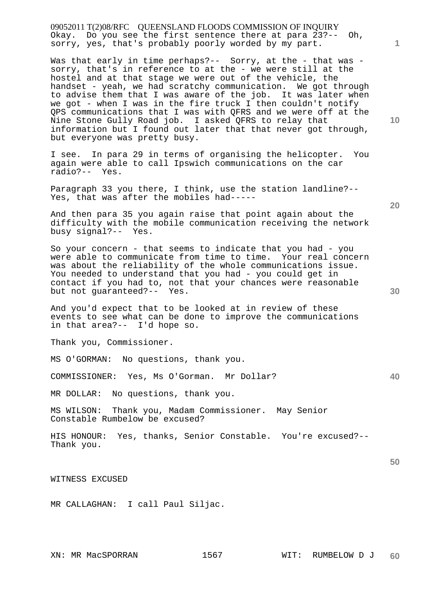09052011 T(2)08/RFC QUEENSLAND FLOODS COMMISSION OF INQUIRY Okay. Do you see the first sentence there at para 23?-- Oh, sorry, yes, that's probably poorly worded by my part.

Was that early in time perhaps?-- Sorry, at the - that was sorry, that's in reference to at the - we were still at the hostel and at that stage we were out of the vehicle, the handset - yeah, we had scratchy communication. We got through to advise them that I was aware of the job. It was later when we got - when I was in the fire truck I then couldn't notify QPS communications that I was with QFRS and we were off at the Nine Stone Gully Road job. I asked QFRS to relay that information but I found out later that that never got through, but everyone was pretty busy.

I see. In para 29 in terms of organising the helicopter. You again were able to call Ipswich communications on the car radio?-- Yes.

Paragraph 33 you there, I think, use the station landline?-- Yes, that was after the mobiles had-----

And then para 35 you again raise that point again about the difficulty with the mobile communication receiving the network busy signal?-- Yes.

So your concern - that seems to indicate that you had - you were able to communicate from time to time. Your real concern was about the reliability of the whole communications issue. You needed to understand that you had - you could get in contact if you had to, not that your chances were reasonable but not guaranteed?-- Yes.

And you'd expect that to be looked at in review of these events to see what can be done to improve the communications in that area?-- I'd hope so.

Thank you, Commissioner.

MS O'GORMAN: No questions, thank you.

COMMISSIONER: Yes, Ms O'Gorman. Mr Dollar?

MR DOLLAR: No questions, thank you.

MS WILSON: Thank you, Madam Commissioner. May Senior Constable Rumbelow be excused?

HIS HONOUR: Yes, thanks, Senior Constable. You're excused?-- Thank you.

WITNESS EXCUSED

MR CALLAGHAN: I call Paul Siljac.

**10** 

**1**

**30** 

**20**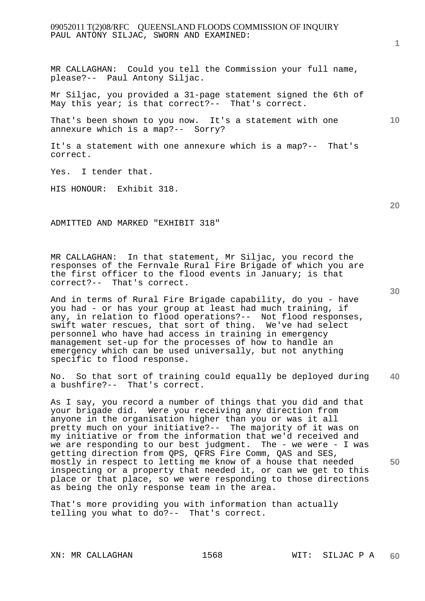# 09052011 T(2)08/RFC QUEENSLAND FLOODS COMMISSION OF INQUIRY PAUL ANTONY SILJAC, SWORN AND EXAMINED:

MR CALLAGHAN: Could you tell the Commission your full name, please?-- Paul Antony Siljac.

Mr Siljac, you provided a 31-page statement signed the 6th of May this year; is that correct?-- That's correct.

That's been shown to you now. It's a statement with one annexure which is a map?-- Sorry?

It's a statement with one annexure which is a map?-- That's correct.

Yes. I tender that.

HIS HONOUR: Exhibit 318.

ADMITTED AND MARKED "EXHIBIT 318"

MR CALLAGHAN: In that statement, Mr Siljac, you record the responses of the Fernvale Rural Fire Brigade of which you are the first officer to the flood events in January; is that correct?-- That's correct.

And in terms of Rural Fire Brigade capability, do you - have you had - or has your group at least had much training, if any, in relation to flood operations?-- Not flood responses, swift water rescues, that sort of thing. We've had select personnel who have had access in training in emergency management set-up for the processes of how to handle an emergency which can be used universally, but not anything specific to flood response.

**40**  No. So that sort of training could equally be deployed during a bushfire?-- That's correct.

As I say, you record a number of things that you did and that your brigade did. Were you receiving any direction from anyone in the organisation higher than you or was it all pretty much on your initiative?-- The majority of it was on my initiative or from the information that we'd received and we are responding to our best judgment. The - we were - I was getting direction from QPS, QFRS Fire Comm, QAS and SES, mostly in respect to letting me know of a house that needed inspecting or a property that needed it, or can we get to this place or that place, so we were responding to those directions as being the only response team in the area.

That's more providing you with information than actually telling you what to do?-- That's correct.

XN: MR CALLAGHAN 1568 WIT: SILJAC P A

**1**

**10** 

**20**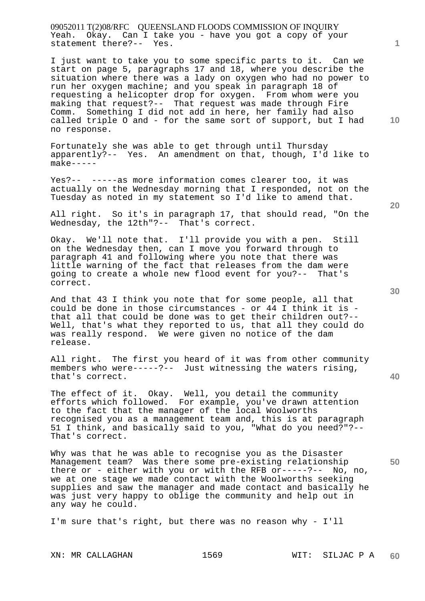09052011 T(2)08/RFC QUEENSLAND FLOODS COMMISSION OF INQUIRY Yeah. Okay. Can I take you - have you got a copy of your statement there?-- Yes.

I just want to take you to some specific parts to it. Can we start on page 5, paragraphs 17 and 18, where you describe the situation where there was a lady on oxygen who had no power to run her oxygen machine; and you speak in paragraph 18 of requesting a helicopter drop for oxygen. From whom were you making that request?-- That request was made through Fire Comm. Something I did not add in here, her family had also called triple O and - for the same sort of support, but I had no response.

Fortunately she was able to get through until Thursday apparently?-- Yes. An amendment on that, though, I'd like to make-----

Yes?-- -----as more information comes clearer too, it was actually on the Wednesday morning that I responded, not on the Tuesday as noted in my statement so I'd like to amend that.

All right. So it's in paragraph 17, that should read, "On the Wednesday, the 12th"?-- That's correct.

Okay. We'll note that. I'll provide you with a pen. Still on the Wednesday then, can I move you forward through to paragraph 41 and following where you note that there was little warning of the fact that releases from the dam were going to create a whole new flood event for you?-- That's correct.

And that 43 I think you note that for some people, all that could be done in those circumstances - or 44 I think it is that all that could be done was to get their children out?-- Well, that's what they reported to us, that all they could do was really respond. We were given no notice of the dam release.

All right. The first you heard of it was from other community members who were-----?-- Just witnessing the waters rising, that's correct.

The effect of it. Okay. Well, you detail the community efforts which followed. For example, you've drawn attention to the fact that the manager of the local Woolworths recognised you as a management team and, this is at paragraph 51 I think, and basically said to you, "What do you need?"?-- That's correct.

Why was that he was able to recognise you as the Disaster Management team? Was there some pre-existing relationship there or - either with you or with the RFB or-----?-- No, no, we at one stage we made contact with the Woolworths seeking supplies and saw the manager and made contact and basically he was just very happy to oblige the community and help out in any way he could.

I'm sure that's right, but there was no reason why - I'll

**40** 

**50** 

**20** 

**10**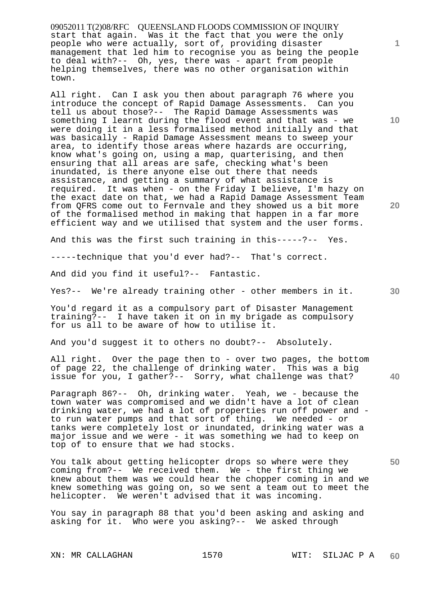09052011 T(2)08/RFC QUEENSLAND FLOODS COMMISSION OF INQUIRY start that again. Was it the fact that you were the only people who were actually, sort of, providing disaster management that led him to recognise you as being the people to deal with?-- Oh, yes, there was - apart from people helping themselves, there was no other organisation within town.

All right. Can I ask you then about paragraph 76 where you introduce the concept of Rapid Damage Assessments. Can you tell us about those?-- The Rapid Damage Assessments was something I learnt during the flood event and that was - we were doing it in a less formalised method initially and that was basically - Rapid Damage Assessment means to sweep your area, to identify those areas where hazards are occurring, know what's going on, using a map, quarterising, and then ensuring that all areas are safe, checking what's been inundated, is there anyone else out there that needs assistance, and getting a summary of what assistance is required. It was when - on the Friday I believe, I'm hazy on the exact date on that, we had a Rapid Damage Assessment Team from QFRS come out to Fernvale and they showed us a bit more of the formalised method in making that happen in a far more efficient way and we utilised that system and the user forms.

And this was the first such training in this-----?-- Yes.

-----technique that you'd ever had?-- That's correct.

And did you find it useful?-- Fantastic.

Yes?-- We're already training other - other members in it.

You'd regard it as a compulsory part of Disaster Management training?-- I have taken it on in my brigade as compulsory for us all to be aware of how to utilise it.

And you'd suggest it to others no doubt?-- Absolutely.

All right. Over the page then to - over two pages, the bottom of page 22, the challenge of drinking water. This was a big issue for you, I gather?-- Sorry, what challenge was that?

Paragraph 86?-- Oh, drinking water. Yeah, we - because the town water was compromised and we didn't have a lot of clean drinking water, we had a lot of properties run off power and to run water pumps and that sort of thing. We needed - or tanks were completely lost or inundated, drinking water was a major issue and we were - it was something we had to keep on top of to ensure that we had stocks.

You talk about getting helicopter drops so where were they coming from?-- We received them. We - the first thing we knew about them was we could hear the chopper coming in and we knew something was going on, so we sent a team out to meet the helicopter. We weren't advised that it was incoming.

You say in paragraph 88 that you'd been asking and asking and asking for it. Who were you asking?-- We asked through

**1**

**30** 

**40** 

**20**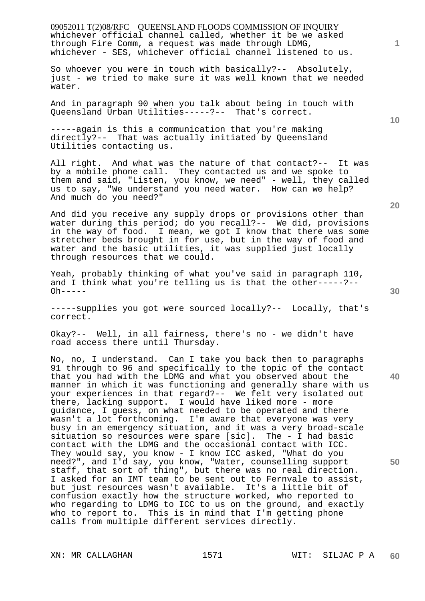09052011 T(2)08/RFC QUEENSLAND FLOODS COMMISSION OF INQUIRY XN: MR CALLAGHAN 1571 WIT: SILJAC P A whichever official channel called, whether it be we asked through Fire Comm, a request was made through LDMG, whichever - SES, whichever official channel listened to us. So whoever you were in touch with basically?-- Absolutely, just - we tried to make sure it was well known that we needed water. And in paragraph 90 when you talk about being in touch with Queensland Urban Utilities-----?-- That's correct. -----again is this a communication that you're making directly?-- That was actually initiated by Queensland Utilities contacting us. All right. And what was the nature of that contact?-- It was by a mobile phone call. They contacted us and we spoke to them and said, "Listen, you know, we need" - well, they called us to say, "We understand you need water. How can we help? And much do you need?" And did you receive any supply drops or provisions other than water during this period; do you recall?-- We did, provisions in the way of food. I mean, we got I know that there was some stretcher beds brought in for use, but in the way of food and water and the basic utilities, it was supplied just locally through resources that we could. Yeah, probably thinking of what you've said in paragraph 110, and I think what you're telling us is that the other-----?--  $Oh - - - -$ -----supplies you got were sourced locally?-- Locally, that's correct. Okay?-- Well, in all fairness, there's no - we didn't have road access there until Thursday. No, no, I understand. Can I take you back then to paragraphs 91 through to 96 and specifically to the topic of the contact that you had with the LDMG and what you observed about the manner in which it was functioning and generally share with us your experiences in that regard?-- We felt very isolated out there, lacking support. I would have liked more - more guidance, I guess, on what needed to be operated and there wasn't a lot forthcoming. I'm aware that everyone was very busy in an emergency situation, and it was a very broad-scale situation so resources were spare [sic]. The - I had basic contact with the LDMG and the occasional contact with ICC. They would say, you know - I know ICC asked, "What do you need?", and I'd say, you know, "Water, counselling support staff, that sort of thing", but there was no real direction. I asked for an IMT team to be sent out to Fernvale to assist, but just resources wasn't available. It's a little bit of confusion exactly how the structure worked, who reported to who regarding to LDMG to ICC to us on the ground, and exactly who to report to. This is in mind that I'm getting phone calls from multiple different services directly.

**1**

**10** 

**20** 

**30** 

**40** 

**50**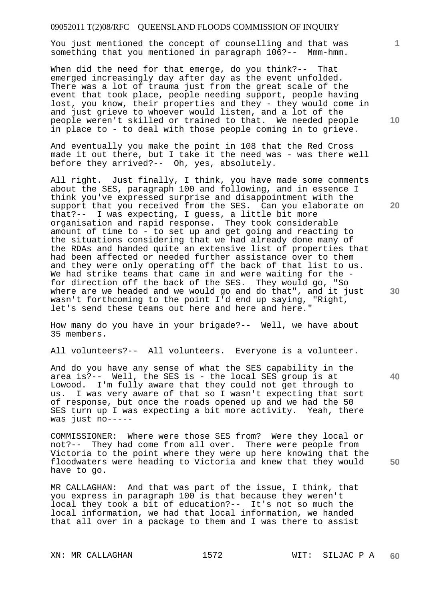You just mentioned the concept of counselling and that was something that you mentioned in paragraph 106?-- Mmm-hmm.

When did the need for that emerge, do you think?-- That emerged increasingly day after day as the event unfolded. There was a lot of trauma just from the great scale of the event that took place, people needing support, people having lost, you know, their properties and they - they would come in and just grieve to whoever would listen, and a lot of the people weren't skilled or trained to that. We needed people in place to - to deal with those people coming in to grieve.

And eventually you make the point in 108 that the Red Cross made it out there, but I take it the need was - was there well before they arrived?-- Oh, yes, absolutely.

All right. Just finally, I think, you have made some comments about the SES, paragraph 100 and following, and in essence I think you've expressed surprise and disappointment with the support that you received from the SES. Can you elaborate on that?-- I was expecting, I guess, a little bit more organisation and rapid response. They took considerable amount of time to - to set up and get going and reacting to the situations considering that we had already done many of the RDAs and handed quite an extensive list of properties that had been affected or needed further assistance over to them and they were only operating off the back of that list to us. We had strike teams that came in and were waiting for the for direction off the back of the SES. They would go, "So where are we headed and we would go and do that", and it just wasn't forthcoming to the point I'd end up saying, "Right, let's send these teams out here and here and here."

How many do you have in your brigade?-- Well, we have about 35 members.

All volunteers?-- All volunteers. Everyone is a volunteer.

And do you have any sense of what the SES capability in the area is?-- Well, the SES is - the local SES group is at Lowood. I'm fully aware that they could not get through to us. I was very aware of that so I wasn't expecting that sort of response, but once the roads opened up and we had the 50 SES turn up I was expecting a bit more activity. Yeah, there was just no-----

COMMISSIONER: Where were those SES from? Were they local or not?-- They had come from all over. There were people from Victoria to the point where they were up here knowing that the floodwaters were heading to Victoria and knew that they would have to go.

MR CALLAGHAN: And that was part of the issue, I think, that you express in paragraph 100 is that because they weren't local they took a bit of education?-- It's not so much the local information, we had that local information, we handed that all over in a package to them and I was there to assist

XN: MR CALLAGHAN 1572 WIT: SILJAC P A

**10** 

**1**

**20** 

**30** 

**40**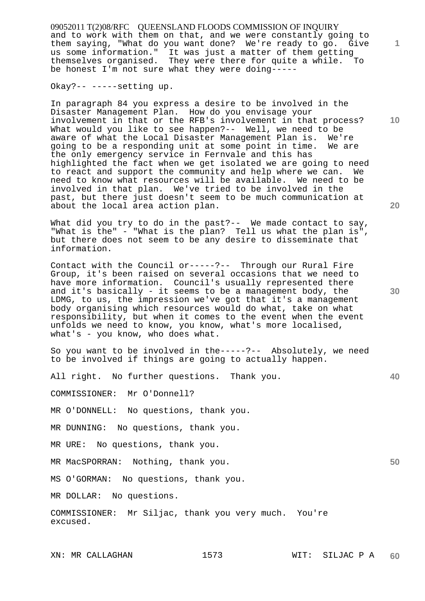09052011 T(2)08/RFC QUEENSLAND FLOODS COMMISSION OF INQUIRY and to work with them on that, and we were constantly going to them saying, "What do you want done? We're ready to go. Give us some information." It was just a matter of them getting themselves organised. They were there for quite a while. To be honest I'm not sure what they were doing-----

Okay?-- -----setting up.

In paragraph 84 you express a desire to be involved in the Disaster Management Plan. How do you envisage your involvement in that or the RFB's involvement in that process? What would you like to see happen?-- Well, we need to be aware of what the Local Disaster Management Plan is. We're going to be a responding unit at some point in time. We are the only emergency service in Fernvale and this has highlighted the fact when we get isolated we are going to need to react and support the community and help where we can. We need to know what resources will be available. We need to be involved in that plan. We've tried to be involved in the past, but there just doesn't seem to be much communication at about the local area action plan.

What did you try to do in the past?-- We made contact to say, "What is the" - "What is the plan? Tell us what the plan is", but there does not seem to be any desire to disseminate that information.

Contact with the Council or-----?-- Through our Rural Fire Group, it's been raised on several occasions that we need to have more information. Council's usually represented there and it's basically - it seems to be a management body, the LDMG, to us, the impression we've got that it's a management body organising which resources would do what, take on what responsibility, but when it comes to the event when the event unfolds we need to know, you know, what's more localised, what's - you know, who does what.

So you want to be involved in the-----?-- Absolutely, we need to be involved if things are going to actually happen.

All right. No further questions. Thank you.

COMMISSIONER: Mr O'Donnell?

MR O'DONNELL: No questions, thank you.

MR DUNNING: No questions, thank you.

MR URE: No questions, thank you.

MR MacSPORRAN: Nothing, thank you.

MS O'GORMAN: No questions, thank you.

MR DOLLAR: No questions.

COMMISSIONER: Mr Siljac, thank you very much. You're excused.

**10** 

**1**

**20** 

**30** 

**40**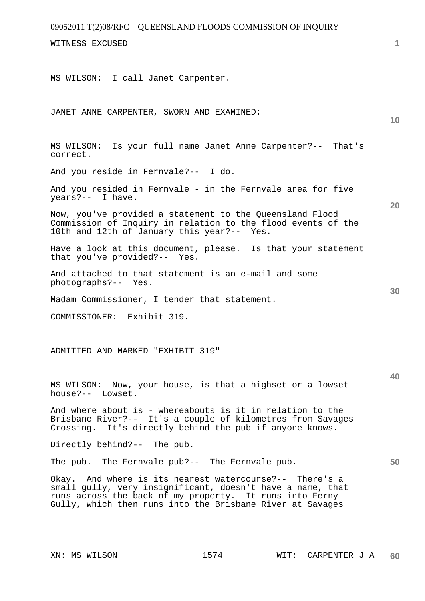| 09052011 T(2)08/RFC QUEENSLAND FLOODS COMMISSION OF INQUIRY                                                                                                                                                                                   |    |
|-----------------------------------------------------------------------------------------------------------------------------------------------------------------------------------------------------------------------------------------------|----|
| WITNESS EXCUSED                                                                                                                                                                                                                               | 1  |
| MS WILSON: I call Janet Carpenter.                                                                                                                                                                                                            |    |
| JANET ANNE CARPENTER, SWORN AND EXAMINED:                                                                                                                                                                                                     | 10 |
| MS WILSON: Is your full name Janet Anne Carpenter?-- That's<br>correct.                                                                                                                                                                       |    |
| And you reside in Fernvale?-- I do.                                                                                                                                                                                                           |    |
| And you resided in Fernvale - in the Fernvale area for five<br>years?-- I have.                                                                                                                                                               | 20 |
| Now, you've provided a statement to the Queensland Flood<br>Commission of Inquiry in relation to the flood events of the<br>10th and 12th of January this year?-- Yes.                                                                        |    |
| Have a look at this document, please. Is that your statement<br>that you've provided?-- Yes.                                                                                                                                                  |    |
| And attached to that statement is an e-mail and some<br>photographs?-- Yes.                                                                                                                                                                   | 30 |
| Madam Commissioner, I tender that statement.                                                                                                                                                                                                  |    |
| COMMISSIONER: Exhibit 319.                                                                                                                                                                                                                    |    |
| ADMITTED AND MARKED "EXHIBIT 319"                                                                                                                                                                                                             |    |
| MS WILSON: Now, your house, is that a highset or a lowset<br>house?-- Lowset.                                                                                                                                                                 | 40 |
| And where about is - whereabouts is it in relation to the<br>Brisbane River?-- It's a couple of kilometres from Savages<br>Crossing. It's directly behind the pub if anyone knows.                                                            |    |
| Directly behind?-- The pub.                                                                                                                                                                                                                   |    |
| The pub. The Fernvale pub?-- The Fernvale pub.                                                                                                                                                                                                | 50 |
| Okay. And where is its nearest watercourse?-- There's a<br>small gully, very insignificant, doesn't have a name, that<br>runs across the back of my property. It runs into Ferny<br>Gully, which then runs into the Brisbane River at Savages |    |
|                                                                                                                                                                                                                                               |    |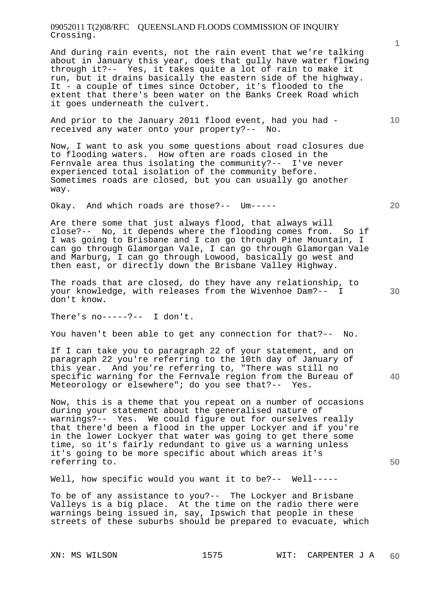# 09052011 T(2)08/RFC QUEENSLAND FLOODS COMMISSION OF INQUIRY Crossing.

And during rain events, not the rain event that we're talking about in January this year, does that gully have water flowing through it?-- Yes, it takes quite a lot of rain to make it run, but it drains basically the eastern side of the highway. It - a couple of times since October, it's flooded to the extent that there's been water on the Banks Creek Road which it goes underneath the culvert.

And prior to the January 2011 flood event, had you had received any water onto your property?-- No.

Now, I want to ask you some questions about road closures due to flooding waters. How often are roads closed in the Fernvale area thus isolating the community?-- I've never experienced total isolation of the community before. Sometimes roads are closed, but you can usually go another way.

Okay. And which roads are those?-- Um-----

Are there some that just always flood, that always will close?-- No, it depends where the flooding comes from. So if I was going to Brisbane and I can go through Pine Mountain, can go through Glamorgan Vale, I can go through Glamorgan Vale and Marburg, I can go through Lowood, basically go west and then east, or directly down the Brisbane Valley Highway.

The roads that are closed, do they have any relationship, to your knowledge, with releases from the Wivenhoe Dam?-- I don't know.

There's  $no---?--$  I don't.

You haven't been able to get any connection for that?-- No.

If I can take you to paragraph 22 of your statement, and on paragraph 22 you're referring to the 10th day of January of this year. And you're referring to, "There was still no specific warning for the Fernvale region from the Bureau of Meteorology or elsewhere"; do you see that?-- Yes.

Now, this is a theme that you repeat on a number of occasions during your statement about the generalised nature of warnings?-- Yes. We could figure out for ourselves really that there'd been a flood in the upper Lockyer and if you're in the lower Lockyer that water was going to get there some time, so it's fairly redundant to give us a warning unless it's going to be more specific about which areas it's referring to.

Well, how specific would you want it to be?-- Well-----

To be of any assistance to you?-- The Lockyer and Brisbane Valleys is a big place. At the time on the radio there were warnings being issued in, say, Ipswich that people in these streets of these suburbs should be prepared to evacuate, which

**1**

**20** 

**10** 

**40**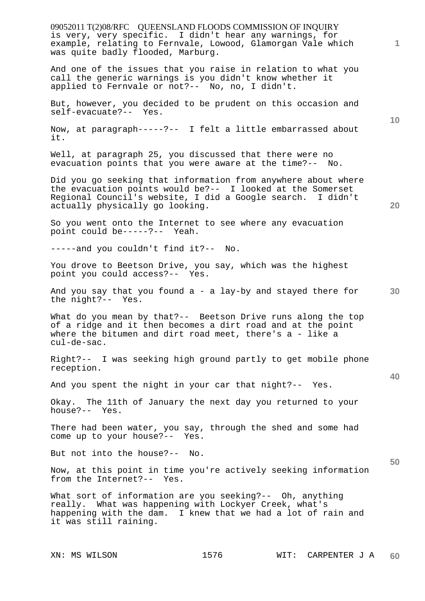09052011 T(2)08/RFC QUEENSLAND FLOODS COMMISSION OF INQUIRY **1 10 20 30 40 50**  is very, very specific. I didn't hear any warnings, for example, relating to Fernvale, Lowood, Glamorgan Vale which was quite badly flooded, Marburg. And one of the issues that you raise in relation to what you call the generic warnings is you didn't know whether it applied to Fernvale or not?-- No, no, I didn't. But, however, you decided to be prudent on this occasion and self-evacuate?-- Yes. Now, at paragraph-----?-- I felt a little embarrassed about it. Well, at paragraph 25, you discussed that there were no evacuation points that you were aware at the time?-- No. Did you go seeking that information from anywhere about where the evacuation points would be?-- I looked at the Somerset Regional Council's website, I did a Google search. I didn't actually physically go looking. So you went onto the Internet to see where any evacuation point could be-----?-- Yeah. -----and you couldn't find it?-- No. You drove to Beetson Drive, you say, which was the highest point you could access?-- Yes. And you say that you found a - a lay-by and stayed there for the night?-- Yes. What do you mean by that?-- Beetson Drive runs along the top of a ridge and it then becomes a dirt road and at the point where the bitumen and dirt road meet, there's  $a -$  like a cul-de-sac. Right?-- I was seeking high ground partly to get mobile phone reception. And you spent the night in your car that night?-- Yes. Okay. The 11th of January the next day you returned to your house?-- Yes. There had been water, you say, through the shed and some had come up to your house?-- Yes. But not into the house?-- No. Now, at this point in time you're actively seeking information<br>from the Internet?-- Yes. from the Internet?--What sort of information are you seeking?-- Oh, anything really. What was happening with Lockyer Creek, what's happening with the dam. I knew that we had a lot of rain and it was still raining.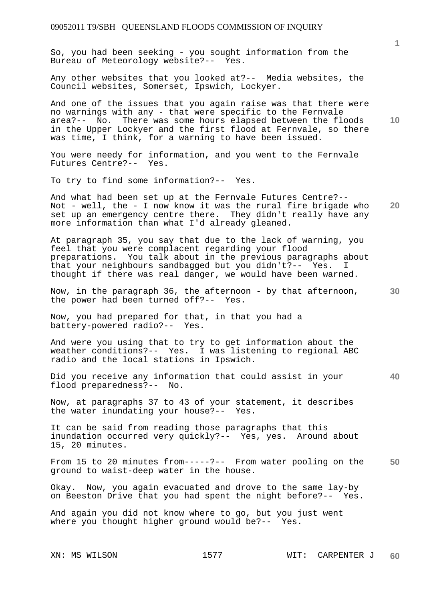So, you had been seeking - you sought information from the Bureau of Meteorology website?-- Yes.

Any other websites that you looked at?-- Media websites, the Council websites, Somerset, Ipswich, Lockyer.

And one of the issues that you again raise was that there were no warnings with any - that were specific to the Fernvale area?-- No. There was some hours elapsed between the floods in the Upper Lockyer and the first flood at Fernvale, so there was time, I think, for a warning to have been issued.

You were needy for information, and you went to the Fernvale Futures Centre?-- Yes.

To try to find some information?-- Yes.

**20**  And what had been set up at the Fernvale Futures Centre?-- Not - well, the - I now know it was the rural fire brigade who set up an emergency centre there. They didn't really have any more information than what I'd already gleaned.

At paragraph 35, you say that due to the lack of warning, you feel that you were complacent regarding your flood preparations. You talk about in the previous paragraphs about that your neighbours sandbagged but you didn't?-- Yes. I thought if there was real danger, we would have been warned.

**30**  Now, in the paragraph 36, the afternoon - by that afternoon, the power had been turned off?-- Yes.

Now, you had prepared for that, in that you had a battery-powered radio?-- Yes.

And were you using that to try to get information about the weather conditions?-- Yes. I was listening to regional ABC radio and the local stations in Ipswich.

Did you receive any information that could assist in your flood preparedness?-- No.

Now, at paragraphs 37 to 43 of your statement, it describes the water inundating your house?-- Yes.

It can be said from reading those paragraphs that this inundation occurred very quickly?-- Yes, yes. Around about 15, 20 minutes.

**50**  From 15 to 20 minutes from-----?-- From water pooling on the ground to waist-deep water in the house.

Okay. Now, you again evacuated and drove to the same lay-by on Beeston Drive that you had spent the night before?-- Yes.

And again you did not know where to go, but you just went where you thought higher ground would be?-- Yes.

**1**

**10**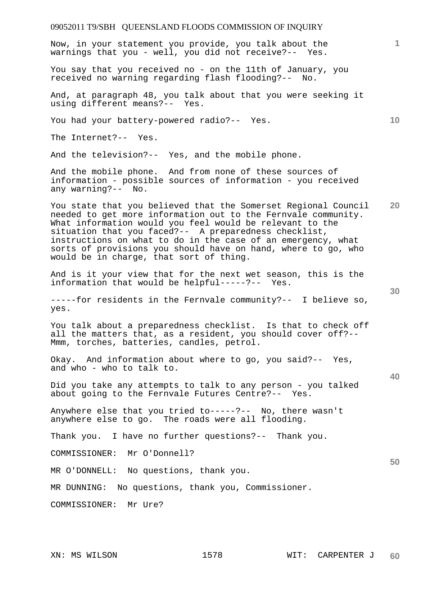# 09052011 T9/SBH QUEENSLAND FLOODS COMMISSION OF INQUIRY **1 10 20 30 40 50**  Now, in your statement you provide, you talk about the warnings that you - well, you did not receive?-- Yes. You say that you received no - on the 11th of January, you received no warning regarding flash flooding?-- No. And, at paragraph 48, you talk about that you were seeking it using different means?-- Yes. You had your battery-powered radio?-- Yes. The Internet?-- Yes. And the television?-- Yes, and the mobile phone. And the mobile phone. And from none of these sources of information - possible sources of information - you received any warning?-- No. You state that you believed that the Somerset Regional Council needed to get more information out to the Fernvale community. What information would you feel would be relevant to the situation that you faced?-- A preparedness checklist, instructions on what to do in the case of an emergency, what sorts of provisions you should have on hand, where to go, who would be in charge, that sort of thing. And is it your view that for the next wet season, this is the information that would be helpful-----?-- Yes. -----for residents in the Fernvale community?-- I believe so, yes. You talk about a preparedness checklist. Is that to check off all the matters that, as a resident, you should cover off?-- Mmm, torches, batteries, candles, petrol. Okay. And information about where to go, you said?-- Yes, and who - who to talk to. Did you take any attempts to talk to any person - you talked about going to the Fernvale Futures Centre?-- Yes. Anywhere else that you tried to-----?-- No, there wasn't anywhere else to go. The roads were all flooding. Thank you. I have no further questions?-- Thank you. COMMISSIONER: Mr O'Donnell? MR O'DONNELL: No questions, thank you. MR DUNNING: No questions, thank you, Commissioner. COMMISSIONER: Mr Ure?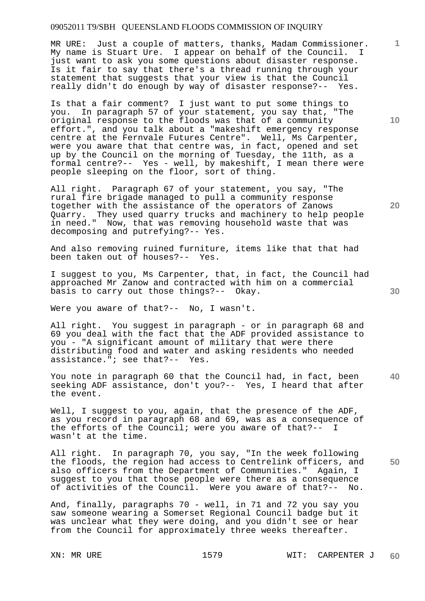MR URE: Just a couple of matters, thanks, Madam Commissioner. My name is Stuart Ure. I appear on behalf of the Council. I just want to ask you some questions about disaster response. Is it fair to say that there's a thread running through your statement that suggests that your view is that the Council really didn't do enough by way of disaster response?-- Yes.

Is that a fair comment? I just want to put some things to you. In paragraph 57 of your statement, you say that, "The original response to the floods was that of a community effort.", and you talk about a "makeshift emergency response centre at the Fernvale Futures Centre". Well, Ms Carpenter, were you aware that that centre was, in fact, opened and set up by the Council on the morning of Tuesday, the 11th, as a formal centre?-- Yes - well, by makeshift, I mean there were people sleeping on the floor, sort of thing.

All right. Paragraph 67 of your statement, you say, "The rural fire brigade managed to pull a community response together with the assistance of the operators of Zanows Quarry. They used quarry trucks and machinery to help people in need." Now, that was removing household waste that was decomposing and putrefying?-- Yes.

And also removing ruined furniture, items like that that had been taken out of houses?-- Yes.

I suggest to you, Ms Carpenter, that, in fact, the Council had approached Mr Zanow and contracted with him on a commercial basis to carry out those things?-- Okay.

Were you aware of that?-- No, I wasn't.

All right. You suggest in paragraph - or in paragraph 68 and 69 you deal with the fact that the ADF provided assistance to you - "A significant amount of military that were there distributing food and water and asking residents who needed assistance."; see that?-- Yes.

You note in paragraph 60 that the Council had, in fact, been seeking ADF assistance, don't you?-- Yes, I heard that after the event.

Well, I suggest to you, again, that the presence of the ADF, as you record in paragraph 68 and 69, was as a consequence of the efforts of the Council; were you aware of that?-- I wasn't at the time.

All right. In paragraph 70, you say, "In the week following the floods, the region had access to Centrelink officers, and also officers from the Department of Communities." Again, I suggest to you that those people were there as a consequence of activities of the Council. Were you aware of that?-- No.

And, finally, paragraphs 70 - well, in 71 and 72 you say you saw someone wearing a Somerset Regional Council badge but it was unclear what they were doing, and you didn't see or hear from the Council for approximately three weeks thereafter.

**10** 

**1**

**20** 

**40**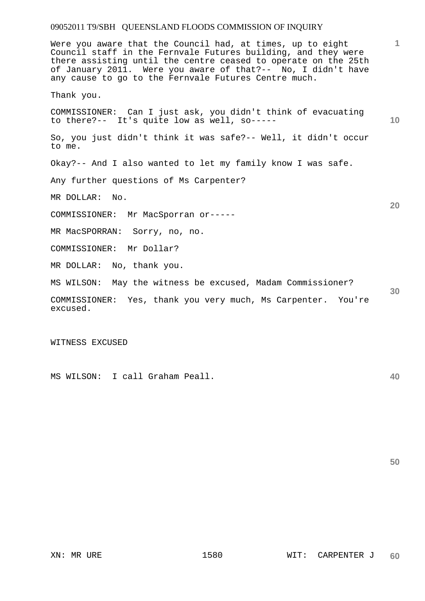**1 10 20 30**  Were you aware that the Council had, at times, up to eight Council staff in the Fernvale Futures building, and they were there assisting until the centre ceased to operate on the 25th of January 2011. Were you aware of that?-- No, I didn't have any cause to go to the Fernvale Futures Centre much. Thank you. COMMISSIONER: Can I just ask, you didn't think of evacuating to there?-- It's quite low as well, so----- So, you just didn't think it was safe?-- Well, it didn't occur to me. Okay?-- And I also wanted to let my family know I was safe. Any further questions of Ms Carpenter? MR DOLLAR: No. COMMISSIONER: Mr MacSporran or----- MR MacSPORRAN: Sorry, no, no. COMMISSIONER: Mr Dollar? MR DOLLAR: No, thank you. MS WILSON: May the witness be excused, Madam Commissioner? COMMISSIONER: Yes, thank you very much, Ms Carpenter. You're excused.

WITNESS EXCUSED

MS WILSON: I call Graham Peall.

**50**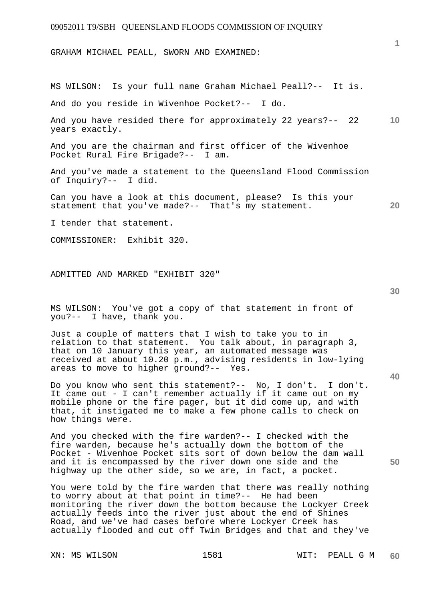GRAHAM MICHAEL PEALL, SWORN AND EXAMINED:

MS WILSON: Is your full name Graham Michael Peall?-- It is.

And do you reside in Wivenhoe Pocket?-- I do.

**10**  And you have resided there for approximately 22 years?-- 22 years exactly.

And you are the chairman and first officer of the Wivenhoe Pocket Rural Fire Brigade?-- I am.

And you've made a statement to the Queensland Flood Commission of Inquiry?-- I did.

Can you have a look at this document, please? Is this your statement that you've made?-- That's my statement.

I tender that statement.

COMMISSIONER: Exhibit 320.

ADMITTED AND MARKED "EXHIBIT 320"

MS WILSON: You've got a copy of that statement in front of you?-- I have, thank you.

Just a couple of matters that I wish to take you to in relation to that statement. You talk about, in paragraph 3, that on 10 January this year, an automated message was received at about 10.20 p.m., advising residents in low-lying areas to move to higher ground?-- Yes.

Do you know who sent this statement?-- No, I don't. I don't. It came out - I can't remember actually if it came out on my mobile phone or the fire pager, but it did come up, and with that, it instigated me to make a few phone calls to check on how things were.

And you checked with the fire warden?-- I checked with the fire warden, because he's actually down the bottom of the Pocket - Wivenhoe Pocket sits sort of down below the dam wall and it is encompassed by the river down one side and the highway up the other side, so we are, in fact, a pocket.

You were told by the fire warden that there was really nothing to worry about at that point in time?-- He had been monitoring the river down the bottom because the Lockyer Creek actually feeds into the river just about the end of Shines Road, and we've had cases before where Lockyer Creek has actually flooded and cut off Twin Bridges and that and they've

**40** 

**50** 

**20**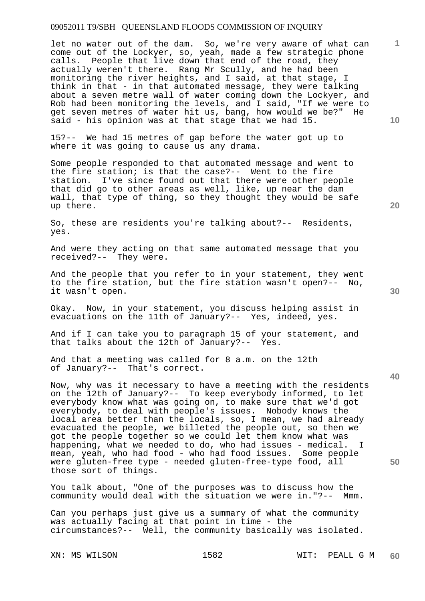let no water out of the dam. So, we're very aware of what can come out of the Lockyer, so, yeah, made a few strategic phone calls. People that live down that end of the road, they actually weren't there. Rang Mr Scully, and he had been monitoring the river heights, and I said, at that stage, I think in that - in that automated message, they were talking about a seven metre wall of water coming down the Lockyer, and Rob had been monitoring the levels, and I said, "If we were to get seven metres of water hit us, bang, how would we be?" He said - his opinion was at that stage that we had 15.

15?-- We had 15 metres of gap before the water got up to where it was going to cause us any drama.

Some people responded to that automated message and went to the fire station; is that the case?-- Went to the fire station. I've since found out that there were other people that did go to other areas as well, like, up near the dam wall, that type of thing, so they thought they would be safe up there.

So, these are residents you're talking about?-- Residents, yes.

And were they acting on that same automated message that you received?-- They were.

And the people that you refer to in your statement, they went to the fire station, but the fire station wasn't open?-- No, it wasn't open.

Okay. Now, in your statement, you discuss helping assist in evacuations on the 11th of January?-- Yes, indeed, yes.

And if I can take you to paragraph 15 of your statement, and that talks about the 12th of January?-- Yes.

And that a meeting was called for 8 a.m. on the 12th of January?-- That's correct.

Now, why was it necessary to have a meeting with the residents on the 12th of January?-- To keep everybody informed, to let everybody know what was going on, to make sure that we'd got everybody, to deal with people's issues. Nobody knows the local area better than the locals, so, I mean, we had already evacuated the people, we billeted the people out, so then we got the people together so we could let them know what was happening, what we needed to do, who had issues - medical. I mean, yeah, who had food - who had food issues. Some people were gluten-free type - needed gluten-free-type food, all those sort of things.

You talk about, "One of the purposes was to discuss how the community would deal with the situation we were in."?-- Mmm.

Can you perhaps just give us a summary of what the community was actually facing at that point in time - the circumstances?-- Well, the community basically was isolated.

**20** 

**1**

**10** 

**40**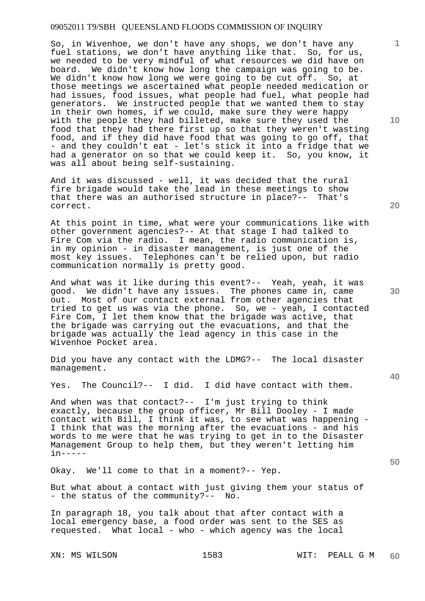So, in Wivenhoe, we don't have any shops, we don't have any fuel stations, we don't have anything like that. So, for us, we needed to be very mindful of what resources we did have on board. We didn't know how long the campaign was going to be. We didn't know how long we were going to be cut off. So, at those meetings we ascertained what people needed medication or had issues, food issues, what people had fuel, what people had generators. We instructed people that we wanted them to stay in their own homes, if we could, make sure they were happy with the people they had billeted, make sure they used the food that they had there first up so that they weren't wasting food, and if they did have food that was going to go off, that - and they couldn't eat - let's stick it into a fridge that we had a generator on so that we could keep it. So, you know, it was all about being self-sustaining.

And it was discussed - well, it was decided that the rural fire brigade would take the lead in these meetings to show that there was an authorised structure in place?-- That's correct.

At this point in time, what were your communications like with other government agencies?-- At that stage I had talked to Fire Com via the radio. I mean, the radio communication is, in my opinion - in disaster management, is just one of the most key issues. Telephones can't be relied upon, but radio communication normally is pretty good.

And what was it like during this event?-- Yeah, yeah, it was good. We didn't have any issues. The phones came in, came out. Most of our contact external from other agencies that tried to get us was via the phone. So, we - yeah, I contacted Fire Com, I let them know that the brigade was active, that the brigade was carrying out the evacuations, and that the brigade was actually the lead agency in this case in the Wivenhoe Pocket area.

Did you have any contact with the LDMG?-- The local disaster management.

Yes. The Council?-- I did. I did have contact with them.

And when was that contact?-- I'm just trying to think exactly, because the group officer, Mr Bill Dooley - I made contact with Bill, I think it was, to see what was happening - I think that was the morning after the evacuations - and his words to me were that he was trying to get in to the Disaster Management Group to help them, but they weren't letting him  $in----$ 

Okay. We'll come to that in a moment?-- Yep.

But what about a contact with just giving them your status of - the status of the community?-- No.

In paragraph 18, you talk about that after contact with a local emergency base, a food order was sent to the SES as requested. What local - who - which agency was the local

**10** 

**20** 

**1**

**30** 

**40**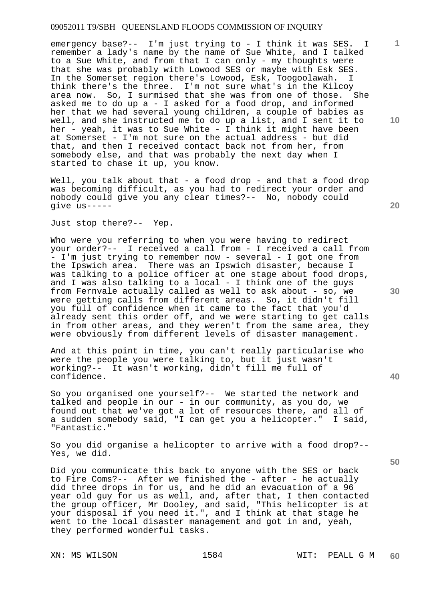emergency base?-- I'm just trying to - I think it was SES. I remember a lady's name by the name of Sue White, and I talked to a Sue White, and from that I can only - my thoughts were that she was probably with Lowood SES or maybe with Esk SES. In the Somerset region there's Lowood, Esk, Toogoolawah. I think there's the three. I'm not sure what's in the Kilcoy area now. So, I surmised that she was from one of those. She asked me to do up a - I asked for a food drop, and informed her that we had several young children, a couple of babies as well, and she instructed me to do up a list, and I sent it to her - yeah, it was to Sue White - I think it might have been at Somerset - I'm not sure on the actual address - but did that, and then I received contact back not from her, from somebody else, and that was probably the next day when I started to chase it up, you know.

Well, you talk about that - a food drop - and that a food drop was becoming difficult, as you had to redirect your order and nobody could give you any clear times?-- No, nobody could give us-----

Just stop there?-- Yep.

Who were you referring to when you were having to redirect your order?-- I received a call from - I received a call from - I'm just trying to remember now - several - I got one from the Ipswich area. There was an Ipswich disaster, because I was talking to a police officer at one stage about food drops, and I was also talking to a local - I think one of the guys from Fernvale actually called as well to ask about - so, we were getting calls from different areas. So, it didn't fill you full of confidence when it came to the fact that you'd already sent this order off, and we were starting to get calls in from other areas, and they weren't from the same area, they were obviously from different levels of disaster management.

And at this point in time, you can't really particularise who were the people you were talking to, but it just wasn't working?-- It wasn't working, didn't fill me full of confidence.

So you organised one yourself?-- We started the network and talked and people in our - in our community, as you do, we found out that we've got a lot of resources there, and all of a sudden somebody said, "I can get you a helicopter." I said, "Fantastic."

So you did organise a helicopter to arrive with a food drop?-- Yes, we did.

Did you communicate this back to anyone with the SES or back to Fire Coms?-- After we finished the - after - he actually did three drops in for us, and he did an evacuation of a 96 year old guy for us as well, and, after that, I then contacted the group officer, Mr Dooley, and said, "This helicopter is at your disposal if you need it.", and I think at that stage he went to the local disaster management and got in and, yeah, they performed wonderful tasks.

**10** 

**1**

**20** 

**40**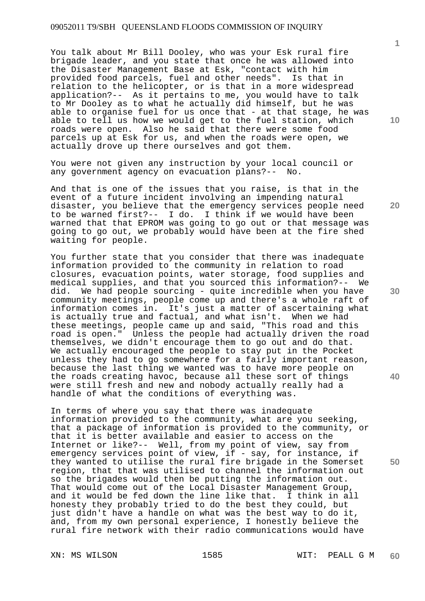You talk about Mr Bill Dooley, who was your Esk rural fire brigade leader, and you state that once he was allowed into the Disaster Management Base at Esk, "contact with him provided food parcels, fuel and other needs". Is that in relation to the helicopter, or is that in a more widespread application?-- As it pertains to me, you would have to talk to Mr Dooley as to what he actually did himself, but he was able to organise fuel for us once that - at that stage, he was able to tell us how we would get to the fuel station, which roads were open. Also he said that there were some food parcels up at Esk for us, and when the roads were open, we actually drove up there ourselves and got them.

You were not given any instruction by your local council or any government agency on evacuation plans?-- No.

And that is one of the issues that you raise, is that in the event of a future incident involving an impending natural disaster, you believe that the emergency services people need to be warned first?-- I do. I think if we would have been warned that that EPROM was going to go out or that message was going to go out, we probably would have been at the fire shed waiting for people.

You further state that you consider that there was inadequate information provided to the community in relation to road closures, evacuation points, water storage, food supplies and medical supplies, and that you sourced this information?-- We did. We had people sourcing - quite incredible when you have community meetings, people come up and there's a whole raft of information comes in. It's just a matter of ascertaining what is actually true and factual, and what isn't. When we had these meetings, people came up and said, "This road and this road is open." Unless the people had actually driven the road themselves, we didn't encourage them to go out and do that. We actually encouraged the people to stay put in the Pocket unless they had to go somewhere for a fairly important reason, because the last thing we wanted was to have more people on the roads creating havoc, because all these sort of things were still fresh and new and nobody actually really had a handle of what the conditions of everything was.

In terms of where you say that there was inadequate information provided to the community, what are you seeking, that a package of information is provided to the community, or that it is better available and easier to access on the Internet or like?-- Well, from my point of view, say from emergency services point of view, if - say, for instance, if they wanted to utilise the rural fire brigade in the Somerset region, that that was utilised to channel the information out so the brigades would then be putting the information out. That would come out of the Local Disaster Management Group, and it would be fed down the line like that. I think in all honesty they probably tried to do the best they could, but just didn't have a handle on what was the best way to do it, and, from my own personal experience, I honestly believe the rural fire network with their radio communications would have

**10** 

**1**

**20** 

**30** 

**40**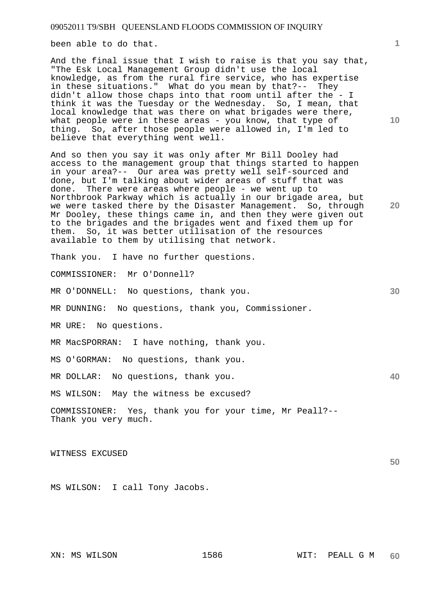been able to do that.

And the final issue that I wish to raise is that you say that, "The Esk Local Management Group didn't use the local knowledge, as from the rural fire service, who has expertise in these situations." What do you mean by that?-- They didn't allow those chaps into that room until after the - I think it was the Tuesday or the Wednesday. So, I mean, that local knowledge that was there on what brigades were there, what people were in these areas - you know, that type of thing. So, after those people were allowed in, I'm led to believe that everything went well.

And so then you say it was only after Mr Bill Dooley had access to the management group that things started to happen in your area?-- Our area was pretty well self-sourced and done, but I'm talking about wider areas of stuff that was done. There were areas where people - we went up to Northbrook Parkway which is actually in our brigade area, but we were tasked there by the Disaster Management. So, through Mr Dooley, these things came in, and then they were given out to the brigades and the brigades went and fixed them up for them. So, it was better utilisation of the resources available to them by utilising that network.

Thank you. I have no further questions.

COMMISSIONER: Mr O'Donnell?

MR O'DONNELL: No questions, thank you.

MR DUNNING: No questions, thank you, Commissioner.

MR URE: No questions.

MR MacSPORRAN: I have nothing, thank you.

MS O'GORMAN: No questions, thank you.

MR DOLLAR: No questions, thank you.

MS WILSON: May the witness be excused?

COMMISSIONER: Yes, thank you for your time, Mr Peall?-- Thank you very much.

WITNESS EXCUSED

MS WILSON: I call Tony Jacobs.

**10** 

**30** 

**40** 

**50**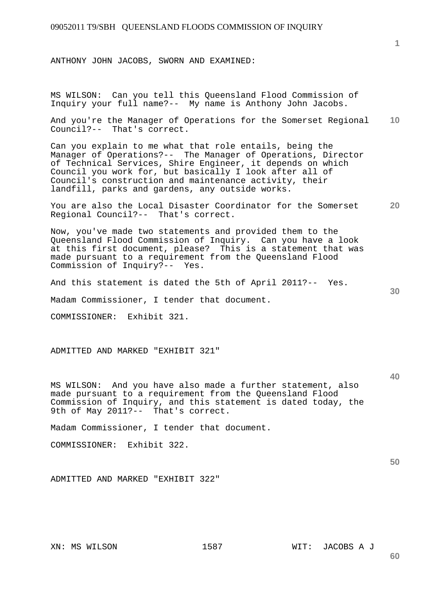ANTHONY JOHN JACOBS, SWORN AND EXAMINED:

MS WILSON: Can you tell this Queensland Flood Commission of Inquiry your full name?-- My name is Anthony John Jacobs.

**10**  And you're the Manager of Operations for the Somerset Regional Council?-- That's correct.

Can you explain to me what that role entails, being the Manager of Operations?-- The Manager of Operations, Director of Technical Services, Shire Engineer, it depends on which Council you work for, but basically I look after all of Council's construction and maintenance activity, their landfill, parks and gardens, any outside works.

**20**  You are also the Local Disaster Coordinator for the Somerset Regional Council?-- That's correct.

Now, you've made two statements and provided them to the Queensland Flood Commission of Inquiry. Can you have a look at this first document, please? This is a statement that was made pursuant to a requirement from the Queensland Flood Commission of Inquiry?-- Yes.

And this statement is dated the 5th of April 2011?-- Yes.

Madam Commissioner, I tender that document.

COMMISSIONER: Exhibit 321.

ADMITTED AND MARKED "EXHIBIT 321"

MS WILSON: And you have also made a further statement, also made pursuant to a requirement from the Queensland Flood Commission of Inquiry, and this statement is dated today, the 9th of May 2011?-- That's correct.

Madam Commissioner, I tender that document.

COMMISSIONER: Exhibit 322.

ADMITTED AND MARKED "EXHIBIT 322"

XN: MS WILSON 1587 WIT: JACOBS A J

**60** 

**1**

**40** 

**50**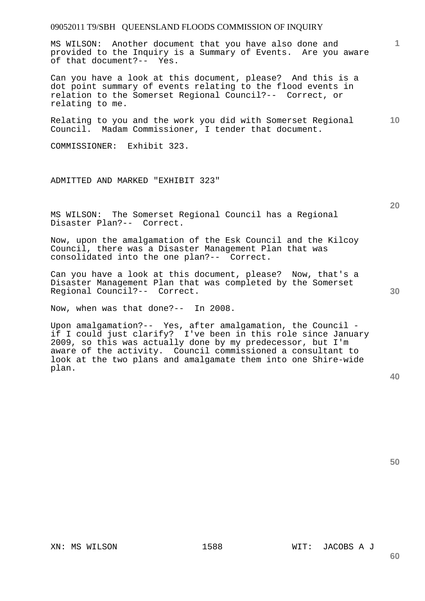MS WILSON: Another document that you have also done and provided to the Inquiry is a Summary of Events. Are you aware of that document?-- Yes.

Can you have a look at this document, please? And this is a dot point summary of events relating to the flood events in relation to the Somerset Regional Council?-- Correct, or relating to me.

**10**  Relating to you and the work you did with Somerset Regional Council. Madam Commissioner, I tender that document.

COMMISSIONER: Exhibit 323.

ADMITTED AND MARKED "EXHIBIT 323"

MS WILSON: The Somerset Regional Council has a Regional Disaster Plan?-- Correct.

Now, upon the amalgamation of the Esk Council and the Kilcoy Council, there was a Disaster Management Plan that was consolidated into the one plan?-- Correct.

Can you have a look at this document, please? Now, that's a Disaster Management Plan that was completed by the Somerset Regional Council?-- Correct.

Now, when was that done?-- In 2008.

Upon amalgamation?-- Yes, after amalgamation, the Council if I could just clarify? I've been in this role since January 2009, so this was actually done by my predecessor, but I'm aware of the activity. Council commissioned a consultant to look at the two plans and amalgamate them into one Shire-wide plan.

**50** 

**30** 

# XN: MS WILSON 1588 WIT: JACOBS A J

**60** 

**1**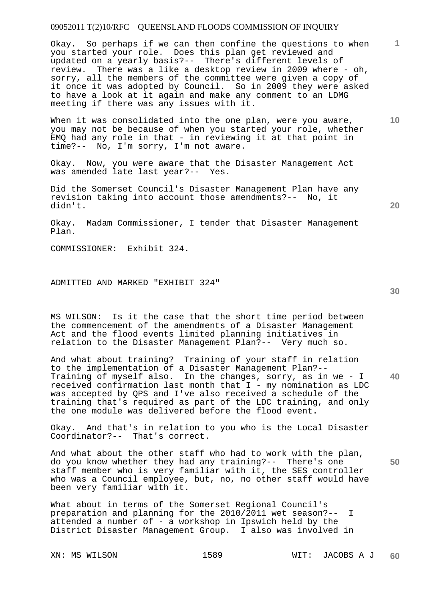Okay. So perhaps if we can then confine the questions to when you started your role. Does this plan get reviewed and updated on a yearly basis?-- There's different levels of review. There was a like a desktop review in 2009 where - oh, sorry, all the members of the committee were given a copy of it once it was adopted by Council. So in 2009 they were asked to have a look at it again and make any comment to an LDMG meeting if there was any issues with it.

When it was consolidated into the one plan, were you aware, you may not be because of when you started your role, whether EMQ had any role in that - in reviewing it at that point in time?-- No, I'm sorry, I'm not aware.

Okay. Now, you were aware that the Disaster Management Act was amended late last year?-- Yes.

Did the Somerset Council's Disaster Management Plan have any revision taking into account those amendments?-- No, it didn't.

Okay. Madam Commissioner, I tender that Disaster Management Plan.

COMMISSIONER: Exhibit 324.

ADMITTED AND MARKED "EXHIBIT 324"

MS WILSON: Is it the case that the short time period between the commencement of the amendments of a Disaster Management Act and the flood events limited planning initiatives in relation to the Disaster Management Plan?-- Very much so.

**40**  And what about training? Training of your staff in relation to the implementation of a Disaster Management Plan?-- Training of myself also. In the changes, sorry, as in we - I received confirmation last month that I - my nomination as LDC was accepted by QPS and I've also received a schedule of the training that's required as part of the LDC training, and only the one module was delivered before the flood event.

Okay. And that's in relation to you who is the Local Disaster Coordinator?-- That's correct.

And what about the other staff who had to work with the plan, do you know whether they had any training?-- There's one staff member who is very familiar with it, the SES controller who was a Council employee, but, no, no other staff would have been very familiar with it.

What about in terms of the Somerset Regional Council's preparation and planning for the 2010/2011 wet season?-- I attended a number of - a workshop in Ipswich held by the District Disaster Management Group. I also was involved in

**30** 

**10** 

**1**

**20**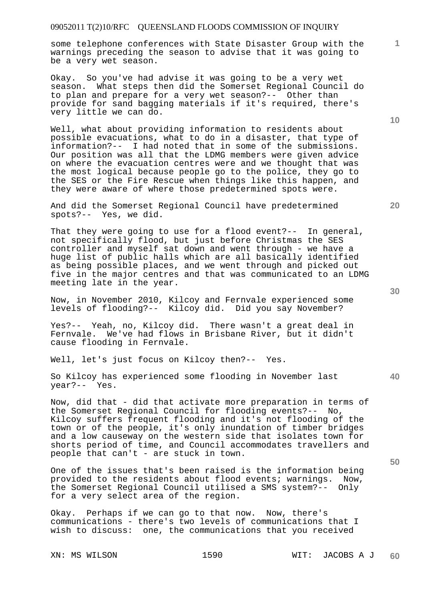some telephone conferences with State Disaster Group with the warnings preceding the season to advise that it was going to be a very wet season.

Okay. So you've had advise it was going to be a very wet season. What steps then did the Somerset Regional Council do to plan and prepare for a very wet season?-- Other than provide for sand bagging materials if it's required, there's very little we can do.

Well, what about providing information to residents about possible evacuations, what to do in a disaster, that type of information?-- I had noted that in some of the submissions. Our position was all that the LDMG members were given advice on where the evacuation centres were and we thought that was the most logical because people go to the police, they go to the SES or the Fire Rescue when things like this happen, and they were aware of where those predetermined spots were.

And did the Somerset Regional Council have predetermined spots?-- Yes, we did.

That they were going to use for a flood event?-- In general, not specifically flood, but just before Christmas the SES controller and myself sat down and went through - we have a huge list of public halls which are all basically identified as being possible places, and we went through and picked out five in the major centres and that was communicated to an LDMG meeting late in the year.

Now, in November 2010, Kilcoy and Fernvale experienced some levels of flooding?-- Kilcoy did. Did you say November?

Yes?-- Yeah, no, Kilcoy did. There wasn't a great deal in Fernvale. We've had flows in Brisbane River, but it didn't cause flooding in Fernvale.

Well, let's just focus on Kilcoy then?-- Yes.

So Kilcoy has experienced some flooding in November last year?-- Yes.

Now, did that - did that activate more preparation in terms of the Somerset Regional Council for flooding events?-- No, Kilcoy suffers frequent flooding and it's not flooding of the town or of the people, it's only inundation of timber bridges and a low causeway on the western side that isolates town for shorts period of time, and Council accommodates travellers and people that can't - are stuck in town.

One of the issues that's been raised is the information being provided to the residents about flood events; warnings. Now, the Somerset Regional Council utilised a SMS system?-- Only for a very select area of the region.

Okay. Perhaps if we can go to that now. Now, there's communications - there's two levels of communications that I wish to discuss: one, the communications that you received

**30** 

**20** 

**50** 

**10**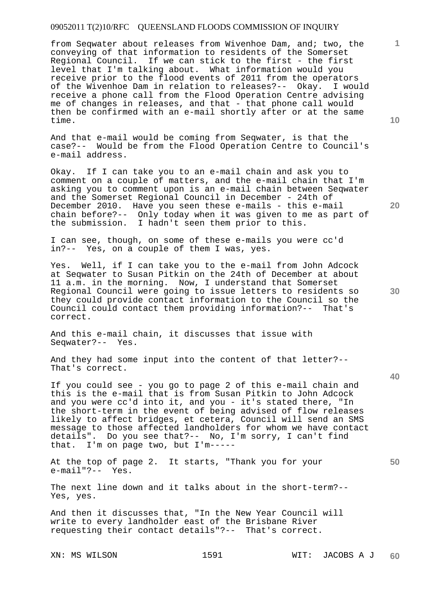from Seqwater about releases from Wivenhoe Dam, and; two, the conveying of that information to residents of the Somerset Regional Council. If we can stick to the first - the first level that I'm talking about. What information would you receive prior to the flood events of 2011 from the operators of the Wivenhoe Dam in relation to releases?-- Okay. I would receive a phone call from the Flood Operation Centre advising me of changes in releases, and that - that phone call would then be confirmed with an e-mail shortly after or at the same time.

And that e-mail would be coming from Seqwater, is that the case?-- Would be from the Flood Operation Centre to Council's e-mail address.

Okay. If I can take you to an e-mail chain and ask you to comment on a couple of matters, and the e-mail chain that I'm asking you to comment upon is an e-mail chain between Seqwater and the Somerset Regional Council in December - 24th of December 2010. Have you seen these e-mails - this e-mail chain before?-- Only today when it was given to me as part of the submission. I hadn't seen them prior to this.

I can see, though, on some of these e-mails you were cc'd in?-- Yes, on a couple of them I was, yes.

Yes. Well, if I can take you to the e-mail from John Adcock at Seqwater to Susan Pitkin on the 24th of December at about 11 a.m. in the morning. Now, I understand that Somerset Regional Council were going to issue letters to residents so they could provide contact information to the Council so the Council could contact them providing information?-- That's correct.

And this e-mail chain, it discusses that issue with Seqwater?-- Yes.

And they had some input into the content of that letter?-- That's correct.

If you could see - you go to page 2 of this e-mail chain and this is the e-mail that is from Susan Pitkin to John Adcock and you were cc'd into it, and you - it's stated there, "In the short-term in the event of being advised of flow releases likely to affect bridges, et cetera, Council will send an SMS message to those affected landholders for whom we have contact details". Do you see that?-- No, I'm sorry, I can't find that. I'm on page two, but I'm-----

At the top of page 2. It starts, "Thank you for your e-mail"?-- Yes.

The next line down and it talks about in the short-term?-- Yes, yes.

And then it discusses that, "In the New Year Council will write to every landholder east of the Brisbane River requesting their contact details"?-- That's correct.

**10** 

**1**

**20** 

**30**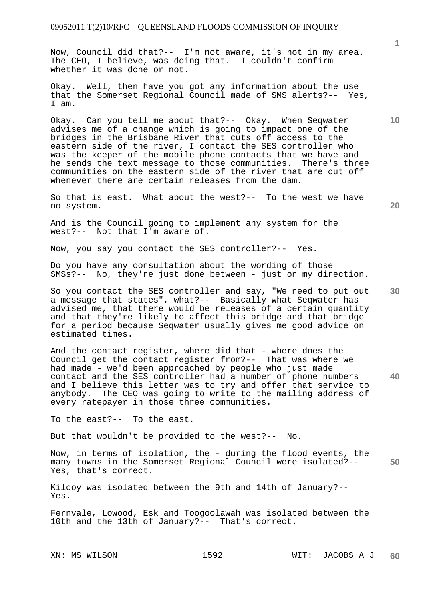Now, Council did that?-- I'm not aware, it's not in my area. The CEO, I believe, was doing that. I couldn't confirm whether it was done or not.

Okay. Well, then have you got any information about the use that the Somerset Regional Council made of SMS alerts?-- Yes, I am.

Okay. Can you tell me about that?-- Okay. When Seqwater advises me of a change which is going to impact one of the bridges in the Brisbane River that cuts off access to the eastern side of the river, I contact the SES controller who was the keeper of the mobile phone contacts that we have and he sends the text message to those communities. There's three communities on the eastern side of the river that are cut off whenever there are certain releases from the dam.

So that is east. What about the west?-- To the west we have no system.

And is the Council going to implement any system for the west?-- Not that I'm aware of.

Now, you say you contact the SES controller?-- Yes.

Do you have any consultation about the wording of those SMSs?-- No, they're just done between - just on my direction.

**30**  So you contact the SES controller and say, "We need to put out a message that states", what?-- Basically what Seqwater has advised me, that there would be releases of a certain quantity and that they're likely to affect this bridge and that bridge for a period because Seqwater usually gives me good advice on estimated times.

**40**  And the contact register, where did that - where does the Council get the contact register from?-- That was where we had made - we'd been approached by people who just made contact and the SES controller had a number of phone numbers and I believe this letter was to try and offer that service to anybody. The CEO was going to write to the mailing address of every ratepayer in those three communities.

To the east?-- To the east.

But that wouldn't be provided to the west?-- No.

**50**  Now, in terms of isolation, the - during the flood events, the many towns in the Somerset Regional Council were isolated?-- Yes, that's correct.

Kilcoy was isolated between the 9th and 14th of January?-- Yes.

Fernvale, Lowood, Esk and Toogoolawah was isolated between the 10th and the 13th of January?-- That's correct.

**1**

**10**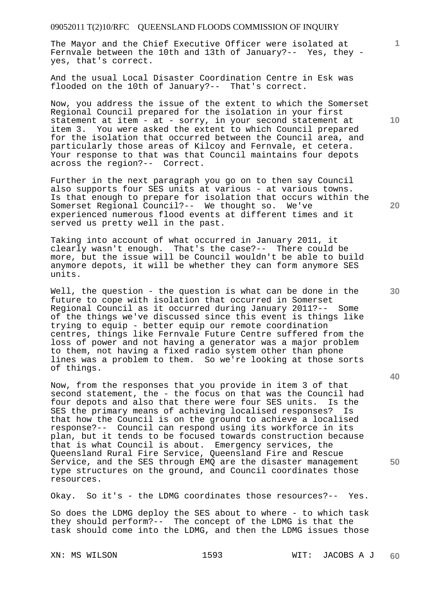The Mayor and the Chief Executive Officer were isolated at Fernvale between the 10th and 13th of January?-- Yes, they yes, that's correct.

And the usual Local Disaster Coordination Centre in Esk was flooded on the 10th of January?-- That's correct.

Now, you address the issue of the extent to which the Somerset Regional Council prepared for the isolation in your first statement at item - at - sorry, in your second statement at item 3. You were asked the extent to which Council prepared for the isolation that occurred between the Council area, and particularly those areas of Kilcoy and Fernvale, et cetera. Your response to that was that Council maintains four depots across the region?-- Correct.

Further in the next paragraph you go on to then say Council also supports four SES units at various - at various towns. Is that enough to prepare for isolation that occurs within the Somerset Regional Council?-- We thought so. We've experienced numerous flood events at different times and it served us pretty well in the past.

Taking into account of what occurred in January 2011, it clearly wasn't enough. That's the case?-- There could be more, but the issue will be Council wouldn't be able to build anymore depots, it will be whether they can form anymore SES units.

Well, the question - the question is what can be done in the future to cope with isolation that occurred in Somerset Regional Council as it occurred during January 2011?-- Some of the things we've discussed since this event is things like trying to equip - better equip our remote coordination centres, things like Fernvale Future Centre suffered from the loss of power and not having a generator was a major problem to them, not having a fixed radio system other than phone lines was a problem to them. So we're looking at those sorts of things.

Now, from the responses that you provide in item 3 of that second statement, the - the focus on that was the Council had four depots and also that there were four SES units. Is the SES the primary means of achieving localised responses? Is that how the Council is on the ground to achieve a localised response?-- Council can respond using its workforce in its plan, but it tends to be focused towards construction because that is what Council is about. Emergency services, the Queensland Rural Fire Service, Queensland Fire and Rescue Service, and the SES through EMQ are the disaster management type structures on the ground, and Council coordinates those resources.

Okay. So it's - the LDMG coordinates those resources?-- Yes.

So does the LDMG deploy the SES about to where - to which task they should perform?-- The concept of the LDMG is that the task should come into the LDMG, and then the LDMG issues those

**10** 

**1**

**20** 

**40** 

**50**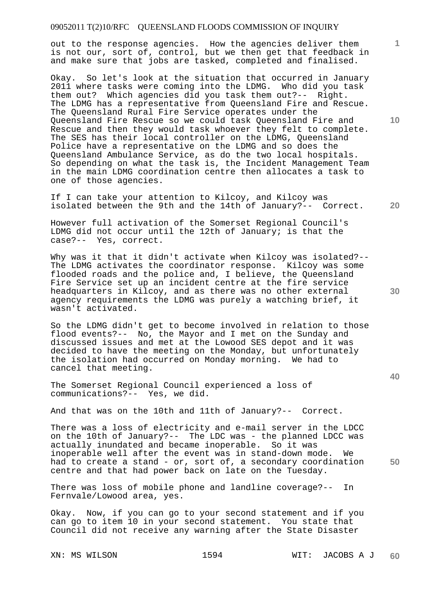out to the response agencies. How the agencies deliver them is not our, sort of, control, but we then get that feedback in and make sure that jobs are tasked, completed and finalised.

Okay. So let's look at the situation that occurred in January 2011 where tasks were coming into the LDMG. Who did you task them out? Which agencies did you task them out?-- Right. The LDMG has a representative from Queensland Fire and Rescue. The Queensland Rural Fire Service operates under the Queensland Fire Rescue so we could task Queensland Fire and Rescue and then they would task whoever they felt to complete. The SES has their local controller on the LDMG, Queensland Police have a representative on the LDMG and so does the Queensland Ambulance Service, as do the two local hospitals. So depending on what the task is, the Incident Management Team in the main LDMG coordination centre then allocates a task to one of those agencies.

If I can take your attention to Kilcoy, and Kilcoy was isolated between the 9th and the 14th of January?-- Correct.

However full activation of the Somerset Regional Council's LDMG did not occur until the 12th of January; is that the case?-- Yes, correct.

Why was it that it didn't activate when Kilcoy was isolated?-- The LDMG activates the coordinator response. Kilcoy was some flooded roads and the police and, I believe, the Queensland Fire Service set up an incident centre at the fire service headquarters in Kilcoy, and as there was no other external agency requirements the LDMG was purely a watching brief, it wasn't activated.

So the LDMG didn't get to become involved in relation to those flood events?-- No, the Mayor and I met on the Sunday and discussed issues and met at the Lowood SES depot and it was decided to have the meeting on the Monday, but unfortunately the isolation had occurred on Monday morning. We had to cancel that meeting.

The Somerset Regional Council experienced a loss of communications?-- Yes, we did.

And that was on the 10th and 11th of January?-- Correct.

There was a loss of electricity and e-mail server in the LDCC on the 10th of January?-- The LDC was - the planned LDCC was actually inundated and became inoperable. So it was inoperable well after the event was in stand-down mode. We had to create a stand - or, sort of, a secondary coordination centre and that had power back on late on the Tuesday.

There was loss of mobile phone and landline coverage?-- In Fernvale/Lowood area, yes.

Okay. Now, if you can go to your second statement and if you can go to item 10 in your second statement. You state that Council did not receive any warning after the State Disaster

**10** 

**1**

**20** 

**30**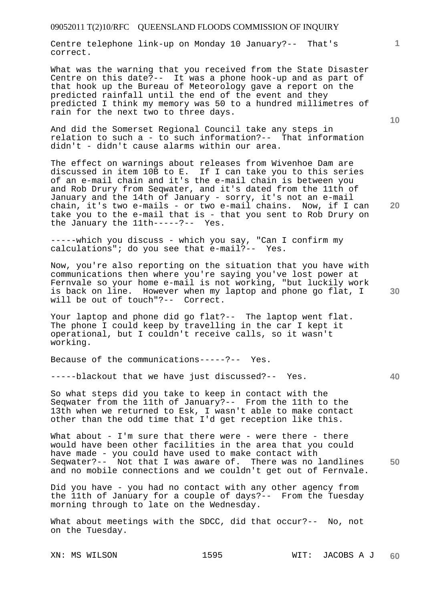Centre telephone link-up on Monday 10 January?-- That's correct.

What was the warning that you received from the State Disaster Centre on this date?-- It was a phone hook-up and as part of that hook up the Bureau of Meteorology gave a report on the predicted rainfall until the end of the event and they predicted I think my memory was 50 to a hundred millimetres of rain for the next two to three days.

And did the Somerset Regional Council take any steps in relation to such a - to such information?-- That information didn't - didn't cause alarms within our area.

The effect on warnings about releases from Wivenhoe Dam are discussed in item 10B to E. If I can take you to this series of an e-mail chain and it's the e-mail chain is between you and Rob Drury from Seqwater, and it's dated from the 11th of January and the 14th of January - sorry, it's not an e-mail chain, it's two e-mails - or two e-mail chains. Now, if I can take you to the e-mail that is - that you sent to Rob Drury on the January the 11th-----?-- Yes.

-----which you discuss - which you say, "Can I confirm my calculations"; do you see that e-mail?-- Yes.

Now, you're also reporting on the situation that you have with communications then where you're saying you've lost power at Fernvale so your home e-mail is not working, "but luckily work is back on line. However when my laptop and phone go flat, I will be out of touch"?-- Correct.

Your laptop and phone did go flat?-- The laptop went flat. The phone I could keep by travelling in the car I kept it operational, but I couldn't receive calls, so it wasn't working.

Because of the communications-----?-- Yes.

-----blackout that we have just discussed?-- Yes.

So what steps did you take to keep in contact with the Seqwater from the 11th of January?-- From the 11th to the 13th when we returned to Esk, I wasn't able to make contact other than the odd time that I'd get reception like this.

**50**  What about - I'm sure that there were - were there - there would have been other facilities in the area that you could have made - you could have used to make contact with Seqwater?-- Not that I was aware of. There was no landlines and no mobile connections and we couldn't get out of Fernvale.

Did you have - you had no contact with any other agency from the 11th of January for a couple of days?-- From the Tuesday morning through to late on the Wednesday.

What about meetings with the SDCC, did that occur?-- No, not on the Tuesday.

**10** 

**1**

**20** 

**40**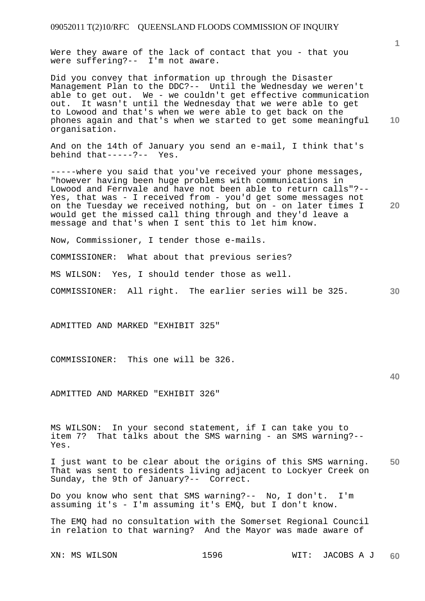Were they aware of the lack of contact that you - that you were suffering?-- I'm not aware.

**10**  Did you convey that information up through the Disaster Management Plan to the DDC?-- Until the Wednesday we weren't able to get out. We - we couldn't get effective communication out. It wasn't until the Wednesday that we were able to get to Lowood and that's when we were able to get back on the phones again and that's when we started to get some meaningful organisation.

And on the 14th of January you send an e-mail, I think that's behind that-----?-- Yes.

-----where you said that you've received your phone messages, "however having been huge problems with communications in Lowood and Fernvale and have not been able to return calls"?-- Yes, that was - I received from - you'd get some messages not on the Tuesday we received nothing, but on - on later times I would get the missed call thing through and they'd leave a message and that's when I sent this to let him know.

Now, Commissioner, I tender those e-mails.

COMMISSIONER: What about that previous series?

MS WILSON: Yes, I should tender those as well.

**30**  COMMISSIONER: All right. The earlier series will be 325.

ADMITTED AND MARKED "EXHIBIT 325"

COMMISSIONER: This one will be 326.

ADMITTED AND MARKED "EXHIBIT 326"

MS WILSON: In your second statement, if I can take you to item 7? That talks about the SMS warning - an SMS warning?--Yes.

**50**  I just want to be clear about the origins of this SMS warning. That was sent to residents living adjacent to Lockyer Creek on Sunday, the 9th of January?-- Correct.

Do you know who sent that SMS warning?-- No, I don't. I'm assuming it's - I'm assuming it's EMQ, but I don't know.

The EMQ had no consultation with the Somerset Regional Council in relation to that warning? And the Mayor was made aware of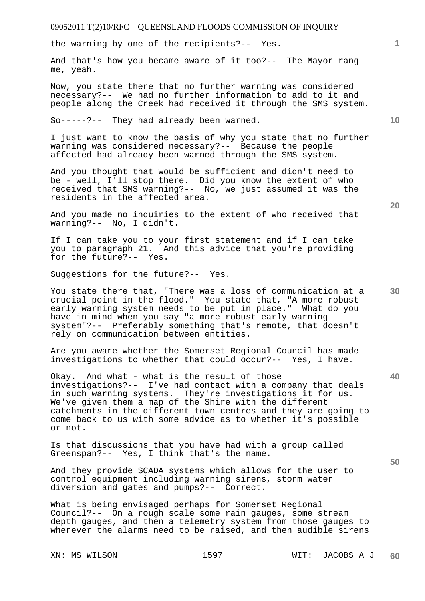the warning by one of the recipients?-- Yes.

And that's how you became aware of it too?-- The Mayor rang me, yeah.

Now, you state there that no further warning was considered necessary?-- We had no further information to add to it and people along the Creek had received it through the SMS system.

So-----?-- They had already been warned.

I just want to know the basis of why you state that no further warning was considered necessary?-- Because the people affected had already been warned through the SMS system.

And you thought that would be sufficient and didn't need to be - well, I'll stop there. Did you know the extent of who received that SMS warning?-- No, we just assumed it was the residents in the affected area.

And you made no inquiries to the extent of who received that warning?-- No, I didn't.

If I can take you to your first statement and if I can take you to paragraph 21. And this advice that you're providing for the future?-- Yes.

Suggestions for the future?-- Yes.

You state there that, "There was a loss of communication at a crucial point in the flood." You state that, "A more robust early warning system needs to be put in place." What do you have in mind when you say "a more robust early warning system"?-- Preferably something that's remote, that doesn't rely on communication between entities.

Are you aware whether the Somerset Regional Council has made investigations to whether that could occur?-- Yes, I have.

Okay. And what - what is the result of those investigations?-- I've had contact with a company that deals in such warning systems. They're investigations it for us. We've given them a map of the Shire with the different catchments in the different town centres and they are going to come back to us with some advice as to whether it's possible or not.

Is that discussions that you have had with a group called Greenspan?-- Yes, I think that's the name.

And they provide SCADA systems which allows for the user to control equipment including warning sirens, storm water diversion and gates and pumps?-- Correct.

What is being envisaged perhaps for Somerset Regional Council?-- On a rough scale some rain gauges, some stream depth gauges, and then a telemetry system from those gauges to wherever the alarms need to be raised, and then audible sirens

**20** 

**40** 

**50** 

**10**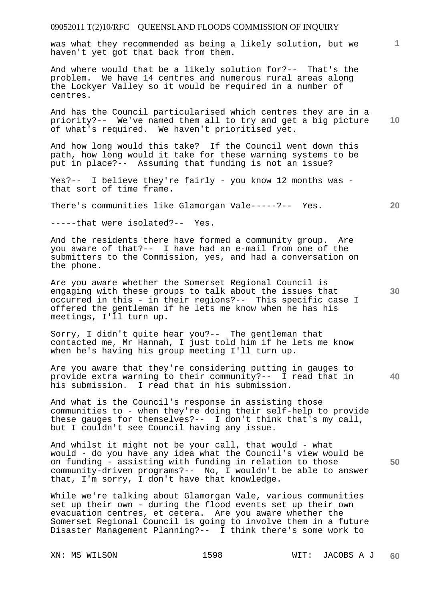was what they recommended as being a likely solution, but we haven't yet got that back from them.

And where would that be a likely solution for?-- That's the problem. We have 14 centres and numerous rural areas along the Lockyer Valley so it would be required in a number of centres.

**10**  And has the Council particularised which centres they are in a priority?-- We've named them all to try and get a big picture of what's required. We haven't prioritised yet.

And how long would this take? If the Council went down this path, how long would it take for these warning systems to be put in place?-- Assuming that funding is not an issue?

Yes?-- I believe they're fairly - you know 12 months was that sort of time frame.

There's communities like Glamorgan Vale-----?-- Yes.

-----that were isolated?-- Yes.

And the residents there have formed a community group. Are you aware of that?-- I have had an e-mail from one of the submitters to the Commission, yes, and had a conversation on the phone.

Are you aware whether the Somerset Regional Council is engaging with these groups to talk about the issues that occurred in this - in their regions?-- This specific case I offered the gentleman if he lets me know when he has his meetings, I'll turn up.

Sorry, I didn't quite hear you?-- The gentleman that contacted me, Mr Hannah, I just told him if he lets me know when he's having his group meeting I'll turn up.

Are you aware that they're considering putting in gauges to provide extra warning to their community?-- I read that in his submission. I read that in his submission.

And what is the Council's response in assisting those communities to - when they're doing their self-help to provide these gauges for themselves?-- I don't think that's my call, but I couldn't see Council having any issue.

And whilst it might not be your call, that would - what would - do you have any idea what the Council's view would be on funding - assisting with funding in relation to those community-driven programs?-- No, I wouldn't be able to answer that, I'm sorry, I don't have that knowledge.

While we're talking about Glamorgan Vale, various communities set up their own - during the flood events set up their own evacuation centres, et cetera. Are you aware whether the Somerset Regional Council is going to involve them in a future Disaster Management Planning?-- I think there's some work to

**1**

**20** 

**30** 

**40**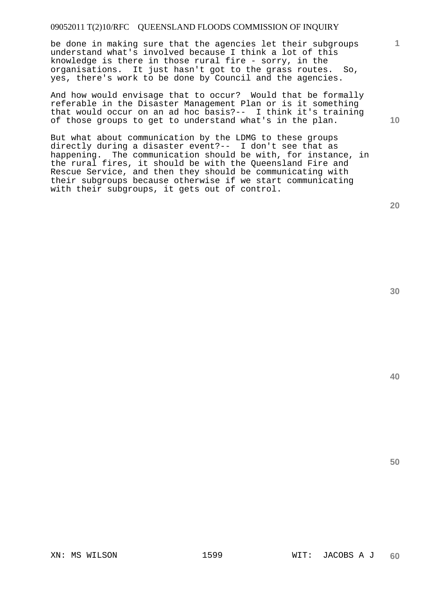be done in making sure that the agencies let their subgroups understand what's involved because I think a lot of this knowledge is there in those rural fire - sorry, in the organisations. It just hasn't got to the grass routes. So, yes, there's work to be done by Council and the agencies.

And how would envisage that to occur? Would that be formally referable in the Disaster Management Plan or is it something that would occur on an ad hoc basis?-- I think it's training of those groups to get to understand what's in the plan.

But what about communication by the LDMG to these groups directly during a disaster event?-- I don't see that as happening. The communication should be with, for instance, in the rural fires, it should be with the Queensland Fire and Rescue Service, and then they should be communicating with their subgroups because otherwise if we start communicating with their subgroups, it gets out of control.

**20** 

**1**

**10** 

**40**